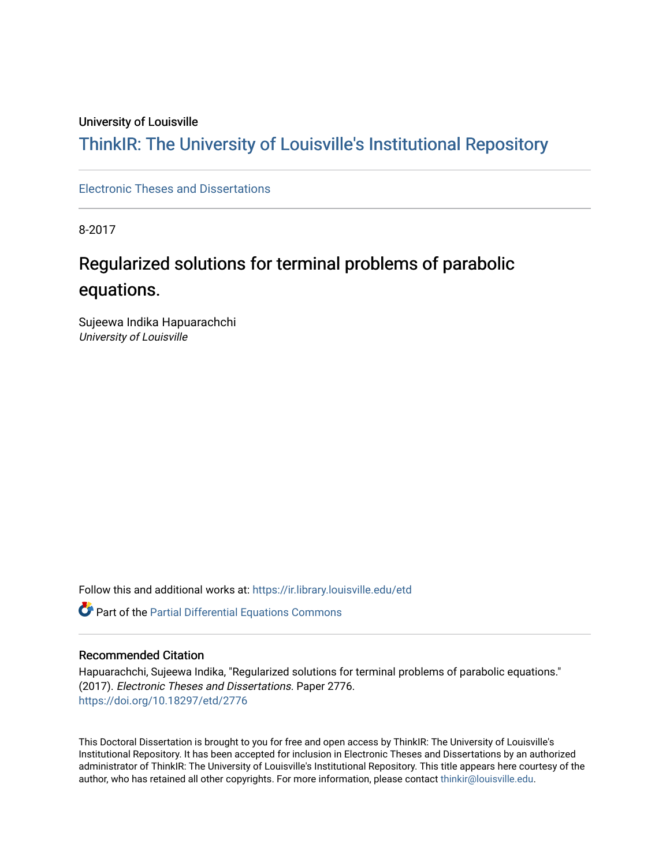## University of Louisville

# ThinkIR: The Univ[ersity of Louisville's Institutional Reposit](https://ir.library.louisville.edu/)ory

[Electronic Theses and Dissertations](https://ir.library.louisville.edu/etd)

8-2017

# Regularized solutions for terminal problems of parabolic equations.

Sujeewa Indika Hapuarachchi University of Louisville

Follow this and additional works at: [https://ir.library.louisville.edu/etd](https://ir.library.louisville.edu/etd?utm_source=ir.library.louisville.edu%2Fetd%2F2776&utm_medium=PDF&utm_campaign=PDFCoverPages) 

Part of the [Partial Differential Equations Commons](http://network.bepress.com/hgg/discipline/120?utm_source=ir.library.louisville.edu%2Fetd%2F2776&utm_medium=PDF&utm_campaign=PDFCoverPages) 

### Recommended Citation

Hapuarachchi, Sujeewa Indika, "Regularized solutions for terminal problems of parabolic equations." (2017). Electronic Theses and Dissertations. Paper 2776. <https://doi.org/10.18297/etd/2776>

This Doctoral Dissertation is brought to you for free and open access by ThinkIR: The University of Louisville's Institutional Repository. It has been accepted for inclusion in Electronic Theses and Dissertations by an authorized administrator of ThinkIR: The University of Louisville's Institutional Repository. This title appears here courtesy of the author, who has retained all other copyrights. For more information, please contact [thinkir@louisville.edu.](mailto:thinkir@louisville.edu)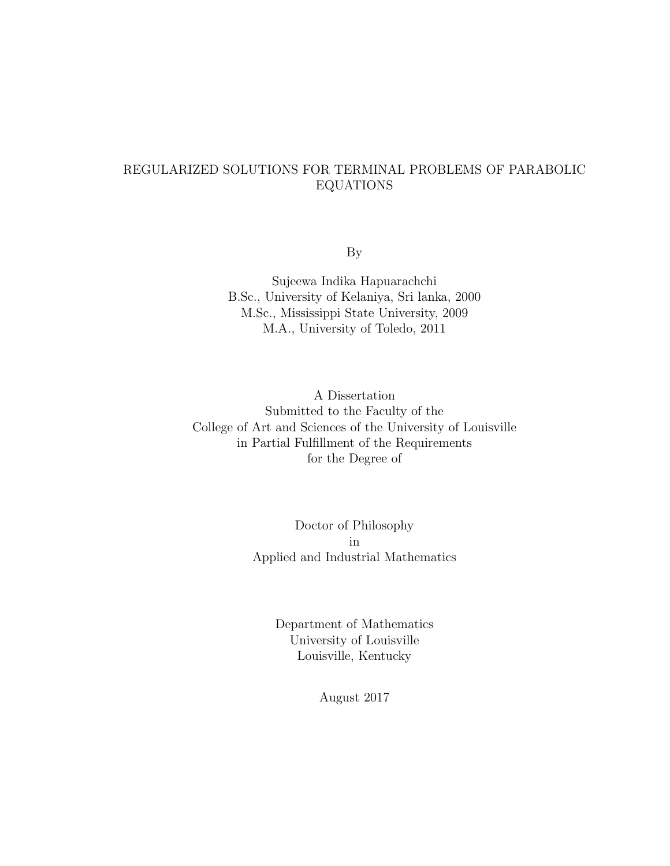# REGULARIZED SOLUTIONS FOR TERMINAL PROBLEMS OF PARABOLIC EQUATIONS

By

Sujeewa Indika Hapuarachchi B.Sc., University of Kelaniya, Sri lanka, 2000 M.Sc., Mississippi State University, 2009 M.A., University of Toledo, 2011

A Dissertation Submitted to the Faculty of the College of Art and Sciences of the University of Louisville in Partial Fulfillment of the Requirements for the Degree of

> Doctor of Philosophy in Applied and Industrial Mathematics

> > Department of Mathematics University of Louisville Louisville, Kentucky

> > > August 2017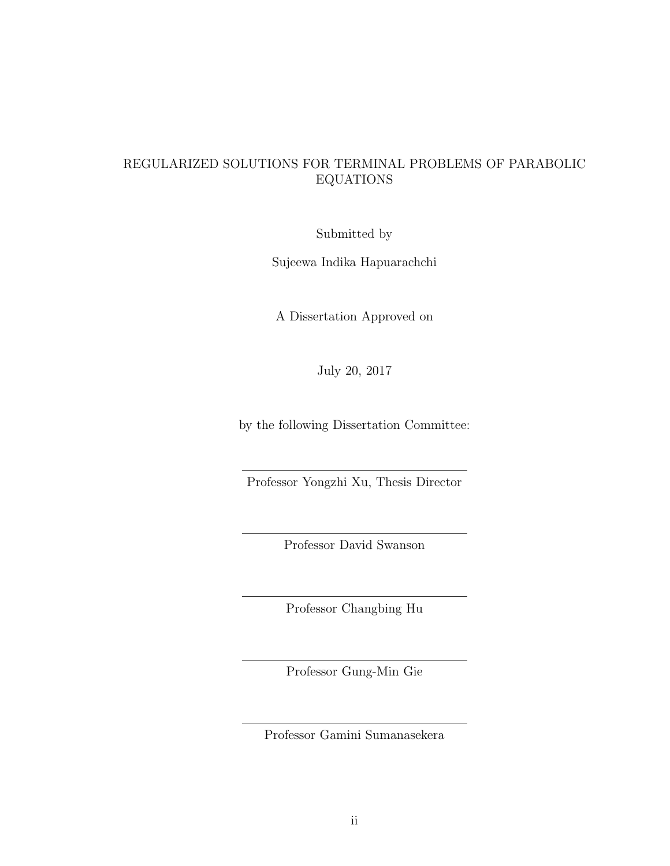# REGULARIZED SOLUTIONS FOR TERMINAL PROBLEMS OF PARABOLIC EQUATIONS

Submitted by

Sujeewa Indika Hapuarachchi

A Dissertation Approved on

July 20, 2017

by the following Dissertation Committee:

Professor Yongzhi Xu, Thesis Director

Professor David Swanson

Professor Changbing Hu

Professor Gung-Min Gie

Professor Gamini Sumanasekera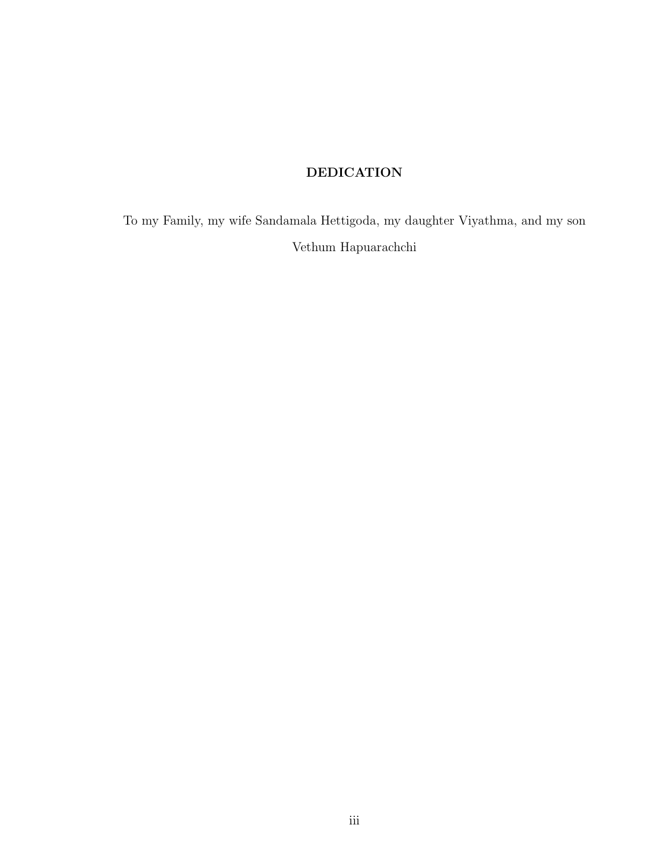# DEDICATION

To my Family, my wife Sandamala Hettigoda, my daughter Viyathma, and my son Vethum Hapuarachchi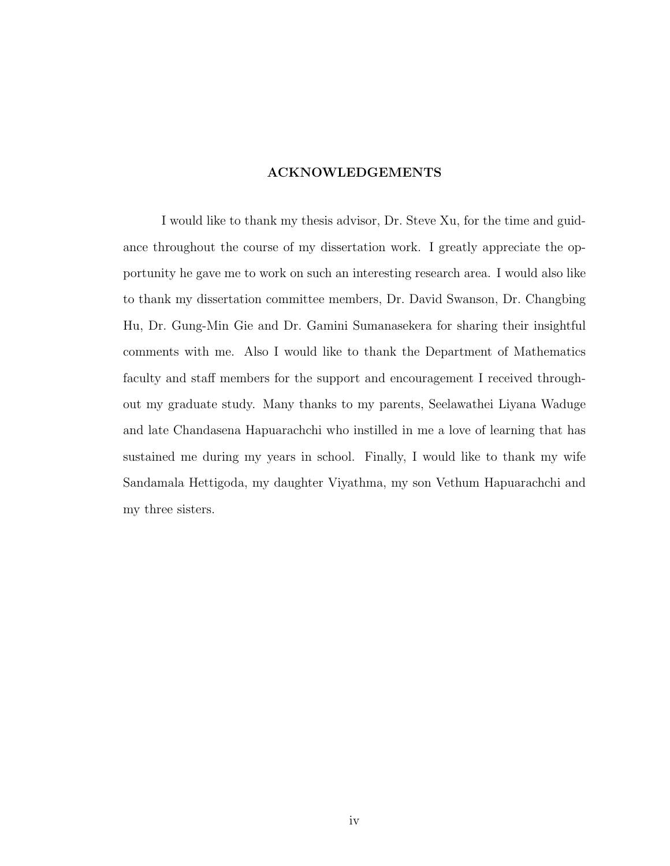### ACKNOWLEDGEMENTS

I would like to thank my thesis advisor, Dr. Steve Xu, for the time and guidance throughout the course of my dissertation work. I greatly appreciate the opportunity he gave me to work on such an interesting research area. I would also like to thank my dissertation committee members, Dr. David Swanson, Dr. Changbing Hu, Dr. Gung-Min Gie and Dr. Gamini Sumanasekera for sharing their insightful comments with me. Also I would like to thank the Department of Mathematics faculty and staff members for the support and encouragement I received throughout my graduate study. Many thanks to my parents, Seelawathei Liyana Waduge and late Chandasena Hapuarachchi who instilled in me a love of learning that has sustained me during my years in school. Finally, I would like to thank my wife Sandamala Hettigoda, my daughter Viyathma, my son Vethum Hapuarachchi and my three sisters.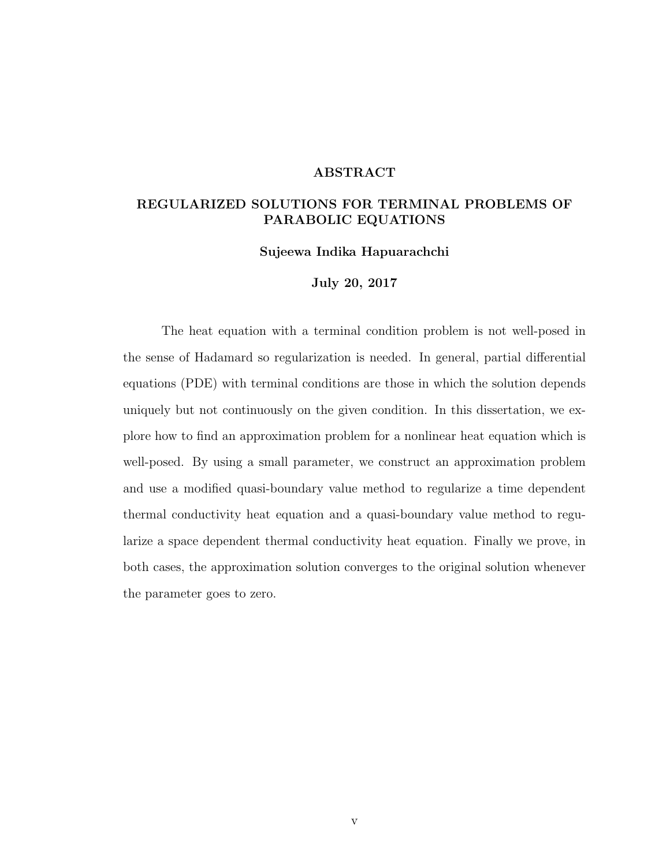#### ABSTRACT

# REGULARIZED SOLUTIONS FOR TERMINAL PROBLEMS OF PARABOLIC EQUATIONS

### Sujeewa Indika Hapuarachchi

#### July 20, 2017

The heat equation with a terminal condition problem is not well-posed in the sense of Hadamard so regularization is needed. In general, partial differential equations (PDE) with terminal conditions are those in which the solution depends uniquely but not continuously on the given condition. In this dissertation, we explore how to find an approximation problem for a nonlinear heat equation which is well-posed. By using a small parameter, we construct an approximation problem and use a modified quasi-boundary value method to regularize a time dependent thermal conductivity heat equation and a quasi-boundary value method to regularize a space dependent thermal conductivity heat equation. Finally we prove, in both cases, the approximation solution converges to the original solution whenever the parameter goes to zero.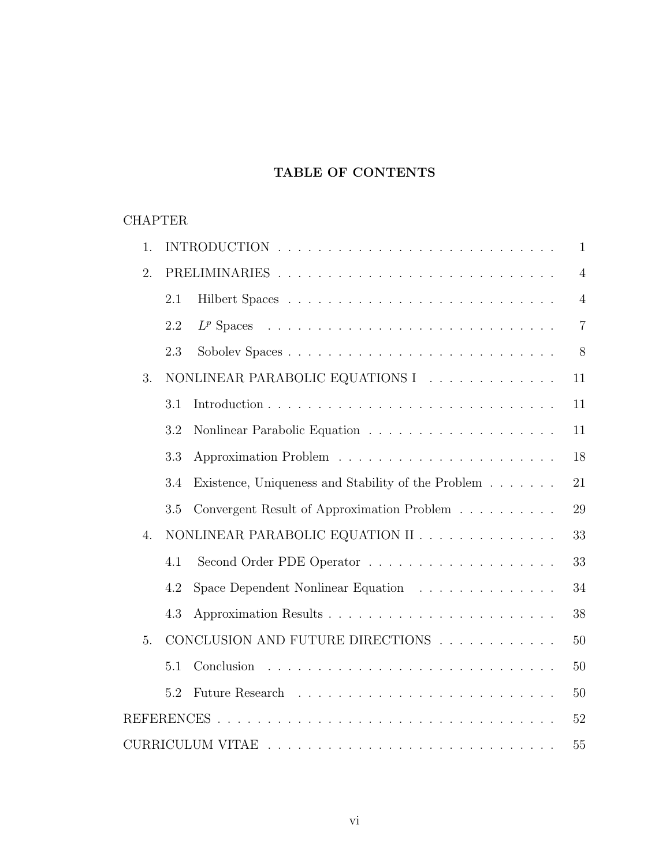# TABLE OF CONTENTS

# CHAPTER

| $\mathbf{1}$ . |     |                                                    | $\mathbf{1}$   |  |  |  |
|----------------|-----|----------------------------------------------------|----------------|--|--|--|
| 2.             |     |                                                    | $\overline{4}$ |  |  |  |
|                | 2.1 |                                                    | $\overline{4}$ |  |  |  |
|                | 2.2 |                                                    | $\overline{7}$ |  |  |  |
|                | 2.3 |                                                    | 8              |  |  |  |
| 3.             |     | NONLINEAR PARABOLIC EQUATIONS I                    | 11             |  |  |  |
|                | 3.1 |                                                    | 11             |  |  |  |
|                | 3.2 |                                                    | 11             |  |  |  |
|                | 3.3 |                                                    | 18             |  |  |  |
|                | 3.4 | Existence, Uniqueness and Stability of the Problem | 21             |  |  |  |
|                | 3.5 | Convergent Result of Approximation Problem         | 29             |  |  |  |
| 4.             |     | NONLINEAR PARABOLIC EQUATION II                    | 33             |  |  |  |
|                | 4.1 |                                                    | 33             |  |  |  |
|                | 4.2 | Space Dependent Nonlinear Equation                 | 34             |  |  |  |
|                | 4.3 |                                                    | 38             |  |  |  |
| 5.             |     | CONCLUSION AND FUTURE DIRECTIONS                   | 50             |  |  |  |
|                | 5.1 | Conclusion                                         | 50             |  |  |  |
|                | 5.2 |                                                    | 50             |  |  |  |
|                |     |                                                    |                |  |  |  |
| 55             |     |                                                    |                |  |  |  |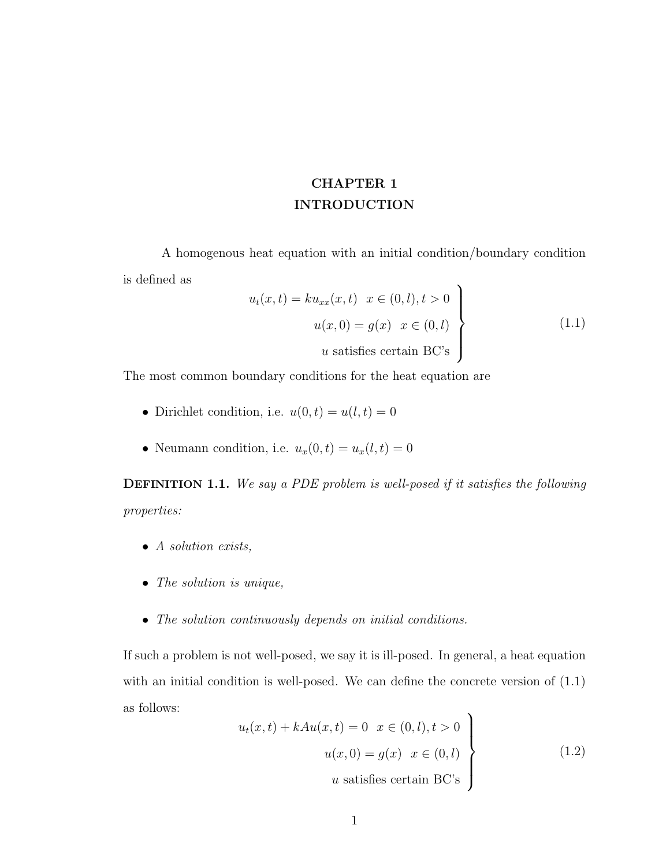# CHAPTER 1 INTRODUCTION

A homogenous heat equation with an initial condition/boundary condition is defined as  $\lambda$ 

$$
u_t(x,t) = ku_{xx}(x,t) \quad x \in (0,l), t > 0
$$
  

$$
u(x,0) = g(x) \quad x \in (0,l)
$$
  

$$
u \text{ satisfies certain BC's}
$$
 (1.1)

The most common boundary conditions for the heat equation are

- Dirichlet condition, i.e.  $u(0, t) = u(l, t) = 0$
- Neumann condition, i.e.  $u_x(0, t) = u_x(l, t) = 0$

DEFINITION 1.1. We say a PDE problem is well-posed if it satisfies the following properties:

- A solution exists,
- The solution is unique,
- The solution continuously depends on initial conditions.

If such a problem is not well-posed, we say it is ill-posed. In general, a heat equation with an initial condition is well-posed. We can define the concrete version of  $(1.1)$ as follows:  $\lambda$ 

$$
u_t(x,t) + kAu(x,t) = 0 \quad x \in (0,l), t > 0
$$
  

$$
u(x,0) = g(x) \quad x \in (0,l)
$$
  

$$
u \text{ satisfies certain BC's}
$$
 (1.2)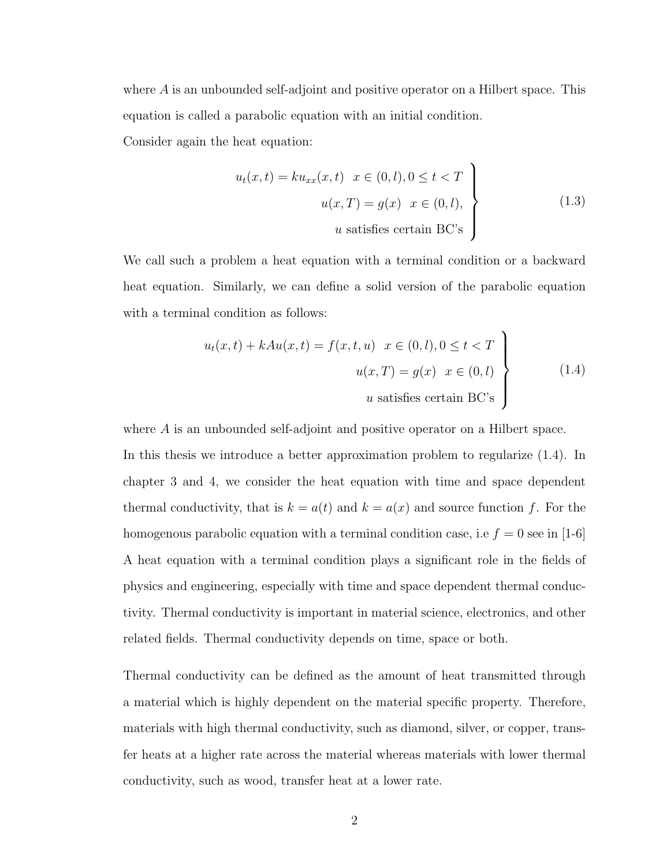where A is an unbounded self-adjoint and positive operator on a Hilbert space. This equation is called a parabolic equation with an initial condition.

Consider again the heat equation:

$$
u_t(x,t) = ku_{xx}(x,t) \quad x \in (0,l), 0 \le t < T
$$

$$
u(x,T) = g(x) \quad x \in (0,l),
$$

$$
u \text{ satisfies certain BC's}
$$

$$
(1.3)
$$

We call such a problem a heat equation with a terminal condition or a backward heat equation. Similarly, we can define a solid version of the parabolic equation with a terminal condition as follows:

$$
u_t(x,t) + kAu(x,t) = f(x,t,u) \quad x \in (0,l), 0 \le t < T
$$

$$
u(x,T) = g(x) \quad x \in (0,l)
$$

$$
u \text{ satisfies certain BC's}
$$

$$
(1.4)
$$

where A is an unbounded self-adjoint and positive operator on a Hilbert space. In this thesis we introduce a better approximation problem to regularize (1.4). In chapter 3 and 4, we consider the heat equation with time and space dependent thermal conductivity, that is  $k = a(t)$  and  $k = a(x)$  and source function f. For the homogenous parabolic equation with a terminal condition case, i.e  $f = 0$  see in [1-6] A heat equation with a terminal condition plays a significant role in the fields of physics and engineering, especially with time and space dependent thermal conductivity. Thermal conductivity is important in material science, electronics, and other related fields. Thermal conductivity depends on time, space or both.

Thermal conductivity can be defined as the amount of heat transmitted through a material which is highly dependent on the material specific property. Therefore, materials with high thermal conductivity, such as diamond, silver, or copper, transfer heats at a higher rate across the material whereas materials with lower thermal conductivity, such as wood, transfer heat at a lower rate.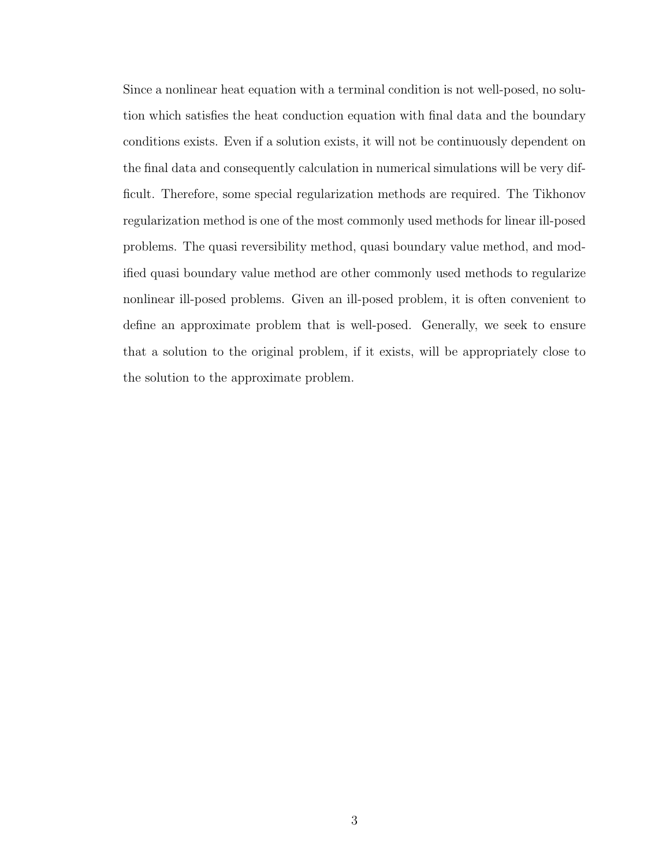Since a nonlinear heat equation with a terminal condition is not well-posed, no solution which satisfies the heat conduction equation with final data and the boundary conditions exists. Even if a solution exists, it will not be continuously dependent on the final data and consequently calculation in numerical simulations will be very difficult. Therefore, some special regularization methods are required. The Tikhonov regularization method is one of the most commonly used methods for linear ill-posed problems. The quasi reversibility method, quasi boundary value method, and modified quasi boundary value method are other commonly used methods to regularize nonlinear ill-posed problems. Given an ill-posed problem, it is often convenient to define an approximate problem that is well-posed. Generally, we seek to ensure that a solution to the original problem, if it exists, will be appropriately close to the solution to the approximate problem.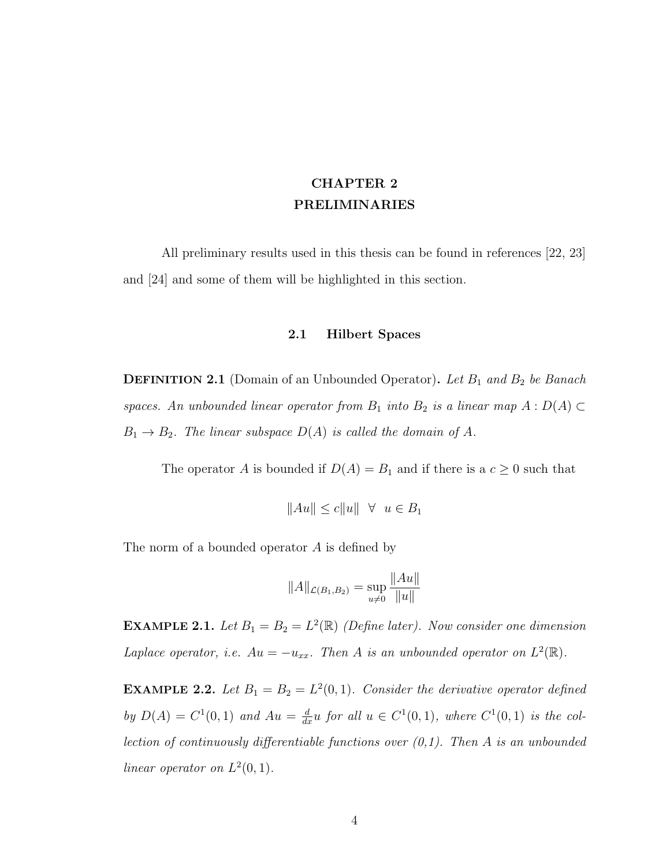# CHAPTER 2 PRELIMINARIES

All preliminary results used in this thesis can be found in references [22, 23] and [24] and some of them will be highlighted in this section.

#### 2.1 Hilbert Spaces

**DEFINITION 2.1** (Domain of an Unbounded Operator). Let  $B_1$  and  $B_2$  be Banach spaces. An unbounded linear operator from  $B_1$  into  $B_2$  is a linear map  $A: D(A) \subset$  $B_1 \rightarrow B_2$ . The linear subspace  $D(A)$  is called the domain of A.

The operator A is bounded if  $D(A) = B_1$  and if there is a  $c \geq 0$  such that

$$
||Au|| \le c||u|| \quad \forall \quad u \in B_1
$$

The norm of a bounded operator A is defined by

$$
||A||_{\mathcal{L}(B_1, B_2)} = \sup_{u \neq 0} \frac{||Au||}{||u||}
$$

**EXAMPLE 2.1.** Let  $B_1 = B_2 = L^2(\mathbb{R})$  (Define later). Now consider one dimension Laplace operator, i.e.  $Au = -u_{xx}$ . Then A is an unbounded operator on  $L^2(\mathbb{R})$ .

**EXAMPLE 2.2.** Let  $B_1 = B_2 = L^2(0,1)$ . Consider the derivative operator defined by  $D(A) = C^1(0,1)$  and  $Au = \frac{d}{dx}u$  for all  $u \in C^1(0,1)$ , where  $C^1(0,1)$  is the collection of continuously differentiable functions over  $(0,1)$ . Then A is an unbounded linear operator on  $L^2(0,1)$ .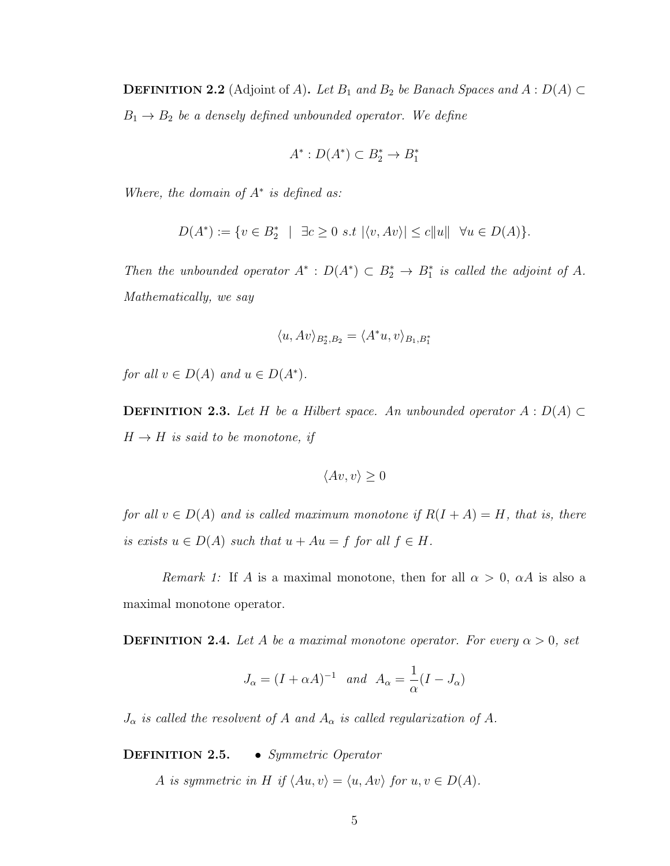**DEFINITION 2.2** (Adjoint of A). Let  $B_1$  and  $B_2$  be Banach Spaces and  $A : D(A) \subset$  $B_1 \rightarrow B_2$  be a densely defined unbounded operator. We define

$$
A^*: D(A^*) \subset B_2^* \to B_1^*
$$

Where, the domain of  $A^*$  is defined as:

$$
D(A^*) := \{ v \in B_2^* \mid \exists c \ge 0 \text{ s.t } |\langle v, Av \rangle| \le c ||u|| \quad \forall u \in D(A) \}.
$$

Then the unbounded operator  $A^* : D(A^*) \subset B_2^* \to B_1^*$  is called the adjoint of A. Mathematically, we say

$$
\langle u, Av \rangle_{B_2^*, B_2} = \langle A^*u, v \rangle_{B_1, B_1^*}
$$

for all  $v \in D(A)$  and  $u \in D(A^*)$ .

**DEFINITION 2.3.** Let H be a Hilbert space. An unbounded operator  $A : D(A) \subset$  $H \rightarrow H$  is said to be monotone, if

$$
\langle Av, v \rangle \ge 0
$$

for all  $v \in D(A)$  and is called maximum monotone if  $R(I + A) = H$ , that is, there is exists  $u \in D(A)$  such that  $u + Au = f$  for all  $f \in H$ .

Remark 1: If A is a maximal monotone, then for all  $\alpha > 0$ ,  $\alpha A$  is also a maximal monotone operator.

**DEFINITION 2.4.** Let A be a maximal monotone operator. For every  $\alpha > 0$ , set

$$
J_{\alpha} = (I + \alpha A)^{-1} \quad and \quad A_{\alpha} = \frac{1}{\alpha}(I - J_{\alpha})
$$

 $J_{\alpha}$  is called the resolvent of A and  $A_{\alpha}$  is called regularization of A.

DEFINITION 2.5. • Symmetric Operator

A is symmetric in H if  $\langle Au, v \rangle = \langle u, Av \rangle$  for  $u, v \in D(A)$ .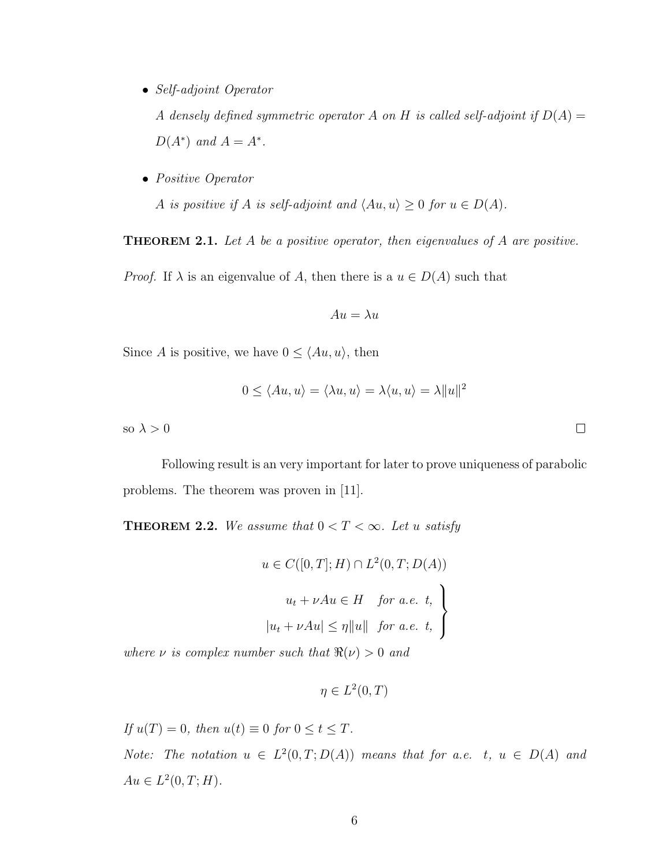• Self-adjoint Operator

A densely defined symmetric operator A on H is called self-adjoint if  $D(A)$  =  $D(A^*)$  and  $A = A^*$ .

• Positive Operator

A is positive if A is self-adjoint and  $\langle Au, u \rangle \geq 0$  for  $u \in D(A)$ .

**THEOREM 2.1.** Let A be a positive operator, then eigenvalues of A are positive.

*Proof.* If  $\lambda$  is an eigenvalue of A, then there is a  $u \in D(A)$  such that

$$
Au = \lambda u
$$

Since A is positive, we have  $0 \le \langle Au, u \rangle$ , then

$$
0 \le \langle Au, u \rangle = \langle \lambda u, u \rangle = \lambda \langle u, u \rangle = \lambda ||u||^2
$$

so  $\lambda > 0$ 

Following result is an very important for later to prove uniqueness of parabolic problems. The theorem was proven in [11].

**THEOREM 2.2.** We assume that  $0 < T < \infty$ . Let u satisfy

$$
u \in C([0, T]; H) \cap L^{2}(0, T; D(A))
$$
  

$$
u_{t} + \nu Au \in H \quad \text{for a.e. } t,
$$
  

$$
|u_{t} + \nu Au| \leq \eta ||u|| \quad \text{for a.e. } t,
$$

where  $\nu$  is complex number such that  $\Re(\nu) > 0$  and

$$
\eta \in L^2(0,T)
$$

If  $u(T) = 0$ , then  $u(t) \equiv 0$  for  $0 \le t \le T$ . Note: The notation  $u \in L^2(0,T;D(A))$  means that for a.e. t,  $u \in D(A)$  and  $Au \in L^2(0, T; H).$ 

 $\Box$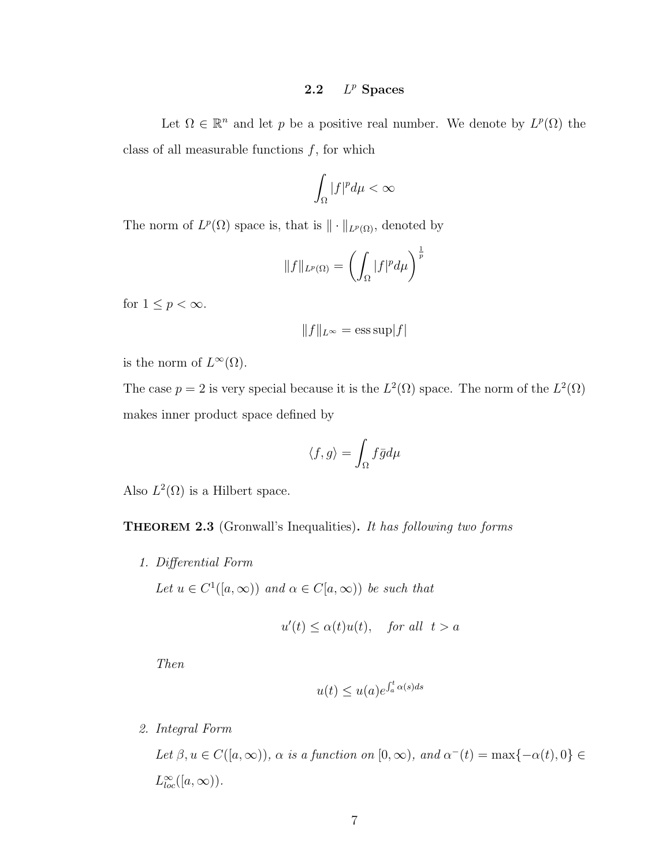#### $2.2$  $L^p$  Spaces

Let  $\Omega \in \mathbb{R}^n$  and let p be a positive real number. We denote by  $L^p(\Omega)$  the class of all measurable functions  $f$ , for which

$$
\int_{\Omega}|f|^{p}d\mu<\infty
$$

The norm of  $L^p(\Omega)$  space is, that is  $\|\cdot\|_{L^p(\Omega)}$ , denoted by

$$
||f||_{L^p(\Omega)} = \left(\int_{\Omega} |f|^p d\mu\right)^{\frac{1}{p}}
$$

for  $1 \leq p < \infty$ .

$$
||f||_{L^{\infty}} = \operatorname{ess} \operatorname{sup}|f|
$$

is the norm of  $L^{\infty}(\Omega)$ .

The case  $p = 2$  is very special because it is the  $L^2(\Omega)$  space. The norm of the  $L^2(\Omega)$ makes inner product space defined by

$$
\langle f,g\rangle=\int_\Omega f\bar{g}d\mu
$$

Also  $L^2(\Omega)$  is a Hilbert space.

THEOREM 2.3 (Gronwall's Inequalities). It has following two forms

1. Differential Form

Let  $u \in C^1([a,\infty))$  and  $\alpha \in C[a,\infty))$  be such that

$$
u'(t) \le \alpha(t)u(t), \quad \text{for all} \ \ t > a
$$

Then

$$
u(t) \le u(a)e^{\int_a^t \alpha(s)ds}
$$

2. Integral Form

Let  $\beta, u \in C([a,\infty))$ ,  $\alpha$  is a function on  $[0,\infty)$ , and  $\alpha^{-}(t) = \max\{-\alpha(t), 0\} \in$  $L^{\infty}_{loc}([a,\infty))$ .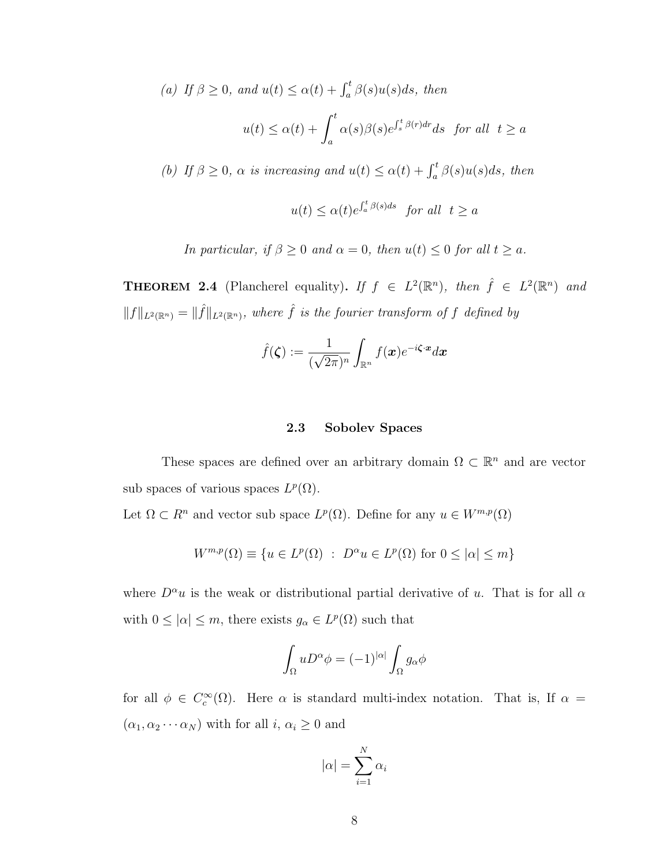(a) If 
$$
\beta \ge 0
$$
, and  $u(t) \le \alpha(t) + \int_a^t \beta(s)u(s)ds$ , then  

$$
u(t) \le \alpha(t) + \int_a^t \alpha(s)\beta(s)e^{\int_s^t \beta(r)dr}ds \text{ for all } t \ge a
$$

(b) If  $\beta \geq 0$ ,  $\alpha$  is increasing and  $u(t) \leq \alpha(t) + \int_a^t \beta(s)u(s)ds$ , then

$$
u(t) \le \alpha(t)e^{\int_a^t \beta(s)ds} \quad \text{for all} \ \ t \ge a
$$

In particular, if  $\beta \geq 0$  and  $\alpha = 0$ , then  $u(t) \leq 0$  for all  $t \geq a$ .

**THEOREM 2.4** (Plancherel equality). If  $f \in L^2(\mathbb{R}^n)$ , then  $\hat{f} \in L^2(\mathbb{R}^n)$  and  $||f||_{L^2(\mathbb{R}^n)} = ||\hat{f}||_{L^2(\mathbb{R}^n)}$ , where  $\hat{f}$  is the fourier transform of f defined by

$$
\hat{f}(\boldsymbol{\zeta}) := \frac{1}{(\sqrt{2\pi})^n} \int_{\mathbb{R}^n} f(\boldsymbol{x}) e^{-i\boldsymbol{\zeta} \cdot \boldsymbol{x}} d\boldsymbol{x}
$$

#### 2.3 Sobolev Spaces

These spaces are defined over an arbitrary domain  $\Omega \subset \mathbb{R}^n$  and are vector sub spaces of various spaces  $L^p(\Omega)$ .

Let  $\Omega \subset R^n$  and vector sub space  $L^p(\Omega)$ . Define for any  $u \in W^{m,p}(\Omega)$ 

$$
W^{m,p}(\Omega) \equiv \{ u \in L^p(\Omega) \ : \ D^{\alpha}u \in L^p(\Omega) \text{ for } 0 \leq |\alpha| \leq m \}
$$

where  $D^{\alpha}u$  is the weak or distributional partial derivative of u. That is for all  $\alpha$ with  $0 \leq |\alpha| \leq m$ , there exists  $g_{\alpha} \in L^p(\Omega)$  such that

$$
\int_{\Omega} u D^{\alpha} \phi = (-1)^{|\alpha|} \int_{\Omega} g_{\alpha} \phi
$$

for all  $\phi \in C_c^{\infty}(\Omega)$ . Here  $\alpha$  is standard multi-index notation. That is, If  $\alpha =$  $(\alpha_1, \alpha_2 \cdots \alpha_N)$  with for all  $i, \alpha_i \geq 0$  and

$$
|\alpha| = \sum_{i=1}^{N} \alpha_i
$$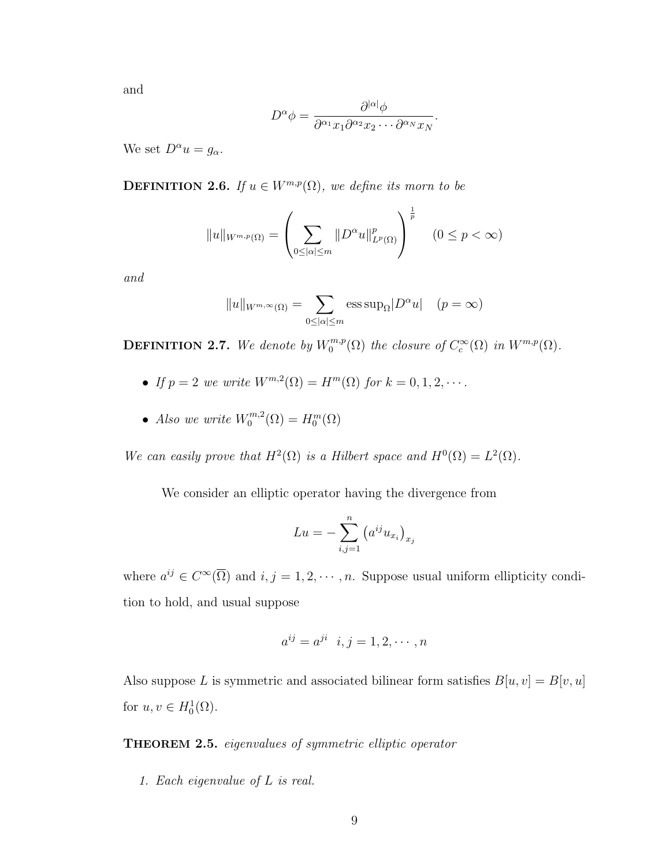and

$$
D^{\alpha}\phi = \frac{\partial^{|\alpha|}\phi}{\partial^{\alpha_1}x_1\partial^{\alpha_2}x_2\cdots\partial^{\alpha_N}x_N}.
$$

We set  $D^{\alpha}u = g_{\alpha}$ .

**DEFINITION 2.6.** If  $u \in W^{m,p}(\Omega)$ , we define its morn to be

$$
||u||_{W^{m,p}(\Omega)} = \left(\sum_{0 \leq |\alpha| \leq m} ||D^{\alpha}u||_{L^p(\Omega)}^p\right)^{\frac{1}{p}} \quad (0 \leq p < \infty)
$$

and

$$
||u||_{W^{m,\infty}(\Omega)} = \sum_{0 \le |\alpha| \le m} \operatorname{ess} \operatorname{sup}_{\Omega} |D^{\alpha} u| \quad (p = \infty)
$$

**DEFINITION 2.7.** We denote by  $W_0^{m,p}$  $C_0^{m,p}(\Omega)$  the closure of  $C_c^{\infty}(\Omega)$  in  $W^{m,p}(\Omega)$ .

- If  $p = 2$  we write  $W^{m,2}(\Omega) = H^m(\Omega)$  for  $k = 0, 1, 2, \cdots$ .
- Also we write  $W_0^{m,2}$  $H_0^{m,2}(\Omega) = H_0^m(\Omega)$

We can easily prove that  $H^2(\Omega)$  is a Hilbert space and  $H^0(\Omega) = L^2(\Omega)$ .

We consider an elliptic operator having the divergence from

$$
Lu = -\sum_{i,j=1}^{n} (a^{ij}u_{x_i})_{x_j}
$$

where  $a^{ij} \in C^{\infty}(\overline{\Omega})$  and  $i, j = 1, 2, \cdots, n$ . Suppose usual uniform ellipticity condition to hold, and usual suppose

$$
a^{ij} = a^{ji} \quad i, j = 1, 2, \cdots, n
$$

Also suppose L is symmetric and associated bilinear form satisfies  $B[u, v] = B[v, u]$ for  $u, v \in H_0^1(\Omega)$ .

THEOREM 2.5. eigenvalues of symmetric elliptic operator

1. Each eigenvalue of L is real.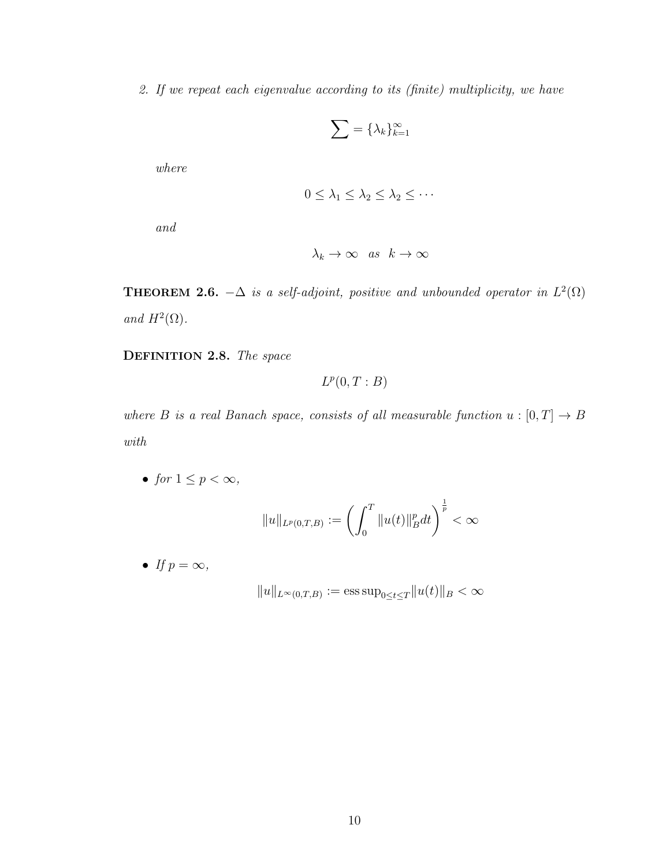2. If we repeat each eigenvalue according to its (finite) multiplicity, we have

$$
\sum = {\lambda_k}_{k=1}^{\infty}
$$

where

$$
0 \leq \lambda_1 \leq \lambda_2 \leq \lambda_2 \leq \cdots
$$

and

$$
\lambda_k \to \infty \quad as \quad k \to \infty
$$

**THEOREM 2.6.**  $-\Delta$  is a self-adjoint, positive and unbounded operator in  $L^2(\Omega)$ and  $H^2(\Omega)$ .

DEFINITION 2.8. The space

 $L^p(0,T:B)$ 

where B is a real Banach space, consists of all measurable function  $u : [0, T] \rightarrow B$ with

• for  $1 \leq p < \infty$ ,

$$
||u||_{L^p(0,T,B)} := \left(\int_0^T ||u(t)||_B^p dt\right)^{\frac{1}{p}} < \infty
$$

• If  $p = \infty$ ,

$$
||u||_{L^{\infty}(0,T,B)} := \operatorname{ess} \operatorname{sup}_{0 \le t \le T} ||u(t)||_{B} < \infty
$$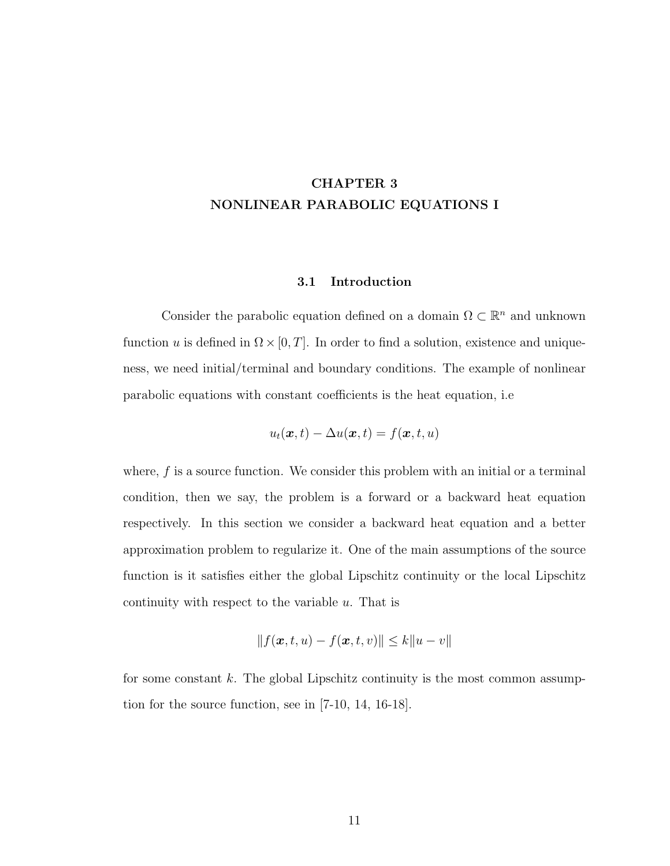# CHAPTER 3 NONLINEAR PARABOLIC EQUATIONS I

#### 3.1 Introduction

Consider the parabolic equation defined on a domain  $\Omega \subset \mathbb{R}^n$  and unknown function u is defined in  $\Omega \times [0, T]$ . In order to find a solution, existence and uniqueness, we need initial/terminal and boundary conditions. The example of nonlinear parabolic equations with constant coefficients is the heat equation, i.e

$$
u_t(\boldsymbol{x},t) - \Delta u(\boldsymbol{x},t) = f(\boldsymbol{x},t,u)
$$

where,  $f$  is a source function. We consider this problem with an initial or a terminal condition, then we say, the problem is a forward or a backward heat equation respectively. In this section we consider a backward heat equation and a better approximation problem to regularize it. One of the main assumptions of the source function is it satisfies either the global Lipschitz continuity or the local Lipschitz continuity with respect to the variable  $u$ . That is

$$
||f(\boldsymbol{x},t,u) - f(\boldsymbol{x},t,v)|| \le k||u-v||
$$

for some constant  $k$ . The global Lipschitz continuity is the most common assumption for the source function, see in [7-10, 14, 16-18].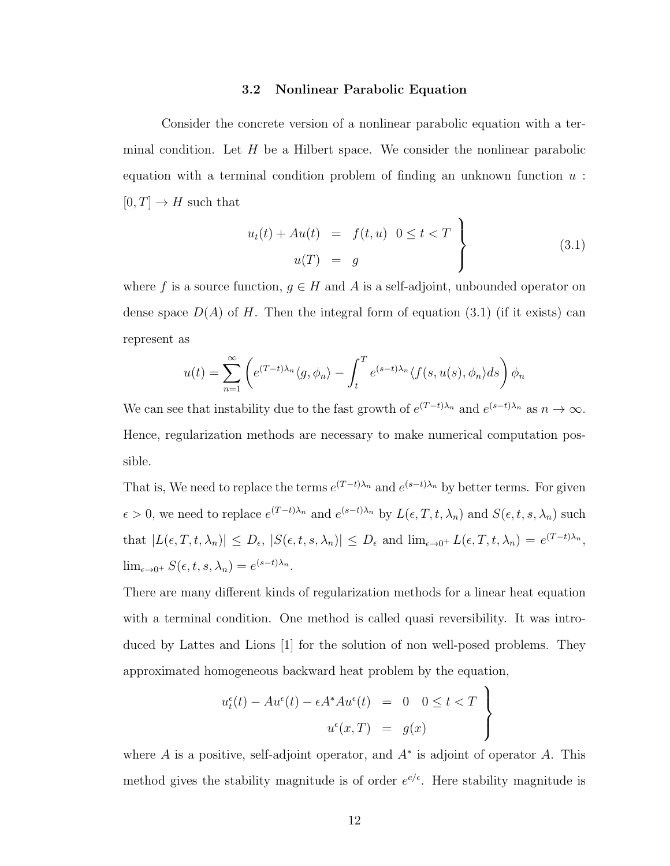#### 3.2 Nonlinear Parabolic Equation

Consider the concrete version of a nonlinear parabolic equation with a terminal condition. Let  $H$  be a Hilbert space. We consider the nonlinear parabolic equation with a terminal condition problem of finding an unknown function  $u$ :  $[0, T] \rightarrow H$  such that

$$
u_t(t) + Au(t) = f(t, u) \quad 0 \le t < T
$$
  

$$
u(T) = g \qquad (3.1)
$$

where f is a source function,  $g \in H$  and A is a self-adjoint, unbounded operator on dense space  $D(A)$  of H. Then the integral form of equation (3.1) (if it exists) can represent as

$$
u(t) = \sum_{n=1}^{\infty} \left( e^{(T-t)\lambda_n} \langle g, \phi_n \rangle - \int_t^T e^{(s-t)\lambda_n} \langle f(s, u(s), \phi_n \rangle ds \right) \phi_n
$$

We can see that instability due to the fast growth of  $e^{(T-t)\lambda_n}$  and  $e^{(s-t)\lambda_n}$  as  $n \to \infty$ . Hence, regularization methods are necessary to make numerical computation possible.

That is, We need to replace the terms  $e^{(T-t)\lambda_n}$  and  $e^{(s-t)\lambda_n}$  by better terms. For given  $\epsilon > 0$ , we need to replace  $e^{(T-t)\lambda_n}$  and  $e^{(s-t)\lambda_n}$  by  $L(\epsilon, T, t, \lambda_n)$  and  $S(\epsilon, t, s, \lambda_n)$  such that  $|L(\epsilon, T, t, \lambda_n)| \leq D_{\epsilon}$ ,  $|S(\epsilon, t, s, \lambda_n)| \leq D_{\epsilon}$  and  $\lim_{\epsilon \to 0^+} L(\epsilon, T, t, \lambda_n) = e^{(T-t)\lambda_n}$ ,  $\lim_{\epsilon \to 0^+} S(\epsilon, t, s, \lambda_n) = e^{(s-t)\lambda_n}.$ 

There are many different kinds of regularization methods for a linear heat equation with a terminal condition. One method is called quasi reversibility. It was introduced by Lattes and Lions [1] for the solution of non well-posed problems. They approximated homogeneous backward heat problem by the equation,

$$
u_t^{\epsilon}(t) - Au^{\epsilon}(t) - \epsilon A^* A u^{\epsilon}(t) = 0 \quad 0 \le t < T
$$

$$
u^{\epsilon}(x,T) = g(x)
$$

where  $A$  is a positive, self-adjoint operator, and  $A^*$  is adjoint of operator  $A$ . This method gives the stability magnitude is of order  $e^{c/\epsilon}$ . Here stability magnitude is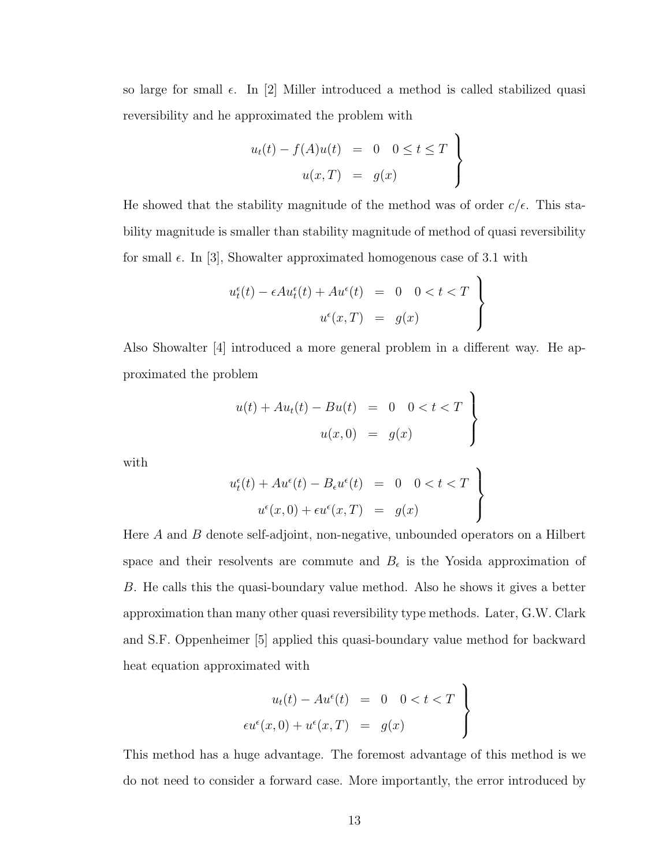so large for small  $\epsilon$ . In [2] Miller introduced a method is called stabilized quasi reversibility and he approximated the problem with

$$
u_t(t) - f(A)u(t) = 0 \quad 0 \le t \le T
$$
  

$$
u(x,T) = g(x)
$$

He showed that the stability magnitude of the method was of order  $c/\epsilon$ . This stability magnitude is smaller than stability magnitude of method of quasi reversibility for small  $\epsilon$ . In [3], Showalter approximated homogenous case of 3.1 with

$$
u_t^{\epsilon}(t) - \epsilon A u_t^{\epsilon}(t) + A u^{\epsilon}(t) = 0 \quad 0 < t < T
$$

$$
u^{\epsilon}(x,T) = g(x)
$$

Also Showalter [4] introduced a more general problem in a different way. He approximated the problem

$$
u(t) + Au_t(t) - Bu(t) = 0 \quad 0 < t < T
$$

$$
u(x, 0) = g(x)
$$

with

$$
u_t^{\epsilon}(t) + Au^{\epsilon}(t) - B_{\epsilon}u^{\epsilon}(t) = 0 \quad 0 < t < T
$$
  

$$
u^{\epsilon}(x, 0) + \epsilon u^{\epsilon}(x, T) = g(x)
$$

Here A and B denote self-adjoint, non-negative, unbounded operators on a Hilbert space and their resolvents are commute and  $B_{\epsilon}$  is the Yosida approximation of B. He calls this the quasi-boundary value method. Also he shows it gives a better approximation than many other quasi reversibility type methods. Later, G.W. Clark and S.F. Oppenheimer [5] applied this quasi-boundary value method for backward heat equation approximated with

$$
u_t(t) - Au^{\epsilon}(t) = 0 \quad 0 < t < T
$$
  

$$
\epsilon u^{\epsilon}(x, 0) + u^{\epsilon}(x, T) = g(x)
$$

This method has a huge advantage. The foremost advantage of this method is we do not need to consider a forward case. More importantly, the error introduced by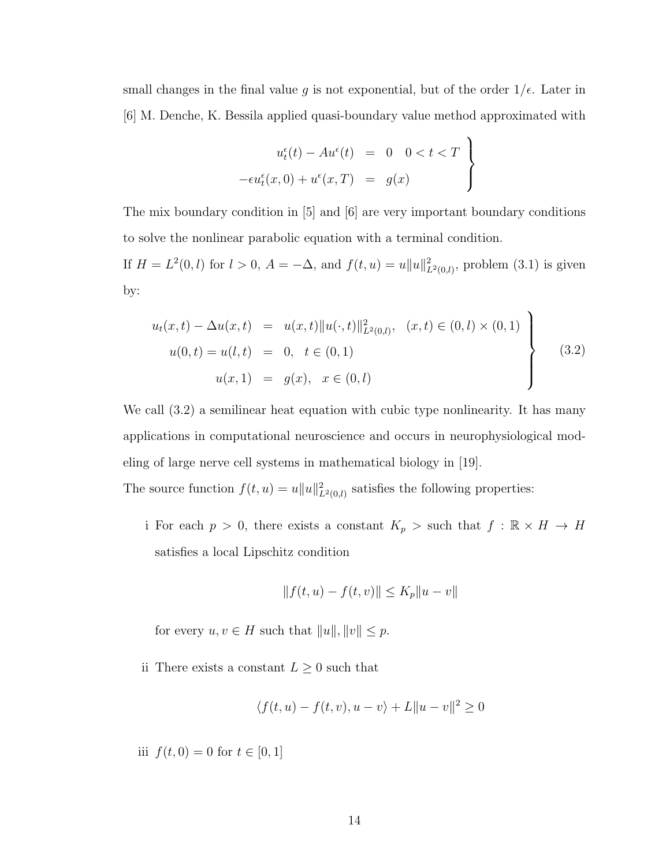small changes in the final value g is not exponential, but of the order  $1/\epsilon$ . Later in [6] M. Denche, K. Bessila applied quasi-boundary value method approximated with

$$
u_t^{\epsilon}(t) - Au^{\epsilon}(t) = 0 \quad 0 < t < T
$$
  

$$
-\epsilon u_t^{\epsilon}(x, 0) + u^{\epsilon}(x, T) = g(x)
$$

The mix boundary condition in [5] and [6] are very important boundary conditions to solve the nonlinear parabolic equation with a terminal condition.

If  $H = L^2(0, l)$  for  $l > 0$ ,  $A = -\Delta$ , and  $f(t, u) = u||u||^2_{L^2(0,l)}$ , problem (3.1) is given by:

$$
u_t(x,t) - \Delta u(x,t) = u(x,t) ||u(\cdot,t)||_{L^2(0,l)}^2, (x,t) \in (0,l) \times (0,1)
$$
  
\n
$$
u(0,t) = u(l,t) = 0, t \in (0,1)
$$
  
\n
$$
u(x,1) = g(x), x \in (0,l)
$$
\n(3.2)

We call (3.2) a semilinear heat equation with cubic type nonlinearity. It has many applications in computational neuroscience and occurs in neurophysiological modeling of large nerve cell systems in mathematical biology in [19].

The source function  $f(t, u) = u \|u\|_{L^2(0, l)}^2$  satisfies the following properties:

i For each  $p > 0$ , there exists a constant  $K_p >$  such that  $f : \mathbb{R} \times H \to H$ satisfies a local Lipschitz condition

$$
||f(t, u) - f(t, v)|| \le K_p ||u - v||
$$

for every  $u, v \in H$  such that  $||u||, ||v|| \leq p$ .

ii There exists a constant  $L \geq 0$  such that

$$
\langle f(t, u) - f(t, v), u - v \rangle + L \|u - v\|^2 \ge 0
$$

iii  $f(t, 0) = 0$  for  $t \in [0, 1]$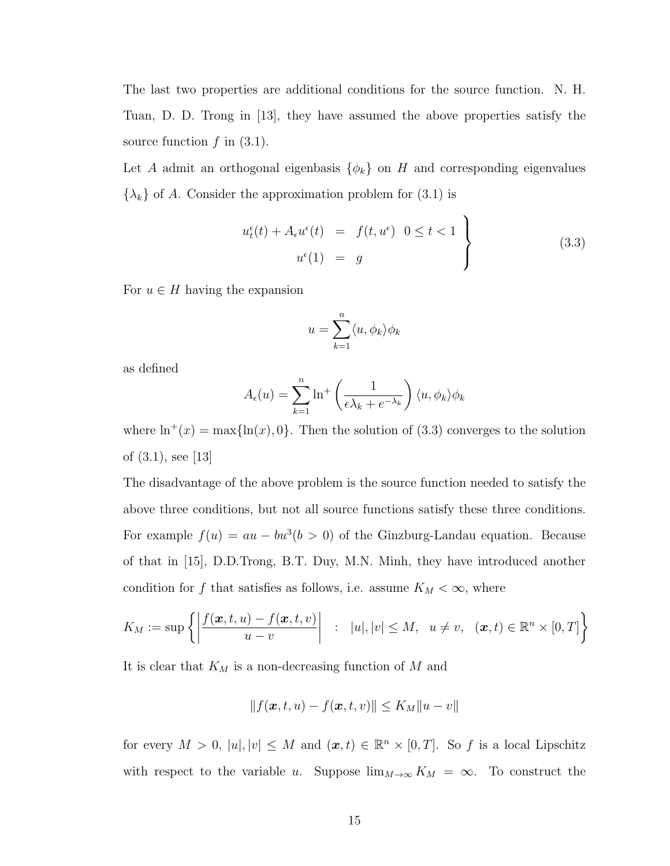The last two properties are additional conditions for the source function. N. H. Tuan, D. D. Trong in [13], they have assumed the above properties satisfy the source function  $f$  in  $(3.1)$ .

Let A admit an orthogonal eigenbasis  $\{\phi_k\}$  on H and corresponding eigenvalues  $\{\lambda_k\}$  of A. Consider the approximation problem for (3.1) is

$$
u_t^{\epsilon}(t) + A_{\epsilon}u^{\epsilon}(t) = f(t, u^{\epsilon}) \quad 0 \le t < 1
$$
  

$$
u^{\epsilon}(1) = g
$$
 (3.3)

For  $u \in H$  having the expansion

$$
u = \sum_{k=1}^{n} \langle u, \phi_k \rangle \phi_k
$$

as defined

$$
A_{\epsilon}(u) = \sum_{k=1}^{n} \ln^{+} \left(\frac{1}{\epsilon \lambda_k + e^{-\lambda_k}}\right) \langle u, \phi_k \rangle \phi_k
$$

where  $\ln^+(x) = \max{\ln(x), 0}$ . Then the solution of (3.3) converges to the solution of (3.1), see [13]

The disadvantage of the above problem is the source function needed to satisfy the above three conditions, but not all source functions satisfy these three conditions. For example  $f(u) = au - bu^3(b > 0)$  of the Ginzburg-Landau equation. Because of that in [15], D.D.Trong, B.T. Duy, M.N. Minh, they have introduced another condition for f that satisfies as follows, i.e. assume  $K_M < \infty$ , where

$$
K_M := \sup \left\{ \left| \frac{f(\boldsymbol{x}, t, u) - f(\boldsymbol{x}, t, v)}{u - v} \right| \ : \ |u|, |v| \le M, \ u \ne v, \ (\boldsymbol{x}, t) \in \mathbb{R}^n \times [0, T] \right\}
$$

It is clear that  ${\cal K}_M$  is a non-decreasing function of  $M$  and

$$
||f(\boldsymbol{x},t,\boldsymbol{u}) - f(\boldsymbol{x},t,\boldsymbol{v})|| \le K_M ||\boldsymbol{u} - \boldsymbol{v}||
$$

for every  $M > 0$ ,  $|u|, |v| \leq M$  and  $(x, t) \in \mathbb{R}^n \times [0, T]$ . So f is a local Lipschitz with respect to the variable u. Suppose  $\lim_{M\to\infty} K_M = \infty$ . To construct the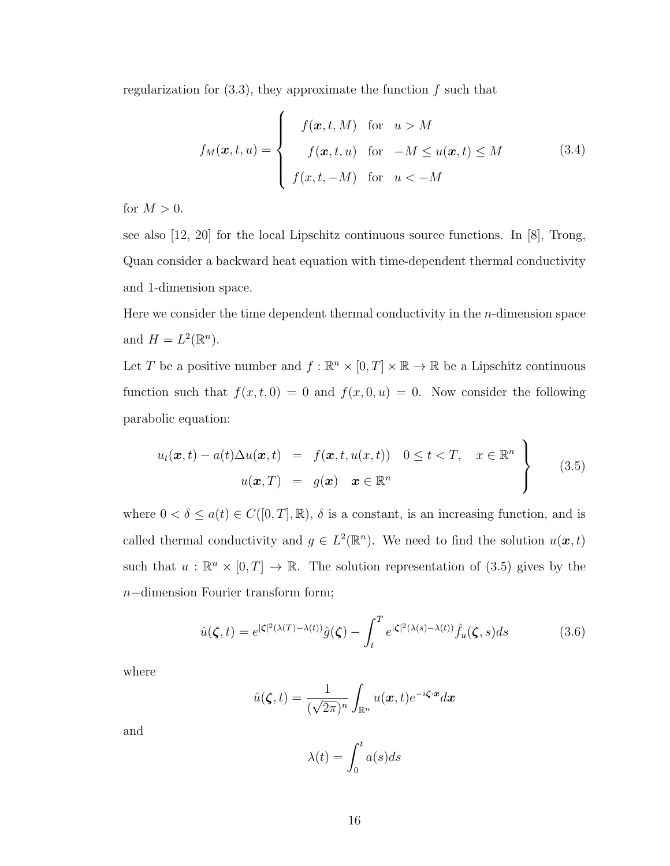regularization for  $(3.3)$ , they approximate the function f such that

$$
f_M(\boldsymbol{x}, t, u) = \begin{cases} f(\boldsymbol{x}, t, M) & \text{for} \quad u > M \\ f(\boldsymbol{x}, t, u) & \text{for} \quad -M \le u(\boldsymbol{x}, t) \le M \\ f(x, t, -M) & \text{for} \quad u < -M \end{cases} \tag{3.4}
$$

for  $M > 0$ .

see also  $[12, 20]$  for the local Lipschitz continuous source functions. In  $[8]$ , Trong, Quan consider a backward heat equation with time-dependent thermal conductivity and 1-dimension space.

Here we consider the time dependent thermal conductivity in the  $n$ -dimension space and  $H = L^2(\mathbb{R}^n)$ .

Let T be a positive number and  $f : \mathbb{R}^n \times [0,T] \times \mathbb{R} \to \mathbb{R}$  be a Lipschitz continuous function such that  $f(x, t, 0) = 0$  and  $f(x, 0, u) = 0$ . Now consider the following parabolic equation:

$$
u_t(\boldsymbol{x},t) - a(t)\Delta u(\boldsymbol{x},t) = f(\boldsymbol{x},t,u(\boldsymbol{x},t)) \quad 0 \le t < T, \quad \boldsymbol{x} \in \mathbb{R}^n
$$
  

$$
u(\boldsymbol{x},T) = g(\boldsymbol{x}) \quad \boldsymbol{x} \in \mathbb{R}^n
$$
 (3.5)

where  $0 < \delta \leq a(t) \in C([0, T], \mathbb{R})$ ,  $\delta$  is a constant, is an increasing function, and is called thermal conductivity and  $g \in L^2(\mathbb{R}^n)$ . We need to find the solution  $u(\boldsymbol{x}, t)$ such that  $u : \mathbb{R}^n \times [0,T] \to \mathbb{R}$ . The solution representation of (3.5) gives by the n−dimension Fourier transform form;

$$
\hat{u}(\boldsymbol{\zeta},t) = e^{|\boldsymbol{\zeta}|^2(\lambda(T) - \lambda(t))}\hat{g}(\boldsymbol{\zeta}) - \int_t^T e^{|\boldsymbol{\zeta}|^2(\lambda(s) - \lambda(t))}\hat{f}_u(\boldsymbol{\zeta},s)ds
$$
\n(3.6)

where

$$
\hat{u}(\boldsymbol{\zeta},t) = \frac{1}{(\sqrt{2\pi})^n} \int_{\mathbb{R}^n} u(\boldsymbol{x},t) e^{-i\boldsymbol{\zeta} \cdot \boldsymbol{x}} d\boldsymbol{x}
$$

and

$$
\lambda(t) = \int_0^t a(s)ds
$$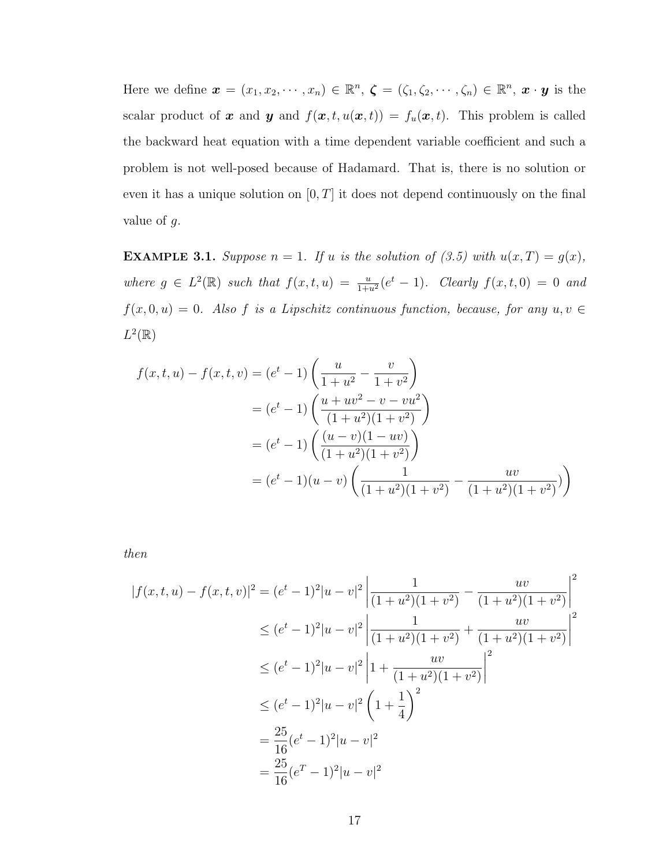Here we define  $\boldsymbol{x} = (x_1, x_2, \cdots, x_n) \in \mathbb{R}^n$ ,  $\boldsymbol{\zeta} = (\zeta_1, \zeta_2, \cdots, \zeta_n) \in \mathbb{R}^n$ ,  $\boldsymbol{x} \cdot \boldsymbol{y}$  is the scalar product of x and y and  $f(x, t, u(x, t)) = f_u(x, t)$ . This problem is called the backward heat equation with a time dependent variable coefficient and such a problem is not well-posed because of Hadamard. That is, there is no solution or even it has a unique solution on  $[0, T]$  it does not depend continuously on the final value of  $g$ .

**EXAMPLE 3.1.** Suppose  $n = 1$ . If u is the solution of (3.5) with  $u(x,T) = g(x)$ , where  $g \in L^2(\mathbb{R})$  such that  $f(x,t,u) = \frac{u}{1+u^2}(e^t-1)$ . Clearly  $f(x,t,0) = 0$  and  $f(x, 0, u) = 0$ . Also f is a Lipschitz continuous function, because, for any  $u, v \in$  $L^2(\mathbb{R})$ 

$$
f(x,t,u) - f(x,t,v) = (e^t - 1) \left( \frac{u}{1+u^2} - \frac{v}{1+v^2} \right)
$$
  
=  $(e^t - 1) \left( \frac{u+uv^2 - v - vu^2}{(1+u^2)(1+v^2)} \right)$   
=  $(e^t - 1) \left( \frac{(u-v)(1-uv)}{(1+u^2)(1+v^2)} \right)$   
=  $(e^t - 1)(u-v) \left( \frac{1}{(1+u^2)(1+v^2)} - \frac{uv}{(1+u^2)(1+v^2)} \right)$ 

then

$$
|f(x,t,u) - f(x,t,v)|^2 = (e^t - 1)^2 |u - v|^2 \left| \frac{1}{(1+u^2)(1+v^2)} - \frac{uv}{(1+u^2)(1+v^2)} \right|^2
$$
  
\n
$$
\leq (e^t - 1)^2 |u - v|^2 \left| \frac{1}{(1+u^2)(1+v^2)} + \frac{uv}{(1+u^2)(1+v^2)} \right|^2
$$
  
\n
$$
\leq (e^t - 1)^2 |u - v|^2 \left| 1 + \frac{uv}{(1+u^2)(1+v^2)} \right|^2
$$
  
\n
$$
\leq (e^t - 1)^2 |u - v|^2 \left( 1 + \frac{1}{4} \right)^2
$$
  
\n
$$
= \frac{25}{16} (e^t - 1)^2 |u - v|^2
$$
  
\n
$$
= \frac{25}{16} (e^t - 1)^2 |u - v|^2
$$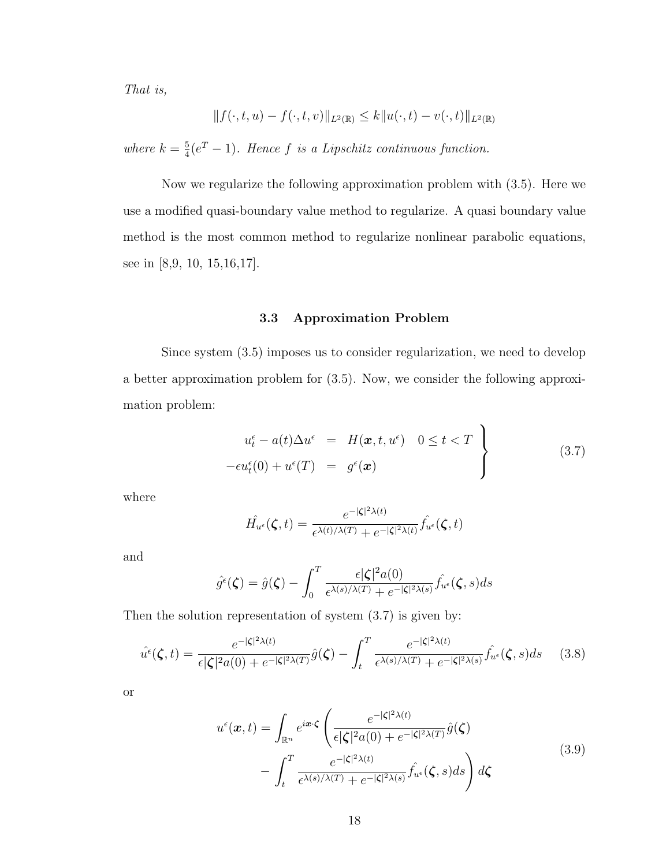That is,

$$
||f(\cdot, t, u) - f(\cdot, t, v)||_{L^{2}(\mathbb{R})} \leq k||u(\cdot, t) - v(\cdot, t)||_{L^{2}(\mathbb{R})}
$$

where  $k=\frac{5}{4}$  $\frac{5}{4}(e^T-1)$ . Hence f is a Lipschitz continuous function.

Now we regularize the following approximation problem with (3.5). Here we use a modified quasi-boundary value method to regularize. A quasi boundary value method is the most common method to regularize nonlinear parabolic equations, see in [8,9, 10, 15,16,17].

### 3.3 Approximation Problem

Since system (3.5) imposes us to consider regularization, we need to develop a better approximation problem for (3.5). Now, we consider the following approximation problem:

$$
u_t^{\epsilon} - a(t)\Delta u^{\epsilon} = H(\boldsymbol{x}, t, u^{\epsilon}) \quad 0 \le t < T
$$
  
-
$$
-\epsilon u_t^{\epsilon}(0) + u^{\epsilon}(T) = g^{\epsilon}(\boldsymbol{x})
$$
 (3.7)

where

$$
\hat{H_{u^{\epsilon}}}(\boldsymbol{\zeta},t) = \frac{e^{-|\boldsymbol{\zeta}|^{2}\lambda(t)}}{\epsilon^{\lambda(t)/\lambda(T)} + e^{-|\boldsymbol{\zeta}|^{2}\lambda(t)}} \hat{f_{u^{\epsilon}}}(\boldsymbol{\zeta},t)
$$

and

$$
\hat{g}^{\epsilon}(\boldsymbol{\zeta}) = \hat{g}(\boldsymbol{\zeta}) - \int_0^T \frac{\epsilon |\boldsymbol{\zeta}|^2 a(0)}{\epsilon^{\lambda(s)/\lambda(T)} + e^{-|\boldsymbol{\zeta}|^2 \lambda(s)}} \hat{f}_{u^{\epsilon}}(\boldsymbol{\zeta}, s) ds
$$

Then the solution representation of system  $(3.7)$  is given by:

$$
\hat{u}^{\epsilon}(\boldsymbol{\zeta},t) = \frac{e^{-|\boldsymbol{\zeta}|^{2}\lambda(t)}}{\epsilon|\boldsymbol{\zeta}|^{2}a(0) + e^{-|\boldsymbol{\zeta}|^{2}\lambda(T)}}\hat{g}(\boldsymbol{\zeta}) - \int_{t}^{T} \frac{e^{-|\boldsymbol{\zeta}|^{2}\lambda(t)}}{\epsilon^{\lambda(s)/\lambda(T)} + e^{-|\boldsymbol{\zeta}|^{2}\lambda(s)}}\hat{f}_{u^{\epsilon}}(\boldsymbol{\zeta},s)ds \quad (3.8)
$$

or

$$
u^{\epsilon}(\boldsymbol{x},t) = \int_{\mathbb{R}^n} e^{i\boldsymbol{x}\cdot\boldsymbol{\zeta}} \left( \frac{e^{-|\boldsymbol{\zeta}|^2 \lambda(t)}}{\epsilon |\boldsymbol{\zeta}|^2 a(0) + e^{-|\boldsymbol{\zeta}|^2 \lambda(T)}} \hat{g}(\boldsymbol{\zeta}) - \int_t^T \frac{e^{-|\boldsymbol{\zeta}|^2 \lambda(t)}}{\epsilon^{\lambda(s)/\lambda(T)} + e^{-|\boldsymbol{\zeta}|^2 \lambda(s)}} \hat{f}_{u^{\epsilon}}(\boldsymbol{\zeta},s) ds \right) d\boldsymbol{\zeta}
$$
\n(3.9)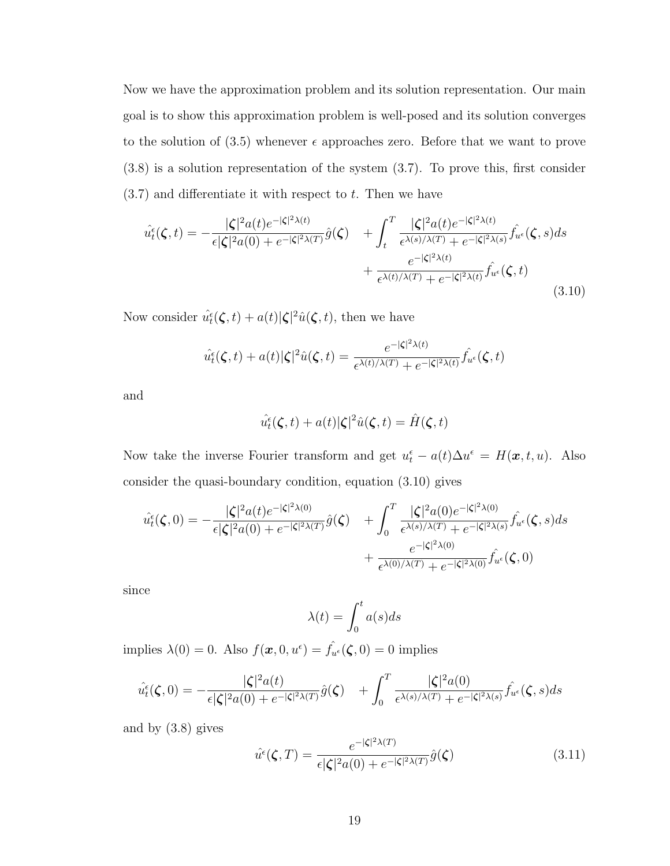Now we have the approximation problem and its solution representation. Our main goal is to show this approximation problem is well-posed and its solution converges to the solution of  $(3.5)$  whenever  $\epsilon$  approaches zero. Before that we want to prove (3.8) is a solution representation of the system (3.7). To prove this, first consider  $(3.7)$  and differentiate it with respect to t. Then we have

$$
\hat{u}_{t}^{\epsilon}(\zeta,t) = -\frac{|\zeta|^{2}a(t)e^{-|\zeta|^{2}\lambda(t)}}{\epsilon|\zeta|^{2}a(0) + e^{-|\zeta|^{2}\lambda(T)}}\hat{g}(\zeta) + \int_{t}^{T} \frac{|\zeta|^{2}a(t)e^{-|\zeta|^{2}\lambda(t)}}{\epsilon^{\lambda(s)/\lambda(T)} + e^{-|\zeta|^{2}\lambda(s)}}\hat{f}_{u^{\epsilon}}(\zeta,s)ds + \frac{e^{-|\zeta|^{2}\lambda(t)}}{\epsilon^{\lambda(t)/\lambda(T)} + e^{-|\zeta|^{2}\lambda(t)}}\hat{f}_{u^{\epsilon}}(\zeta,t)
$$
\n(3.10)

Now consider  $\hat{u}_t^{\epsilon}(\boldsymbol{\zeta},t) + a(t)|\boldsymbol{\zeta}|^2 \hat{u}(\boldsymbol{\zeta},t)$ , then we have

$$
\hat{u}_t^{\epsilon}(\boldsymbol{\zeta},t) + a(t)|\boldsymbol{\zeta}|^2 \hat{u}(\boldsymbol{\zeta},t) = \frac{e^{-|\boldsymbol{\zeta}|^2 \lambda(t)}}{\epsilon^{\lambda(t)/\lambda(T)} + e^{-|\boldsymbol{\zeta}|^2 \lambda(t)}} \hat{f}_{u^{\epsilon}}(\boldsymbol{\zeta},t)
$$

and

$$
\hat{u}_t^{\epsilon}(\boldsymbol{\zeta},t) + a(t)|\boldsymbol{\zeta}|^2 \hat{u}(\boldsymbol{\zeta},t) = \hat{H}(\boldsymbol{\zeta},t)
$$

Now take the inverse Fourier transform and get  $u_t^{\epsilon} - a(t)\Delta u^{\epsilon} = H(\mathbf{x}, t, u)$ . Also consider the quasi-boundary condition, equation (3.10) gives

$$
\hat{u}_t^{\epsilon}(\boldsymbol{\zeta},0) = -\frac{|\boldsymbol{\zeta}|^2 a(t)e^{-|\boldsymbol{\zeta}|^2 \lambda(0)}}{\epsilon |\boldsymbol{\zeta}|^2 a(0) + e^{-|\boldsymbol{\zeta}|^2 \lambda(T)}} \hat{g}(\boldsymbol{\zeta}) + \int_0^T \frac{|\boldsymbol{\zeta}|^2 a(0)e^{-|\boldsymbol{\zeta}|^2 \lambda(0)}}{\epsilon^{\lambda(s)/\lambda(T)} + e^{-|\boldsymbol{\zeta}|^2 \lambda(s)}} \hat{f}_{u^{\epsilon}}(\boldsymbol{\zeta},s) ds + \frac{e^{-|\boldsymbol{\zeta}|^2 \lambda(0)}}{\epsilon^{\lambda(0)/\lambda(T)} + e^{-|\boldsymbol{\zeta}|^2 \lambda(0)}} \hat{f}_{u^{\epsilon}}(\boldsymbol{\zeta},0)
$$

since

$$
\lambda(t) = \int_0^t a(s)ds
$$

implies  $\lambda(0) = 0$ . Also  $f(\mathbf{x}, 0, u^{\epsilon}) = \hat{f}_{u^{\epsilon}}(\boldsymbol{\zeta}, 0) = 0$  implies

$$
\hat{u}_t^{\epsilon}(\boldsymbol{\zeta},0) = -\frac{|\boldsymbol{\zeta}|^2 a(t)}{\epsilon |\boldsymbol{\zeta}|^2 a(0) + e^{-|\boldsymbol{\zeta}|^2 \lambda(T)}} \hat{g}(\boldsymbol{\zeta}) + \int_0^T \frac{|\boldsymbol{\zeta}|^2 a(0)}{\epsilon^{\lambda(s)/\lambda(T)} + e^{-|\boldsymbol{\zeta}|^2 \lambda(s)}} \hat{f}_{u^{\epsilon}}(\boldsymbol{\zeta},s) ds
$$

and by (3.8) gives

$$
\hat{u}^{\epsilon}(\boldsymbol{\zeta},T) = \frac{e^{-|\boldsymbol{\zeta}|^{2}\lambda(T)}}{\epsilon |\boldsymbol{\zeta}|^{2}a(0) + e^{-|\boldsymbol{\zeta}|^{2}\lambda(T)}}\hat{g}(\boldsymbol{\zeta})
$$
\n(3.11)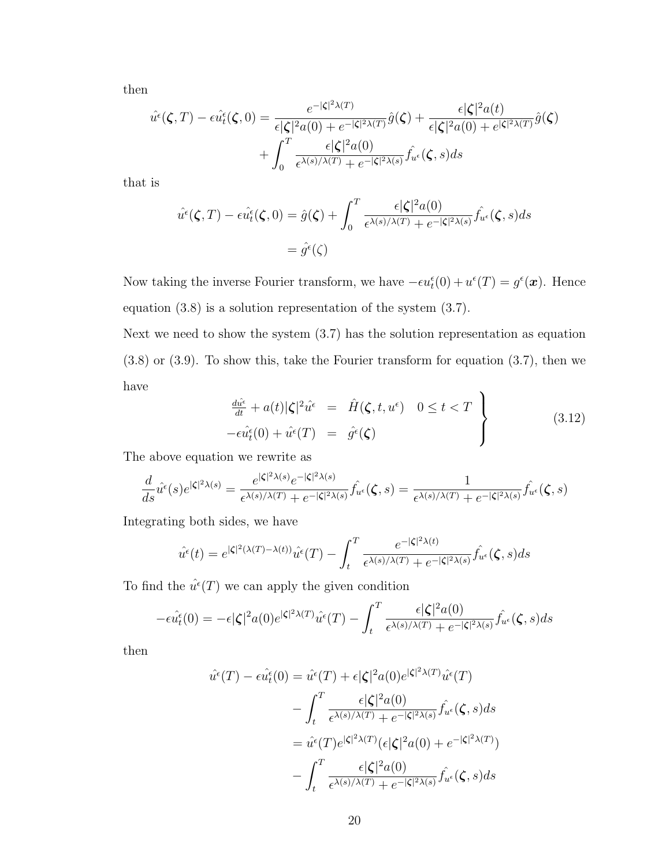then

$$
\hat{u}^{\epsilon}(\zeta,T) - \epsilon \hat{u}^{\epsilon}_{t}(\zeta,0) = \frac{e^{-|\zeta|^{2}\lambda(T)}}{\epsilon |\zeta|^{2} a(0) + e^{-|\zeta|^{2}\lambda(T)}} \hat{g}(\zeta) + \frac{\epsilon |\zeta|^{2} a(t)}{\epsilon |\zeta|^{2} a(0) + e^{|\zeta|^{2}\lambda(T)}} \hat{g}(\zeta) + \int_{0}^{T} \frac{\epsilon |\zeta|^{2} a(0)}{\epsilon^{\lambda(s)/\lambda(T)} + e^{-|\zeta|^{2}\lambda(s)}} \hat{f}_{u^{\epsilon}}(\zeta,s) ds
$$

that is

$$
\hat{u}^{\epsilon}(\boldsymbol{\zeta},T) - \epsilon \hat{u}^{\epsilon}_{t}(\boldsymbol{\zeta},0) = \hat{g}(\boldsymbol{\zeta}) + \int_{0}^{T} \frac{\epsilon |\boldsymbol{\zeta}|^{2} a(0)}{\epsilon^{\lambda(s)/\lambda(T)} + e^{-|\boldsymbol{\zeta}|^{2}\lambda(s)}} \hat{f}_{u^{\epsilon}}(\boldsymbol{\zeta},s) ds
$$

$$
= \hat{g}^{\epsilon}(\boldsymbol{\zeta})
$$

Now taking the inverse Fourier transform, we have  $-\epsilon u_t^{\epsilon}(0) + u^{\epsilon}(T) = g^{\epsilon}(\mathbf{x})$ . Hence equation (3.8) is a solution representation of the system (3.7).

Next we need to show the system (3.7) has the solution representation as equation (3.8) or (3.9). To show this, take the Fourier transform for equation (3.7), then we have  $\overline{\phantom{0}}$ 

$$
\frac{d\hat{u}^{\epsilon}}{dt} + a(t)|\zeta|^{2}\hat{u}^{\epsilon} = \hat{H}(\zeta, t, u^{\epsilon}) \quad 0 \le t < T
$$
\n
$$
-\epsilon \hat{u}^{\epsilon}_{t}(0) + \hat{u}^{\epsilon}(T) = \hat{g}^{\epsilon}(\zeta)
$$
\n(3.12)

The above equation we rewrite as

$$
\frac{d}{ds}\hat{u}^{\epsilon}(s)e^{|\zeta|^{2}\lambda(s)} = \frac{e^{|\zeta|^{2}\lambda(s)}e^{-|\zeta|^{2}\lambda(s)}}{\epsilon^{\lambda(s)/\lambda(T)} + e^{-|\zeta|^{2}\lambda(s)}}\hat{f}_{u^{\epsilon}}(\zeta,s) = \frac{1}{\epsilon^{\lambda(s)/\lambda(T)} + e^{-|\zeta|^{2}\lambda(s)}}\hat{f}_{u^{\epsilon}}(\zeta,s)
$$

Integrating both sides, we have

$$
\hat{u}^{\epsilon}(t) = e^{|\zeta|^{2}(\lambda(T)-\lambda(t))}\hat{u}^{\epsilon}(T) - \int_{t}^{T} \frac{e^{-|\zeta|^{2}\lambda(t)}}{\epsilon^{\lambda(s)/\lambda(T)} + e^{-|\zeta|^{2}\lambda(s)}} \hat{f}_{u^{\epsilon}}(\zeta,s)ds
$$

To find the  $\hat{u}^{\epsilon}(T)$  we can apply the given condition

$$
-\epsilon \hat{u}_t^{\epsilon}(0) = -\epsilon |\zeta|^2 a(0) e^{|\zeta|^2 \lambda(T)} \hat{u}^{\epsilon}(T) - \int_t^T \frac{\epsilon |\zeta|^2 a(0)}{\epsilon^{\lambda(s)/\lambda(T)} + e^{-|\zeta|^2 \lambda(s)}} \hat{f}_{u^{\epsilon}}(\zeta, s) ds
$$

then

$$
\hat{u}^{\epsilon}(T) - \epsilon \hat{u}^{\epsilon}_{t}(0) = \hat{u}^{\epsilon}(T) + \epsilon |\zeta|^{2} a(0) e^{|\zeta|^{2} \lambda(T)} \hat{u}^{\epsilon}(T)
$$

$$
- \int_{t}^{T} \frac{\epsilon |\zeta|^{2} a(0)}{\epsilon^{\lambda(s)/\lambda(T)} + e^{-|\zeta|^{2} \lambda(s)}} \hat{f}_{u^{\epsilon}}(\zeta, s) ds
$$

$$
= \hat{u}^{\epsilon}(T) e^{|\zeta|^{2} \lambda(T)} (\epsilon |\zeta|^{2} a(0) + e^{-|\zeta|^{2} \lambda(T)})
$$

$$
- \int_{t}^{T} \frac{\epsilon |\zeta|^{2} a(0)}{\epsilon^{\lambda(s)/\lambda(T)} + e^{-|\zeta|^{2} \lambda(s)}} \hat{f}_{u^{\epsilon}}(\zeta, s) ds
$$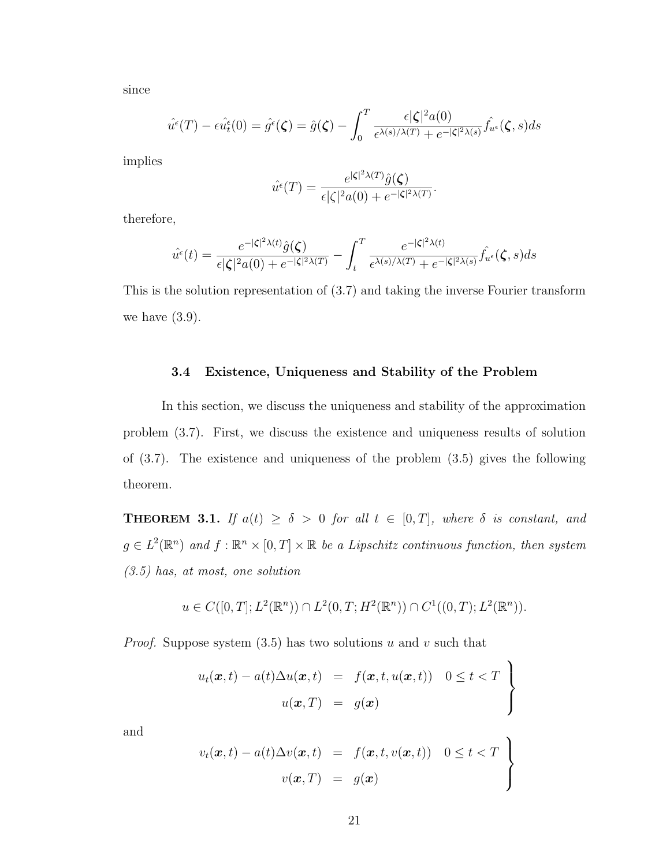since

$$
\hat{u}^{\epsilon}(T) - \epsilon \hat{u}^{\epsilon}_{t}(0) = \hat{g}^{\epsilon}(\zeta) = \hat{g}(\zeta) - \int_{0}^{T} \frac{\epsilon |\zeta|^{2} a(0)}{\epsilon^{\lambda(s)/\lambda(T)} + e^{-|\zeta|^{2}\lambda(s)}} \hat{f}_{u^{\epsilon}}(\zeta, s) ds
$$

implies

$$
\hat{u}^{\epsilon}(T) = \frac{e^{|\zeta|^2 \lambda(T)} \hat{g}(\zeta)}{\epsilon |\zeta|^2 a(0) + e^{-|\zeta|^2 \lambda(T)}}.
$$

therefore,

$$
\hat{u^{\epsilon}}(t) = \frac{e^{-|\zeta|^{2}\lambda(t)}\hat{g}(\zeta)}{\epsilon |\zeta|^{2}a(0) + e^{-|\zeta|^{2}\lambda(T)}} - \int_{t}^{T} \frac{e^{-|\zeta|^{2}\lambda(t)}}{\epsilon^{\lambda(s)/\lambda(T)} + e^{-|\zeta|^{2}\lambda(s)}} \hat{f_{u^{\epsilon}}(\zeta, s)ds}
$$

This is the solution representation of (3.7) and taking the inverse Fourier transform we have  $(3.9)$ .

#### 3.4 Existence, Uniqueness and Stability of the Problem

In this section, we discuss the uniqueness and stability of the approximation problem (3.7). First, we discuss the existence and uniqueness results of solution of (3.7). The existence and uniqueness of the problem (3.5) gives the following theorem.

**THEOREM 3.1.** If  $a(t) \ge \delta > 0$  for all  $t \in [0, T]$ , where  $\delta$  is constant, and  $g \in L^2(\mathbb{R}^n)$  and  $f : \mathbb{R}^n \times [0,T] \times \mathbb{R}$  be a Lipschitz continuous function, then system (3.5) has, at most, one solution

$$
u \in C([0,T]; L^2(\mathbb{R}^n)) \cap L^2(0,T; H^2(\mathbb{R}^n)) \cap C^1((0,T); L^2(\mathbb{R}^n)).
$$

*Proof.* Suppose system  $(3.5)$  has two solutions u and v such that

$$
u_t(\boldsymbol{x},t) - a(t)\Delta u(\boldsymbol{x},t) = f(\boldsymbol{x},t,u(\boldsymbol{x},t)) \quad 0 \leq t < T
$$

$$
u(\boldsymbol{x},T) = g(\boldsymbol{x})
$$

and

$$
v_t(\boldsymbol{x},t) - a(t)\Delta v(\boldsymbol{x},t) = f(\boldsymbol{x},t,v(\boldsymbol{x},t)) \quad 0 \leq t < T
$$

$$
v(\boldsymbol{x},T) = g(\boldsymbol{x})
$$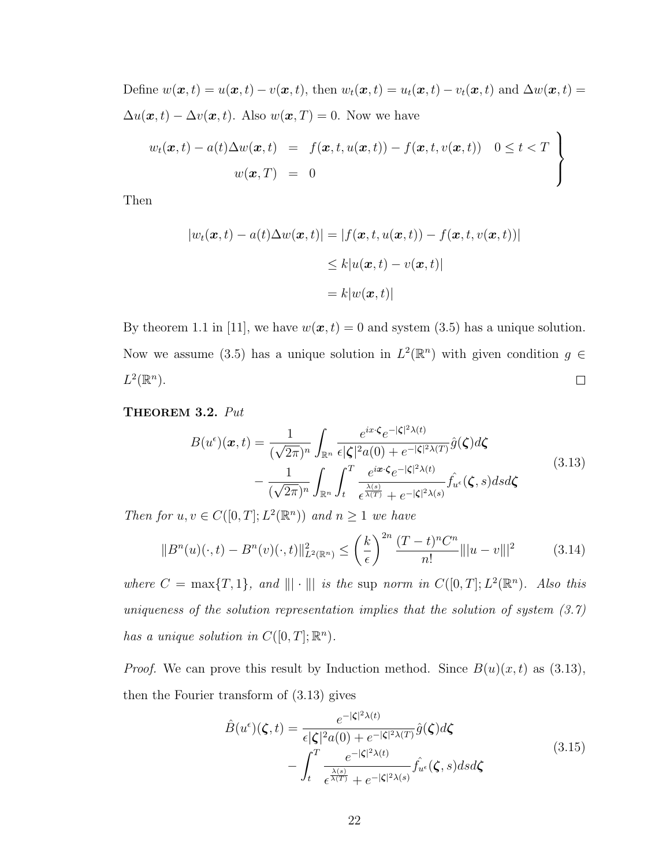Define  $w(\boldsymbol{x}, t) = u(\boldsymbol{x}, t) - v(\boldsymbol{x}, t)$ , then  $w_t(\boldsymbol{x}, t) = u_t(\boldsymbol{x}, t) - v_t(\boldsymbol{x}, t)$  and  $\Delta w(\boldsymbol{x}, t) = u(t)$  $\Delta u(\boldsymbol{x},t) - \Delta v(\boldsymbol{x},t)$ . Also  $w(\boldsymbol{x},T) = 0$ . Now we have

$$
w_t(\boldsymbol{x},t) - a(t)\Delta w(\boldsymbol{x},t) = f(\boldsymbol{x},t,u(\boldsymbol{x},t)) - f(\boldsymbol{x},t,v(\boldsymbol{x},t)) \quad 0 \leq t < T
$$
  

$$
w(\boldsymbol{x},T) = 0
$$

Then

$$
|w_t(\boldsymbol{x},t) - a(t)\Delta w(\boldsymbol{x},t)| = |f(\boldsymbol{x},t,u(\boldsymbol{x},t)) - f(\boldsymbol{x},t,v(\boldsymbol{x},t))|
$$
  

$$
\leq k|u(\boldsymbol{x},t) - v(\boldsymbol{x},t)|
$$
  

$$
= k|w(\boldsymbol{x},t)|
$$

By theorem 1.1 in [11], we have  $w(x, t) = 0$  and system (3.5) has a unique solution. Now we assume (3.5) has a unique solution in  $L^2(\mathbb{R}^n)$  with given condition  $g \in$  $L^2(\mathbb{R}^n)$ .  $\Box$ 

THEOREM 3.2. Put

$$
B(u^{\epsilon})(\boldsymbol{x},t) = \frac{1}{(\sqrt{2\pi})^n} \int_{\mathbb{R}^n} \frac{e^{ix\cdot\zeta} e^{-|\zeta|^2 \lambda(t)}}{\epsilon |\zeta|^2 a(0) + e^{-|\zeta|^2 \lambda(T)}} \hat{g}(\zeta) d\zeta
$$
  
 
$$
- \frac{1}{(\sqrt{2\pi})^n} \int_{\mathbb{R}^n} \int_t^T \frac{e^{i\boldsymbol{x}\cdot\zeta} e^{-|\zeta|^2 \lambda(t)}}{\epsilon^{\frac{\lambda(s)}{\lambda(T)}} + e^{-|\zeta|^2 \lambda(s)}} \hat{f}_{u^{\epsilon}}(\zeta,s) ds d\zeta
$$
(3.13)

Then for  $u, v \in C([0, T]; L^2(\mathbb{R}^n))$  and  $n \geq 1$  we have

$$
||B^n(u)(\cdot,t) - B^n(v)(\cdot,t)||_{L^2(\mathbb{R}^n)}^2 \le \left(\frac{k}{\epsilon}\right)^{2n} \frac{(T-t)^n C^n}{n!} ||u-v||^2 \tag{3.14}
$$

where  $C = \max\{T, 1\}$ , and  $\|\cdot\|$  is the sup norm in  $C([0, T]; L^2(\mathbb{R}^n)$ . Also this uniqueness of the solution representation implies that the solution of system  $(3.7)$ has a unique solution in  $C([0,T];\mathbb{R}^n)$ .

*Proof.* We can prove this result by Induction method. Since  $B(u)(x, t)$  as (3.13), then the Fourier transform of (3.13) gives

$$
\hat{B}(u^{\epsilon})(\boldsymbol{\zeta},t) = \frac{e^{-|\boldsymbol{\zeta}|^{2}\lambda(t)}}{\epsilon |\boldsymbol{\zeta}|^{2}a(0) + e^{-|\boldsymbol{\zeta}|^{2}\lambda(T)}} \hat{g}(\boldsymbol{\zeta})d\boldsymbol{\zeta} \n- \int_{t}^{T} \frac{e^{-|\boldsymbol{\zeta}|^{2}\lambda(t)}}{\epsilon^{\frac{\lambda(s)}{\lambda(T)}} + e^{-|\boldsymbol{\zeta}|^{2}\lambda(s)}} \hat{f}_{u^{\epsilon}}(\boldsymbol{\zeta},s)dsd\boldsymbol{\zeta}
$$
\n(3.15)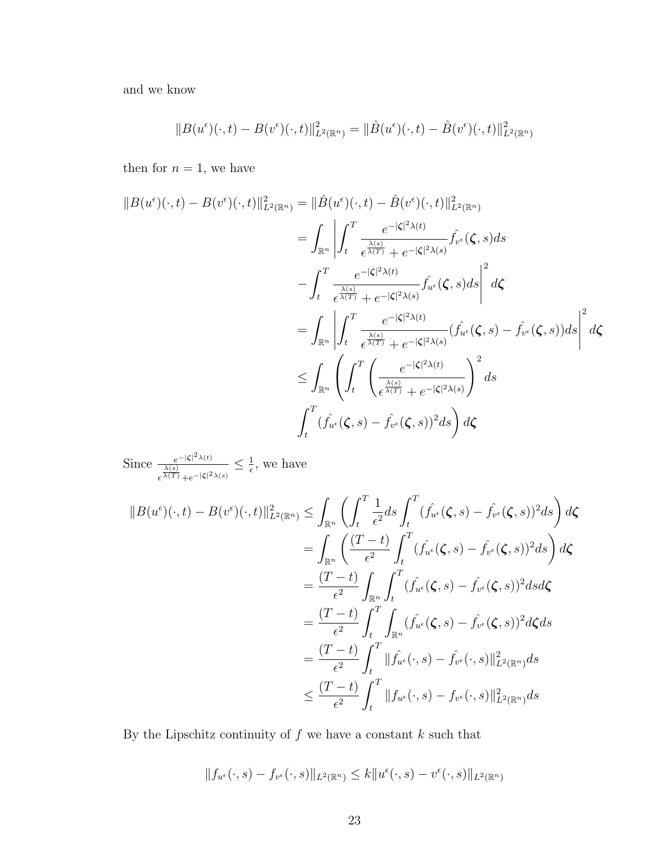and we know

$$
||B(u^{\epsilon})(\cdot,t) - B(v^{\epsilon})(\cdot,t)||_{L^{2}(\mathbb{R}^{n})}^{2} = ||\hat{B}(u^{\epsilon})(\cdot,t) - \hat{B}(v^{\epsilon})(\cdot,t)||_{L^{2}(\mathbb{R}^{n})}^{2}
$$

then for  $n = 1$ , we have

$$
||B(u^{\epsilon})(\cdot,t) - B(v^{\epsilon})(\cdot,t)||_{L^{2}(\mathbb{R}^{n})}^{2} = ||\hat{B}(u^{\epsilon})(\cdot,t) - \hat{B}(v^{\epsilon})(\cdot,t)||_{L^{2}(\mathbb{R}^{n})}^{2}
$$
  
\n
$$
= \int_{\mathbb{R}^{n}} \left| \int_{t}^{T} \frac{e^{-|\zeta|^{2}\lambda(t)}}{\frac{\lambda(s)}{\epsilon^{\lambda(T)}} + e^{-|\zeta|^{2}\lambda(s)}} f_{v^{\epsilon}}(\zeta,s) ds - \int_{t}^{T} \frac{e^{-|\zeta|^{2}\lambda(t)}}{\frac{\lambda(s)}{\epsilon^{\lambda(T)}} + e^{-|\zeta|^{2}\lambda(s)}} f_{u^{\epsilon}}(\zeta,s) ds \right|^{2} d\zeta
$$
  
\n
$$
= \int_{\mathbb{R}^{n}} \left| \int_{t}^{T} \frac{e^{-|\zeta|^{2}\lambda(t)}}{\frac{\lambda(s)}{\epsilon^{\lambda(T)}} + e^{-|\zeta|^{2}\lambda(s)}} (f_{u^{\epsilon}}(\zeta,s) - f_{v^{\epsilon}}(\zeta,s)) ds \right|^{2} d\zeta
$$
  
\n
$$
\leq \int_{\mathbb{R}^{n}} \left( \int_{t}^{T} \left( \frac{e^{-|\zeta|^{2}\lambda(t)}}{\frac{\lambda(s)}{\epsilon^{\lambda(T)}} + e^{-|\zeta|^{2}\lambda(s)}} \right)^{2} ds
$$
  
\n
$$
\int_{t}^{T} (f_{u^{\epsilon}}(\zeta,s) - f_{v^{\epsilon}}(\zeta,s))^{2} ds \right) d\zeta
$$

Since  $\frac{e^{-|\zeta|^2 \lambda(t)}}{\lambda(s)}$  $\frac{\lambda(s)}{\lambda(T)} + e^{-|\boldsymbol{\zeta}|^2 \lambda(s)}$  $\leq \frac{1}{\epsilon}$  $\frac{1}{\epsilon}$ , we have

$$
||B(u^{\epsilon})(\cdot,t) - B(v^{\epsilon})(\cdot,t)||_{L^{2}(\mathbb{R}^{n})}^{2} \leq \int_{\mathbb{R}^{n}} \left( \int_{t}^{T} \frac{1}{\epsilon^{2}} ds \int_{t}^{T} (f_{u^{\epsilon}}(\zeta,s) - \hat{f}_{v^{\epsilon}}(\zeta,s))^{2} ds \right) d\zeta
$$
  
\n
$$
= \int_{\mathbb{R}^{n}} \left( \frac{(T-t)}{\epsilon^{2}} \int_{t}^{T} (f_{u^{\epsilon}}(\zeta,s) - \hat{f}_{v^{\epsilon}}(\zeta,s))^{2} ds \right) d\zeta
$$
  
\n
$$
= \frac{(T-t)}{\epsilon^{2}} \int_{\mathbb{R}^{n}} \int_{t}^{T} (f_{u^{\epsilon}}(\zeta,s) - \hat{f}_{v^{\epsilon}}(\zeta,s))^{2} ds d\zeta
$$
  
\n
$$
= \frac{(T-t)}{\epsilon^{2}} \int_{t}^{T} \int_{\mathbb{R}^{n}} (f_{u^{\epsilon}}(\zeta,s) - \hat{f}_{v^{\epsilon}}(\zeta,s))^{2} d\zeta ds
$$
  
\n
$$
= \frac{(T-t)}{\epsilon^{2}} \int_{t}^{T} ||f_{u^{\epsilon}}(\cdot,s) - \hat{f}_{v^{\epsilon}}(\cdot,s)||_{L^{2}(\mathbb{R}^{n})}^{2} ds
$$
  
\n
$$
\leq \frac{(T-t)}{\epsilon^{2}} \int_{t}^{T} ||f_{u^{\epsilon}}(\cdot,s) - f_{v^{\epsilon}}(\cdot,s)||_{L^{2}(\mathbb{R}^{n})}^{2} ds
$$

By the Lipschitz continuity of  $f$  we have a constant  $k$  such that

$$
||f_{u^{\epsilon}}(\cdot,s)-f_{v^{\epsilon}}(\cdot,s)||_{L^{2}(\mathbb{R}^{n})}\leq k||u^{\epsilon}(\cdot,s)-v^{\epsilon}(\cdot,s)||_{L^{2}(\mathbb{R}^{n})}
$$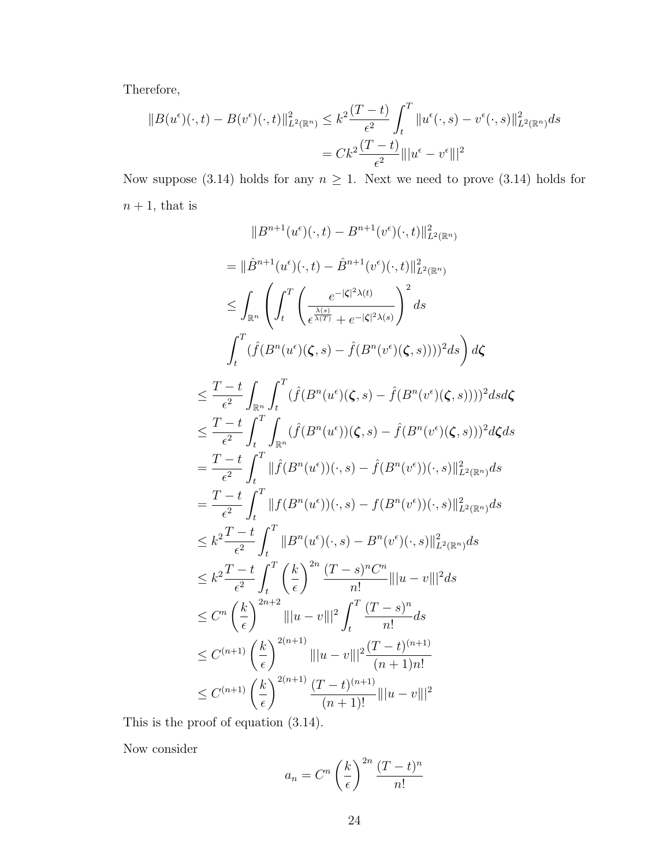Therefore,

$$
||B(u^{\epsilon})(\cdot,t) - B(v^{\epsilon})(\cdot,t)||_{L^{2}(\mathbb{R}^{n})}^{2} \leq k^{2} \frac{(T-t)}{\epsilon^{2}} \int_{t}^{T} ||u^{\epsilon}(\cdot,s) - v^{\epsilon}(\cdot,s)||_{L^{2}(\mathbb{R}^{n})}^{2} ds
$$
  
= 
$$
C k^{2} \frac{(T-t)}{\epsilon^{2}} |||u^{\epsilon} - v^{\epsilon}|||^{2}
$$

Now suppose (3.14) holds for any  $n \geq 1$ . Next we need to prove (3.14) holds for  $n+1,$  that is

$$
||B^{n+1}(u^{\epsilon})(\cdot,t) - B^{n+1}(v^{\epsilon})(\cdot,t)||_{L^{2}(\mathbb{R}^{n})}^{2}
$$
\n
$$
= ||\hat{B}^{n+1}(u^{\epsilon})(\cdot,t) - \hat{B}^{n+1}(v^{\epsilon})(\cdot,t)||_{L^{2}(\mathbb{R}^{n})}^{2}
$$
\n
$$
\leq \int_{\mathbb{R}^{n}} \left( \int_{t}^{T} \left( \frac{e^{-|\zeta|^{2}\lambda(t)}}{\epsilon^{\frac{\lambda(s)}{\lambda(T)}} + e^{-|\zeta|^{2}\lambda(s)}} \right)^{2} ds \right)
$$
\n
$$
\int_{t}^{T} \left( \hat{f}(B^{n}(u^{\epsilon})(\zeta,s) - \hat{f}(B^{n}(v^{\epsilon})(\zeta,s))))^{2} ds \right) d\zeta
$$
\n
$$
\leq \frac{T-t}{\epsilon^{2}} \int_{\mathbb{R}^{n}} \int_{t}^{T} \left( \hat{f}(B^{n}(u^{\epsilon})(\zeta,s) - \hat{f}(B^{n}(v^{\epsilon})(\zeta,s))))^{2} ds d\zeta
$$
\n
$$
\leq \frac{T-t}{\epsilon^{2}} \int_{t}^{T} \int_{\mathbb{R}^{n}} (\hat{f}(B^{n}(u^{\epsilon}))(\zeta,s) - \hat{f}(B^{n}(v^{\epsilon})(\zeta,s)))^{2} d\zeta ds
$$
\n
$$
= \frac{T-t}{\epsilon^{2}} \int_{t}^{T} ||\hat{f}(B^{n}(u^{\epsilon}))(\cdot,s) - \hat{f}(B^{n}(v^{\epsilon}))(\cdot,s)||_{L^{2}(\mathbb{R}^{n})}^{2} ds
$$
\n
$$
\leq k^{2} \frac{T-t}{\epsilon^{2}} \int_{t}^{T} ||B^{n}(u^{\epsilon})(\cdot,s) - B^{n}(v^{\epsilon})(\cdot,s)||_{L^{2}(\mathbb{R}^{n})}^{2} ds
$$
\n
$$
\leq k^{2} \frac{T-t}{\epsilon^{2}} \int_{t}^{T} ||B^{n}(u^{\epsilon})(\cdot,s) - B^{n}(v^{\epsilon})(\cdot,s)||_{L^{2}(\mathbb{R}^{n})}^{2} ds
$$
\n
$$
\leq k^{2} \frac{T-t}{\epsilon^{2}} \int_{t}^{T} ||B^{n}(u^{\epsilon})(\cdot,s) - B^{n}(v^
$$

This is the proof of equation (3.14).

Now consider

$$
a_n = C^n \left(\frac{k}{\epsilon}\right)^{2n} \frac{(T-t)^n}{n!}
$$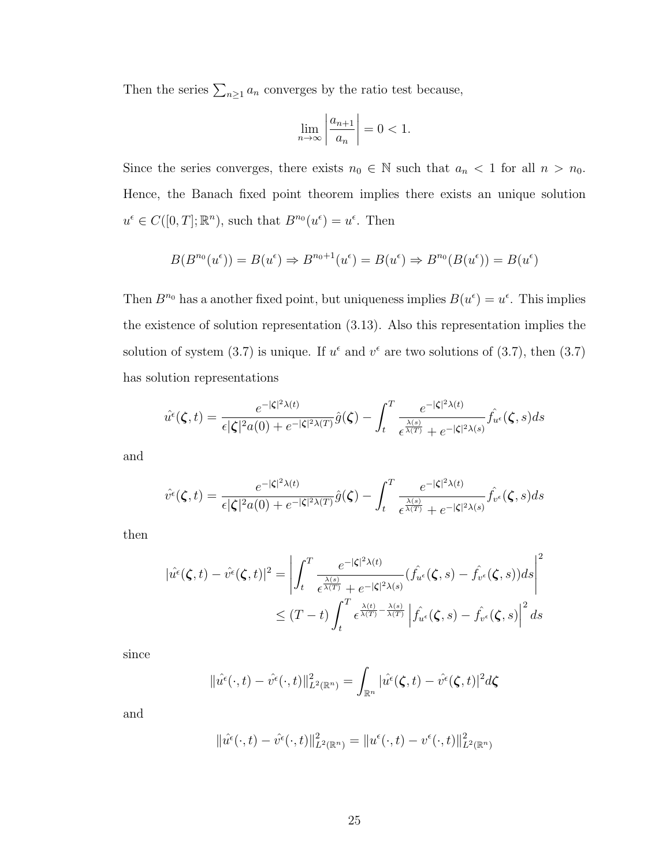Then the series  $\sum_{n\geq 1} a_n$  converges by the ratio test because,

$$
\lim_{n \to \infty} \left| \frac{a_{n+1}}{a_n} \right| = 0 < 1.
$$

Since the series converges, there exists  $n_0 \in \mathbb{N}$  such that  $a_n < 1$  for all  $n > n_0$ . Hence, the Banach fixed point theorem implies there exists an unique solution  $u^{\epsilon} \in C([0,T];\mathbb{R}^{n}),$  such that  $B^{n_0}(u^{\epsilon}) = u^{\epsilon}$ . Then

$$
B(B^{n_0}(u^{\epsilon})) = B(u^{\epsilon}) \Rightarrow B^{n_0+1}(u^{\epsilon}) = B(u^{\epsilon}) \Rightarrow B^{n_0}(B(u^{\epsilon})) = B(u^{\epsilon})
$$

Then  $B^{n_0}$  has a another fixed point, but uniqueness implies  $B(u^{\epsilon}) = u^{\epsilon}$ . This implies the existence of solution representation (3.13). Also this representation implies the solution of system (3.7) is unique. If  $u^{\epsilon}$  and  $v^{\epsilon}$  are two solutions of (3.7), then (3.7) has solution representations

$$
\hat{u}^{\epsilon}(\boldsymbol{\zeta},t) = \frac{e^{-|\boldsymbol{\zeta}|^{2}\lambda(t)}}{\epsilon |\boldsymbol{\zeta}|^{2}a(0) + e^{-|\boldsymbol{\zeta}|^{2}\lambda(T)}}\hat{g}(\boldsymbol{\zeta}) - \int_{t}^{T} \frac{e^{-|\boldsymbol{\zeta}|^{2}\lambda(t)}}{\epsilon^{\frac{\lambda(s)}{\lambda(T)}} + e^{-|\boldsymbol{\zeta}|^{2}\lambda(s)}}\hat{f}_{u^{\epsilon}}(\boldsymbol{\zeta},s)ds
$$

and

$$
\hat{v}^{\epsilon}(\boldsymbol{\zeta},t) = \frac{e^{-|\boldsymbol{\zeta}|^{2}\lambda(t)}}{\epsilon |\boldsymbol{\zeta}|^{2}a(0) + e^{-|\boldsymbol{\zeta}|^{2}\lambda(T)}}\hat{g}(\boldsymbol{\zeta}) - \int_{t}^{T} \frac{e^{-|\boldsymbol{\zeta}|^{2}\lambda(t)}}{\epsilon^{\frac{\lambda(s)}{\lambda(T)}} + e^{-|\boldsymbol{\zeta}|^{2}\lambda(s)}}\hat{f}_{v^{\epsilon}}(\boldsymbol{\zeta},s)ds
$$

then

$$
|\hat{u}^{\epsilon}(\boldsymbol{\zeta},t) - \hat{v}^{\epsilon}(\boldsymbol{\zeta},t)|^{2} = \left| \int_{t}^{T} \frac{e^{-|\boldsymbol{\zeta}|^{2}\lambda(t)}}{\epsilon^{\frac{\lambda(s)}{\lambda(T)} + e^{-|\boldsymbol{\zeta}|^{2}\lambda(s)}}} (\hat{f}_{u^{\epsilon}}(\boldsymbol{\zeta},s) - \hat{f}_{v^{\epsilon}}(\boldsymbol{\zeta},s))ds \right|^{2}
$$
  

$$
\leq (T-t) \int_{t}^{T} \epsilon^{\frac{\lambda(t)}{\lambda(T)} - \frac{\lambda(s)}{\lambda(T)}} \left| \hat{f}_{u^{\epsilon}}(\boldsymbol{\zeta},s) - \hat{f}_{v^{\epsilon}}(\boldsymbol{\zeta},s) \right|^{2} ds
$$

since

$$
\|\hat{u}^{\epsilon}(\cdot,t) - \hat{v}^{\epsilon}(\cdot,t)\|_{L^{2}(\mathbb{R}^{n})}^{2} = \int_{\mathbb{R}^{n}} |\hat{u}^{\epsilon}(\boldsymbol{\zeta},t) - \hat{v}^{\epsilon}(\boldsymbol{\zeta},t)|^{2} d\boldsymbol{\zeta}
$$

and

$$
\|\hat{u}^{\epsilon}(\cdot,t) - \hat{v}^{\epsilon}(\cdot,t)\|_{L^2(\mathbb{R}^n)}^2 = \|u^{\epsilon}(\cdot,t) - v^{\epsilon}(\cdot,t)\|_{L^2(\mathbb{R}^n)}^2
$$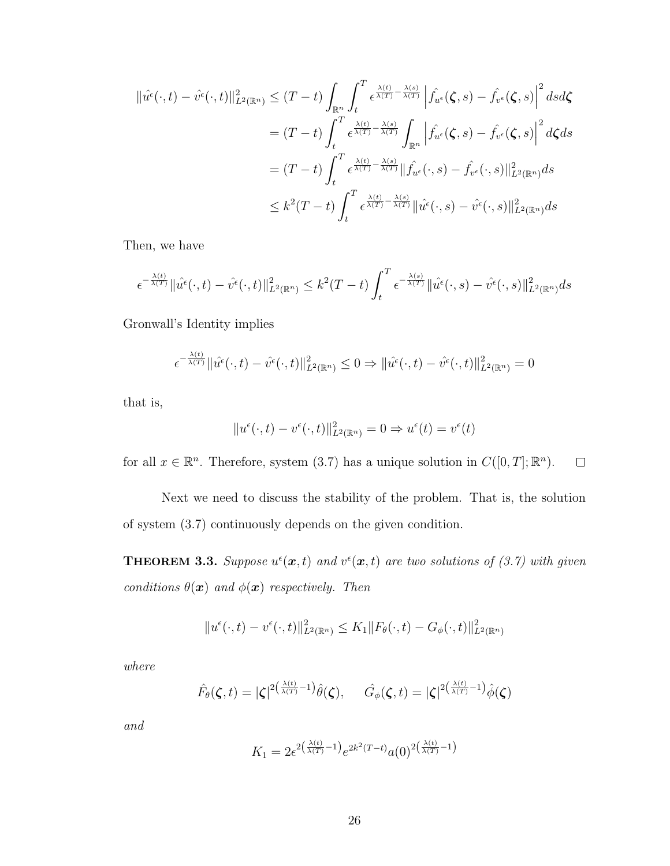$$
\begin{split} \|\hat{u}^{\epsilon}(\cdot,t)-\hat{v}^{\epsilon}(\cdot,t)\|_{L^{2}(\mathbb{R}^{n})}^{2} &\leq (T-t) \int_{\mathbb{R}^{n}} \int_{t}^{T} \epsilon^{\frac{\lambda(t)}{\lambda(T)}-\frac{\lambda(s)}{\lambda(T)}} \left| \hat{f}_{u^{\epsilon}}(\boldsymbol{\zeta},s)-\hat{f}_{v^{\epsilon}}(\boldsymbol{\zeta},s) \right|^{2} ds d\boldsymbol{\zeta} \\ &= (T-t) \int_{t}^{T} \epsilon^{\frac{\lambda(t)}{\lambda(T)}-\frac{\lambda(s)}{\lambda(T)}} \int_{\mathbb{R}^{n}} \left| \hat{f}_{u^{\epsilon}}(\boldsymbol{\zeta},s)-\hat{f}_{v^{\epsilon}}(\boldsymbol{\zeta},s) \right|^{2} d\boldsymbol{\zeta} ds \\ &= (T-t) \int_{t}^{T} \epsilon^{\frac{\lambda(t)}{\lambda(T)}-\frac{\lambda(s)}{\lambda(T)}} \| \hat{f}_{u^{\epsilon}}(\cdot,s)-\hat{f}_{v^{\epsilon}}(\cdot,s) \|_{L^{2}(\mathbb{R}^{n})}^{2} ds \\ &\leq k^{2}(T-t) \int_{t}^{T} \epsilon^{\frac{\lambda(t)}{\lambda(T)}-\frac{\lambda(s)}{\lambda(T)}} \| \hat{u}^{\epsilon}(\cdot,s)-\hat{v}^{\epsilon}(\cdot,s) \|_{L^{2}(\mathbb{R}^{n})}^{2} ds \end{split}
$$

Then, we have

$$
\epsilon^{-\frac{\lambda(t)}{\lambda(T)}} \|\hat{u}^{\epsilon}(\cdot,t) - \hat{v}^{\epsilon}(\cdot,t)\|_{L^{2}(\mathbb{R}^{n})}^{2} \leq k^{2}(T-t) \int_{t}^{T} \epsilon^{-\frac{\lambda(s)}{\lambda(T)}} \|\hat{u}^{\epsilon}(\cdot,s) - \hat{v}^{\epsilon}(\cdot,s)\|_{L^{2}(\mathbb{R}^{n})}^{2} ds
$$

Gronwall's Identity implies

$$
\epsilon^{-\frac{\lambda(t)}{\lambda(T)}} \|\hat{u}^{\epsilon}(\cdot,t) - \hat{v}^{\epsilon}(\cdot,t)\|_{L^{2}(\mathbb{R}^{n})}^{2} \leq 0 \Rightarrow \|\hat{u}^{\epsilon}(\cdot,t) - \hat{v}^{\epsilon}(\cdot,t)\|_{L^{2}(\mathbb{R}^{n})}^{2} = 0
$$

that is,

$$
||u^{\epsilon}(\cdot,t) - v^{\epsilon}(\cdot,t)||_{L^2(\mathbb{R}^n)}^2 = 0 \Rightarrow u^{\epsilon}(t) = v^{\epsilon}(t)
$$

for all  $x \in \mathbb{R}^n$ . Therefore, system (3.7) has a unique solution in  $C([0, T]; \mathbb{R}^n)$ .  $\Box$ 

Next we need to discuss the stability of the problem. That is, the solution of system (3.7) continuously depends on the given condition.

**THEOREM 3.3.** Suppose  $u^{\epsilon}(\boldsymbol{x}, t)$  and  $v^{\epsilon}(\boldsymbol{x}, t)$  are two solutions of (3.7) with given conditions  $\theta(\mathbf{x})$  and  $\phi(\mathbf{x})$  respectively. Then

$$
||u^{\epsilon}(\cdot,t)-v^{\epsilon}(\cdot,t)||_{L^{2}(\mathbb{R}^{n})}^{2} \leq K_{1}||F_{\theta}(\cdot,t)-G_{\phi}(\cdot,t)||_{L^{2}(\mathbb{R}^{n})}^{2}
$$

where

$$
\hat{F}_{\theta}(\boldsymbol{\zeta},t)=|\boldsymbol{\zeta}|^{2(\frac{\lambda(t)}{\lambda(T)}-1)}\hat{\theta}(\boldsymbol{\zeta}), \quad \hat{G}_{\phi}(\boldsymbol{\zeta},t)=|\boldsymbol{\zeta}|^{2(\frac{\lambda(t)}{\lambda(T)}-1)}\hat{\phi}(\boldsymbol{\zeta})
$$

and

$$
K_1 = 2e^{2(\frac{\lambda(t)}{\lambda(T)} - 1)}e^{2k^2(T - t)}a(0)^{2(\frac{\lambda(t)}{\lambda(T)} - 1)}
$$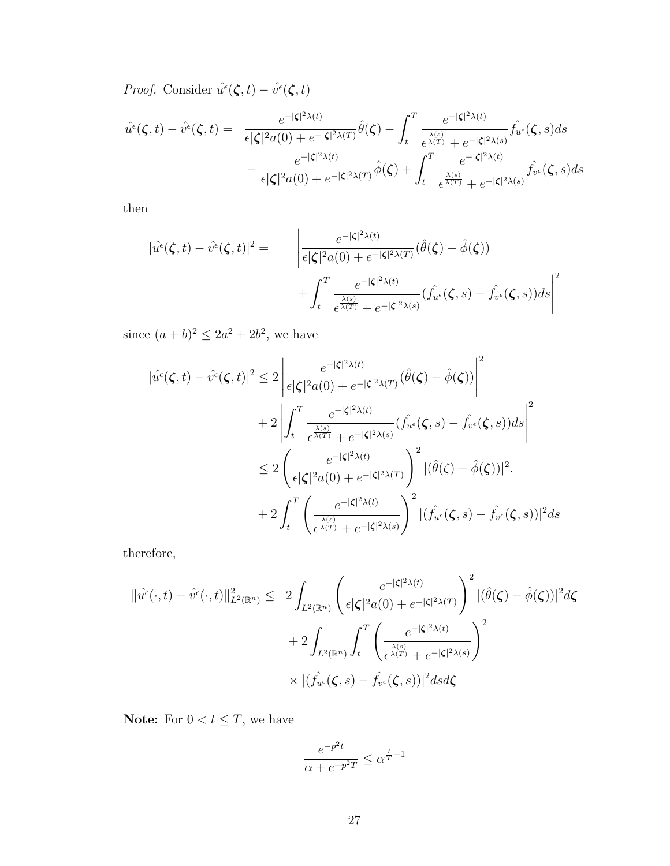*Proof.* Consider  $\hat{u}^{\epsilon}(\boldsymbol{\zeta},t) - \hat{v}^{\epsilon}(\boldsymbol{\zeta},t)$ 

$$
\hat{u}^{\epsilon}(\boldsymbol{\zeta},t) - \hat{v}^{\epsilon}(\boldsymbol{\zeta},t) = \frac{e^{-|\boldsymbol{\zeta}|^{2}\lambda(t)}}{\epsilon |\boldsymbol{\zeta}|^{2}a(0) + e^{-|\boldsymbol{\zeta}|^{2}\lambda(T)}}\hat{\theta}(\boldsymbol{\zeta}) - \int_{t}^{T} \frac{e^{-|\boldsymbol{\zeta}|^{2}\lambda(t)}}{\epsilon^{\frac{\lambda(s)}{\lambda(T)}} + e^{-|\boldsymbol{\zeta}|^{2}\lambda(s)}} \hat{f}_{u^{\epsilon}}(\boldsymbol{\zeta},s)ds
$$

$$
- \frac{e^{-|\boldsymbol{\zeta}|^{2}\lambda(t)}}{\epsilon |\boldsymbol{\zeta}|^{2}a(0) + e^{-|\boldsymbol{\zeta}|^{2}\lambda(T)}}\hat{\phi}(\boldsymbol{\zeta}) + \int_{t}^{T} \frac{e^{-|\boldsymbol{\zeta}|^{2}\lambda(t)}}{\epsilon^{\frac{\lambda(s)}{\lambda(T)}} + e^{-|\boldsymbol{\zeta}|^{2}\lambda(s)}} \hat{f}_{v^{\epsilon}}(\boldsymbol{\zeta},s)ds
$$

then

$$
|\hat{u}^{\epsilon}(\boldsymbol{\zeta},t)-\hat{v}^{\epsilon}(\boldsymbol{\zeta},t)|^{2} = \left|\frac{e^{-|\boldsymbol{\zeta}|^{2}\lambda(t)}}{\epsilon |\boldsymbol{\zeta}|^{2}a(0)+e^{-|\boldsymbol{\zeta}|^{2}\lambda(T)}}(\hat{\theta}(\boldsymbol{\zeta})-\hat{\phi}(\boldsymbol{\zeta})) + \int_{t}^{T} \frac{e^{-|\boldsymbol{\zeta}|^{2}\lambda(t)}}{\epsilon^{\frac{\lambda(s)}{\lambda(T)}}+e^{-|\boldsymbol{\zeta}|^{2}\lambda(s)}}(\hat{f}_{u^{\epsilon}}(\boldsymbol{\zeta},s)-\hat{f}_{v^{\epsilon}}(\boldsymbol{\zeta},s))ds\right|^{2}
$$

since  $(a + b)^2 \le 2a^2 + 2b^2$ , we have

$$
\begin{split} |\hat{u^{\epsilon}}(\boldsymbol{\zeta},t)-\hat{v^{\epsilon}}(\boldsymbol{\zeta},t)|^{2} &\leq 2\left|\frac{e^{-|\boldsymbol{\zeta}|^{2}\lambda(t)}}{\epsilon|\boldsymbol{\zeta}|^{2}a(0)+e^{-|\boldsymbol{\zeta}|^{2}\lambda(T)}}(\hat{\theta}(\boldsymbol{\zeta})-\hat{\phi}(\boldsymbol{\zeta}))\right|^{2} \\ &+2\left|\int_{t}^{T}\frac{e^{-|\boldsymbol{\zeta}|^{2}\lambda(t)}}{\epsilon^{\frac{\lambda(s)}{\lambda(T)}}+e^{-|\boldsymbol{\zeta}|^{2}\lambda(s)}}(f_{u^{\epsilon}}(\boldsymbol{\zeta},s)-f_{v^{\epsilon}}(\boldsymbol{\zeta},s))ds\right|^{2} \\ &\leq 2\left(\frac{e^{-|\boldsymbol{\zeta}|^{2}\lambda(t)}}{\epsilon|\boldsymbol{\zeta}|^{2}a(0)+e^{-|\boldsymbol{\zeta}|^{2}\lambda(T)}}\right)^{2}|(\hat{\theta}(\boldsymbol{\zeta})-\hat{\phi}(\boldsymbol{\zeta}))|^{2} \\ &+2\int_{t}^{T}\left(\frac{e^{-|\boldsymbol{\zeta}|^{2}\lambda(t)}}{\epsilon^{\frac{\lambda(s)}{\lambda(T)}}+e^{-|\boldsymbol{\zeta}|^{2}\lambda(s)}}\right)^{2}|(f_{u^{\epsilon}}(\boldsymbol{\zeta},s)-f_{v^{\epsilon}}(\boldsymbol{\zeta},s))|^{2}ds \end{split}
$$

therefore,

$$
\begin{array}{cl} \displaystyle \|\hat{u^\epsilon}(\cdot,t)-\hat{v^\epsilon}(\cdot,t)\|_{L^2(\mathbb{R}^n)}^2\leq & \displaystyle 2\int_{L^2(\mathbb{R}^n)}\left(\frac{e^{-|\zeta|^2\lambda(t)}}{\epsilon|\zeta|^2a(0)+e^{-|\zeta|^2\lambda(T)}}\right)^2|(\hat{\theta}(\zeta)-\hat{\phi}(\zeta))|^2d\zeta\\[0.4cm] &+2\displaystyle\int_{L^2(\mathbb{R}^n)}\int_t^T\left(\frac{e^{-|\zeta|^2\lambda(t)}}{\epsilon^{\frac{\lambda(s)}{\lambda(T)}}+e^{-|\zeta|^2\lambda(s)}}\right)^2\\[0.4cm] &\qquad \times |(\hat{f_{u^\epsilon}}(\zeta,s)-\hat{f_{v^\epsilon}}(\zeta,s))|^2dsd\zeta \end{array}
$$

**Note:** For  $0 < t \leq T$ , we have

$$
\frac{e^{-p^2t}}{\alpha + e^{-p^2T}} \le \alpha^{\frac{t}{T}-1}
$$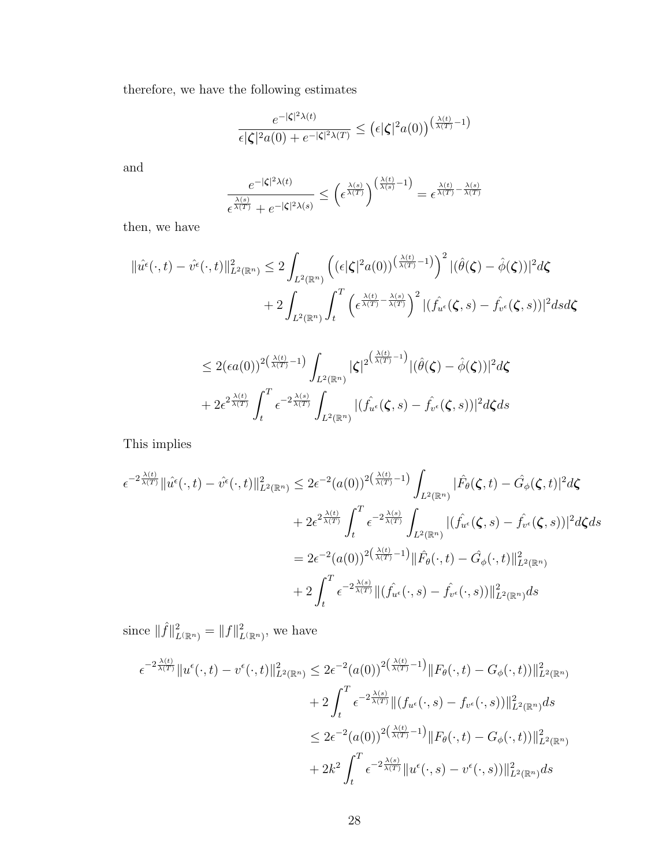therefore, we have the following estimates

$$
\frac{e^{-|\zeta|^2\lambda(t)}}{\epsilon |\zeta|^2 a(0) + e^{-|\zeta|^2\lambda(T)}} \leq (\epsilon |\zeta|^2 a(0))^{\left(\frac{\lambda(t)}{\lambda(T)} - 1\right)}
$$

and

$$
\frac{e^{-|\zeta|^2\lambda(t)}}{\frac{\lambda(s)}{\epsilon^{\lambda(T)}}+e^{-|\zeta|^2\lambda(s)}}\leq \left(\epsilon^{\frac{\lambda(s)}{\lambda(T)}}\right)^{\left(\frac{\lambda(t)}{\lambda(s)}-1\right)}=\epsilon^{\frac{\lambda(t)}{\lambda(T)}-\frac{\lambda(s)}{\lambda(T)}}
$$

then, we have

$$
\begin{split} \|\hat{u}^{\epsilon}(\cdot,t)-\hat{v}^{\epsilon}(\cdot,t)\|^{2}_{L^{2}(\mathbb{R}^{n})}&\leq 2\int_{L^{2}(\mathbb{R}^{n})}\left((\epsilon|\boldsymbol{\zeta}|^{2}a(0))^{ \left(\frac{\lambda(t)}{\lambda(T)}-1\right)}\right)^{2} |(\hat{\theta}(\boldsymbol{\zeta})-\hat{\phi}(\boldsymbol{\zeta}))|^{2}d\boldsymbol{\zeta} \\ &+2\int_{L^{2}(\mathbb{R}^{n})}\int_{t}^{T}\left(\epsilon^{\frac{\lambda(t)}{\lambda(T)}-\frac{\lambda(s)}{\lambda(T)} }\right)^{2} |(\hat{f_{u^{\epsilon}}(\boldsymbol{\zeta},s)-\hat{f_{v^{\epsilon}}(\boldsymbol{\zeta},s)})|^{2}dsd\boldsymbol{\zeta} \end{split}
$$

$$
\leq 2(\epsilon a(0))^{2(\frac{\lambda(t)}{\lambda(T)}-1)} \int_{L^{2}(\mathbb{R}^{n})} |\zeta|^{2(\frac{\lambda(t)}{\lambda(T)}-1)} |(\hat{\theta}(\zeta)-\hat{\phi}(\zeta))|^{2} d\zeta
$$
  
+  $2\epsilon^{2\frac{\lambda(t)}{\lambda(T)}} \int_{t}^{T} \epsilon^{-2\frac{\lambda(s)}{\lambda(T)}} \int_{L^{2}(\mathbb{R}^{n})} |(\hat{f}_{u^{\epsilon}}(\zeta,s)-\hat{f}_{v^{\epsilon}}(\zeta,s))|^{2} d\zeta ds$ 

This implies

$$
\epsilon^{-2\frac{\lambda(t)}{\lambda(T)}} \|\hat{u}^{\epsilon}(\cdot,t) - \hat{v}^{\epsilon}(\cdot,t)\|_{L^{2}(\mathbb{R}^{n})}^{2} \leq 2\epsilon^{-2} (a(0))^{2\left(\frac{\lambda(t)}{\lambda(T)} - 1\right)} \int_{L^{2}(\mathbb{R}^{n})} |\hat{F}_{\theta}(\zeta,t) - \hat{G}_{\phi}(\zeta,t)|^{2} d\zeta
$$
  
+  $2\epsilon^{2\frac{\lambda(t)}{\lambda(T)}} \int_{t}^{T} \epsilon^{-2\frac{\lambda(s)}{\lambda(T)}} \int_{L^{2}(\mathbb{R}^{n})} |(\hat{f}_{u^{\epsilon}}(\zeta,s) - \hat{f}_{v^{\epsilon}}(\zeta,s))|^{2} d\zeta ds$   
=  $2\epsilon^{-2} (a(0))^{2\left(\frac{\lambda(t)}{\lambda(T)} - 1\right)} \|\hat{F}_{\theta}(\cdot,t) - \hat{G}_{\phi}(\cdot,t)\|_{L^{2}(\mathbb{R}^{n})}^{2}$   
+  $2\int_{t}^{T} \epsilon^{-2\frac{\lambda(s)}{\lambda(T)}} \|(f_{u^{\epsilon}}(\cdot,s) - \hat{f}_{v^{\epsilon}}(\cdot,s))\|_{L^{2}(\mathbb{R}^{n})}^{2} ds$ 

since  $\|\hat{f}\|^2_{L(\mathbb{R}^n)} = \|f\|^2_{L(\mathbb{R}^n)}$ , we have

$$
\epsilon^{-2\frac{\lambda(t)}{\lambda(T)}} \|u^{\epsilon}(\cdot,t) - v^{\epsilon}(\cdot,t)\|_{L^{2}(\mathbb{R}^{n})}^{2} \leq 2\epsilon^{-2}(a(0))^{2(\frac{\lambda(t)}{\lambda(T)}-1)} \|F_{\theta}(\cdot,t) - G_{\phi}(\cdot,t)\|_{L^{2}(\mathbb{R}^{n})}^{2}
$$
  
+ 
$$
2\int_{t}^{T} \epsilon^{-2\frac{\lambda(s)}{\lambda(T)}} \|(f_{u^{\epsilon}}(\cdot,s) - f_{v^{\epsilon}}(\cdot,s))\|_{L^{2}(\mathbb{R}^{n})}^{2} ds
$$
  

$$
\leq 2\epsilon^{-2}(a(0))^{2(\frac{\lambda(t)}{\lambda(T)}-1)} \|F_{\theta}(\cdot,t) - G_{\phi}(\cdot,t)\|_{L^{2}(\mathbb{R}^{n})}^{2}
$$
  
+ 
$$
2k^{2} \int_{t}^{T} \epsilon^{-2\frac{\lambda(s)}{\lambda(T)}} \|u^{\epsilon}(\cdot,s) - v^{\epsilon}(\cdot,s)\|_{L^{2}(\mathbb{R}^{n})}^{2} ds
$$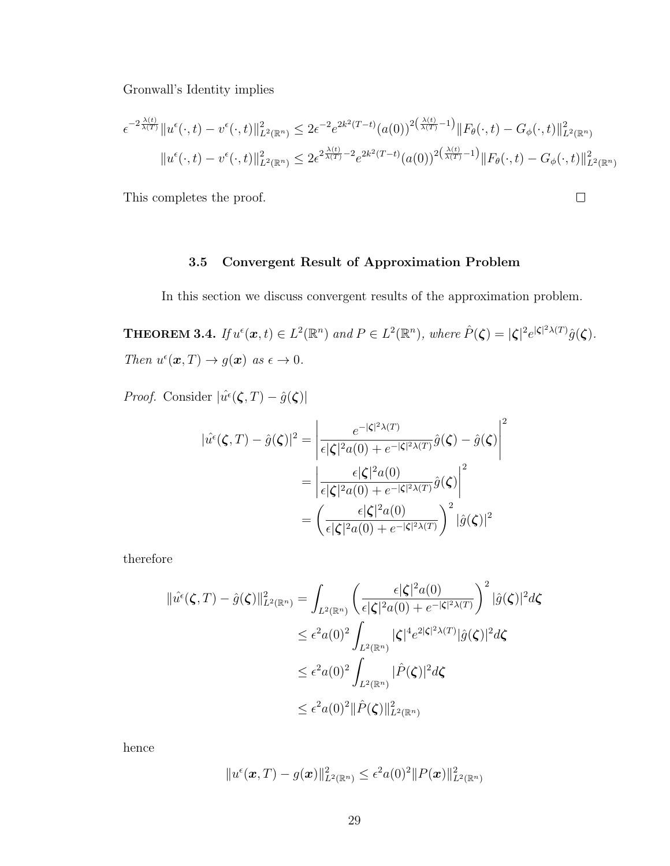Gronwall's Identity implies

$$
\epsilon^{-2\frac{\lambda(t)}{\lambda(T)}} \|u^{\epsilon}(\cdot,t) - v^{\epsilon}(\cdot,t)\|_{L^{2}(\mathbb{R}^{n})}^{2} \leq 2\epsilon^{-2}e^{2k^{2}(T-t)}(a(0))^{2\left(\frac{\lambda(t)}{\lambda(T)}-1\right)} \|F_{\theta}(\cdot,t) - G_{\phi}(\cdot,t)\|_{L^{2}(\mathbb{R}^{n})}^{2}
$$

$$
\|u^{\epsilon}(\cdot,t) - v^{\epsilon}(\cdot,t)\|_{L^{2}(\mathbb{R}^{n})}^{2} \leq 2\epsilon^{2\frac{\lambda(t)}{\lambda(T)}-2}e^{2k^{2}(T-t)}(a(0))^{2\left(\frac{\lambda(t)}{\lambda(T)}-1\right)} \|F_{\theta}(\cdot,t) - G_{\phi}(\cdot,t)\|_{L^{2}(\mathbb{R}^{n})}^{2}
$$

 $\Box$ 

This completes the proof.

## 3.5 Convergent Result of Approximation Problem

In this section we discuss convergent results of the approximation problem.

**THEOREM 3.4.** If  $u^{\epsilon}(\boldsymbol{x},t) \in L^{2}(\mathbb{R}^{n})$  and  $P \in L^{2}(\mathbb{R}^{n})$ , where  $\hat{P}(\boldsymbol{\zeta}) = |\boldsymbol{\zeta}|^{2} e^{|\boldsymbol{\zeta}|^{2} \lambda(T)} \hat{g}(\boldsymbol{\zeta})$ . Then  $u^{\epsilon}(\boldsymbol{x}, T) \to g(\boldsymbol{x})$  as  $\epsilon \to 0$ .

*Proof.* Consider  $|\hat{u}(\zeta,T) - \hat{g}(\zeta)|$ 

$$
|\hat{u}^{\epsilon}(\boldsymbol{\zeta},T) - \hat{g}(\boldsymbol{\zeta})|^2 = \left| \frac{e^{-|\boldsymbol{\zeta}|^2 \lambda(T)}}{\epsilon |\boldsymbol{\zeta}|^2 a(0) + e^{-|\boldsymbol{\zeta}|^2 \lambda(T)}} \hat{g}(\boldsymbol{\zeta}) - \hat{g}(\boldsymbol{\zeta}) \right|^2
$$

$$
= \left| \frac{\epsilon |\boldsymbol{\zeta}|^2 a(0)}{\epsilon |\boldsymbol{\zeta}|^2 a(0) + e^{-|\boldsymbol{\zeta}|^2 \lambda(T)}} \hat{g}(\boldsymbol{\zeta}) \right|^2
$$

$$
= \left( \frac{\epsilon |\boldsymbol{\zeta}|^2 a(0)}{\epsilon |\boldsymbol{\zeta}|^2 a(0) + e^{-|\boldsymbol{\zeta}|^2 \lambda(T)}} \right)^2 |\hat{g}(\boldsymbol{\zeta})|^2
$$

therefore

$$
\begin{split} \|\hat{u}^{\epsilon}(\boldsymbol{\zeta},T)-\hat{g}(\boldsymbol{\zeta})\|_{L^{2}(\mathbb{R}^{n})}^{2} &= \int_{L^{2}(\mathbb{R}^{n})} \left(\frac{\epsilon |\boldsymbol{\zeta}|^{2} a(0)}{\epsilon |\boldsymbol{\zeta}|^{2} a(0) + e^{-|\boldsymbol{\zeta}|^{2}\lambda(T)}}\right)^{2} |\hat{g}(\boldsymbol{\zeta})|^{2} d\boldsymbol{\zeta} \\ &\leq \epsilon^{2} a(0)^{2} \int_{L^{2}(\mathbb{R}^{n})} |\boldsymbol{\zeta}|^{4} e^{2|\boldsymbol{\zeta}|^{2}\lambda(T)} |\hat{g}(\boldsymbol{\zeta})|^{2} d\boldsymbol{\zeta} \\ &\leq \epsilon^{2} a(0)^{2} \int_{L^{2}(\mathbb{R}^{n})} |\hat{P}(\boldsymbol{\zeta})|^{2} d\boldsymbol{\zeta} \\ &\leq \epsilon^{2} a(0)^{2} \|\hat{P}(\boldsymbol{\zeta})\|_{L^{2}(\mathbb{R}^{n})}^{2} \end{split}
$$

hence

$$
\|u^\epsilon(\boldsymbol{x},T)-g(\boldsymbol{x})\|_{L^2(\mathbb{R}^n)}^2\leq \epsilon^2 a(0)^2\|P(\boldsymbol{x})\|_{L^2(\mathbb{R}^n)}^2
$$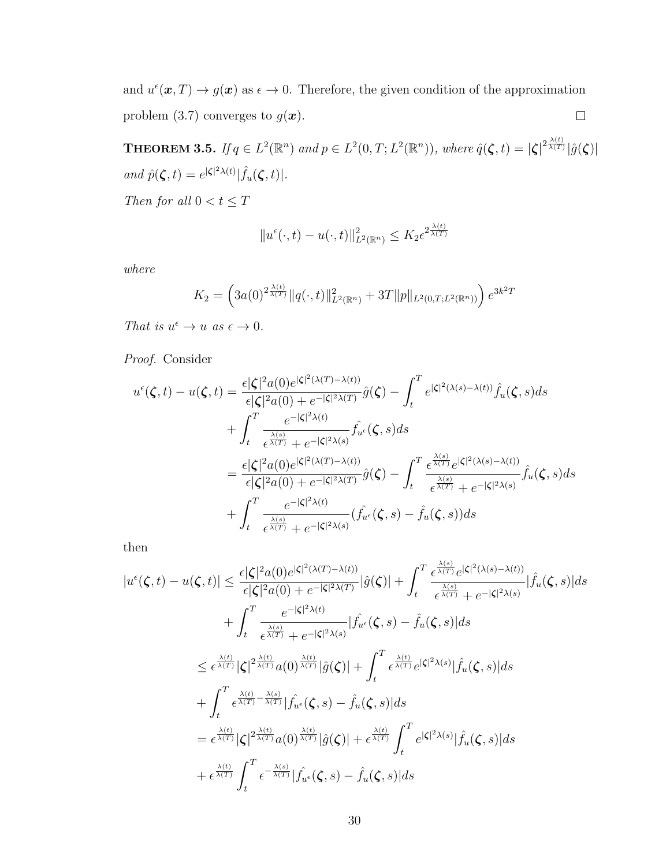and  $u^{\epsilon}(\boldsymbol{x}, T) \to g(\boldsymbol{x})$  as  $\epsilon \to 0$ . Therefore, the given condition of the approximation problem (3.7) converges to  $g(\boldsymbol{x})$ .  $\Box$ 

**THEOREM 3.5.** If  $q \in L^2(\mathbb{R}^n)$  and  $p \in L^2(0,T;L^2(\mathbb{R}^n))$ , where  $\hat{q}(\boldsymbol{\zeta},t) = |\boldsymbol{\zeta}|^{2\frac{\lambda(t)}{\lambda(T)}} |\hat{g}(\boldsymbol{\zeta})|$ and  $\hat{p}(\boldsymbol{\zeta},t) = e^{|\boldsymbol{\zeta}|^2 \lambda(t)} |\hat{f}_u(\boldsymbol{\zeta},t)|.$ 

Then for all  $0 < t \leq T$ 

$$
||u^{\epsilon}(\cdot,t) - u(\cdot,t)||_{L^{2}(\mathbb{R}^{n})}^{2} \leq K_{2} \epsilon^{2\frac{\lambda(t)}{\lambda(T)}}
$$

where

$$
K_2 = \left(3a(0)^{2\frac{\lambda(t)}{\lambda(T)}} \|q(\cdot,t)\|_{L^2(\mathbb{R}^n)}^2 + 3T \|p\|_{L^2(0,T;L^2(\mathbb{R}^n))}\right) e^{3k^2T}
$$

That is  $u^{\epsilon} \to u$  as  $\epsilon \to 0$ .

Proof. Consider

$$
u^{\epsilon}(\boldsymbol{\zeta},t) - u(\boldsymbol{\zeta},t) = \frac{\epsilon |\boldsymbol{\zeta}|^{2} a(0) e^{|\boldsymbol{\zeta}|^{2}(\lambda(T)-\lambda(t))}}{\epsilon |\boldsymbol{\zeta}|^{2} a(0) + e^{-|\boldsymbol{\zeta}|^{2} \lambda(T)}} \hat{g}(\boldsymbol{\zeta}) - \int_{t}^{T} e^{|\boldsymbol{\zeta}|^{2}(\lambda(s)-\lambda(t))} \hat{f}_{u}(\boldsymbol{\zeta},s) ds + \int_{t}^{T} \frac{e^{-|\boldsymbol{\zeta}|^{2} \lambda(t)}}{\epsilon^{\frac{\lambda(s)}{\lambda(T)}} + e^{-|\boldsymbol{\zeta}|^{2} \lambda(s)}} \hat{f}_{u^{\epsilon}}(\boldsymbol{\zeta},s) ds = \frac{\epsilon |\boldsymbol{\zeta}|^{2} a(0) e^{|\boldsymbol{\zeta}|^{2}(\lambda(T)-\lambda(t))}}{\epsilon |\boldsymbol{\zeta}|^{2} a(0) + e^{-|\boldsymbol{\zeta}|^{2} \lambda(T)}} \hat{g}(\boldsymbol{\zeta}) - \int_{t}^{T} \frac{\epsilon^{\frac{\lambda(s)}{\lambda(T)}} e^{|\boldsymbol{\zeta}|^{2}(\lambda(s)-\lambda(t))}}{\epsilon^{\frac{\lambda(s)}{\lambda(T)}} + e^{-|\boldsymbol{\zeta}|^{2} \lambda(s)}} \hat{f}_{u}(\boldsymbol{\zeta},s) ds + \int_{t}^{T} \frac{e^{-|\boldsymbol{\zeta}|^{2} \lambda(t)}}{\epsilon^{\frac{\lambda(s)}{\lambda(T)}} + e^{-|\boldsymbol{\zeta}|^{2} \lambda(s)}} (\hat{f}_{u^{\epsilon}}(\boldsymbol{\zeta},s) - \hat{f}_{u}(\boldsymbol{\zeta},s)) ds
$$

then

$$
|u^{\epsilon}(\boldsymbol{\zeta},t) - u(\boldsymbol{\zeta},t)| \leq \frac{\epsilon |\boldsymbol{\zeta}|^{2} a(0)e^{|\boldsymbol{\zeta}|^{2}(\lambda(T)-\lambda(t))}}{\epsilon |\boldsymbol{\zeta}|^{2} a(0) + e^{-|\boldsymbol{\zeta}|^{2}(\lambda(T))}} |\hat{g}(\boldsymbol{\zeta})| + \int_{t}^{T} \frac{\epsilon^{\frac{\lambda(s)}{\lambda(T)}}\epsilon^{|\boldsymbol{\zeta}|^{2}(\lambda(s)-\lambda(t))}}{\epsilon^{\frac{\lambda(s)}{\lambda(T)}} + e^{-|\boldsymbol{\zeta}|^{2}(\lambda(t))}} |\hat{f}_{u}(\boldsymbol{\zeta},s)| ds
$$
  
\n
$$
\leq \epsilon^{\frac{\lambda(t)}{\lambda(T)}} |\boldsymbol{\zeta}|^{2\frac{\lambda(t)}{\lambda(T)}} a(0)^{\frac{\lambda(t)}{\lambda(T)}} |\hat{g}(\boldsymbol{\zeta})| + \int_{t}^{T} \epsilon^{\frac{\lambda(t)}{\lambda(T)}} e^{|\boldsymbol{\zeta}|^{2}(\lambda(s))} |\hat{f}_{u}(\boldsymbol{\zeta},s)| ds
$$
  
\n
$$
+ \int_{t}^{T} \epsilon^{\frac{\lambda(t)}{\lambda(T)}} \frac{|\boldsymbol{\zeta}|^{2\frac{\lambda(t)}{\lambda(T)}} a(0)^{\frac{\lambda(t)}{\lambda(T)}} |\hat{g}(\boldsymbol{\zeta})| + \int_{t}^{T} \epsilon^{\frac{\lambda(t)}{\lambda(T)}} e^{|\boldsymbol{\zeta}|^{2}(\lambda(s))} |\hat{f}_{u}(\boldsymbol{\zeta},s)| ds
$$
  
\n
$$
+ \int_{t}^{T} \epsilon^{\frac{\lambda(t)}{\lambda(T)}} |\boldsymbol{\zeta}|^{2\frac{\lambda(t)}{\lambda(T)}} a(0)^{\frac{\lambda(t)}{\lambda(T)}} |\hat{g}(\boldsymbol{\zeta})| + \epsilon^{\frac{\lambda(t)}{\lambda(T)}} \int_{t}^{T} e^{|\boldsymbol{\zeta}|^{2}(\lambda(s))} |\hat{f}_{u}(\boldsymbol{\zeta},s)| ds
$$
  
\n
$$
+ \epsilon^{\frac{\lambda(t)}{\lambda(T)}} \int_{t}^{T} \epsilon^{-\frac{\lambda(s)}{\lambda(T)}} |\hat{f}_{u^{\epsilon}}(\boldsymbol{\zeta},s) - \hat{f}_{u}(\boldsymbol{\zeta},s)| ds
$$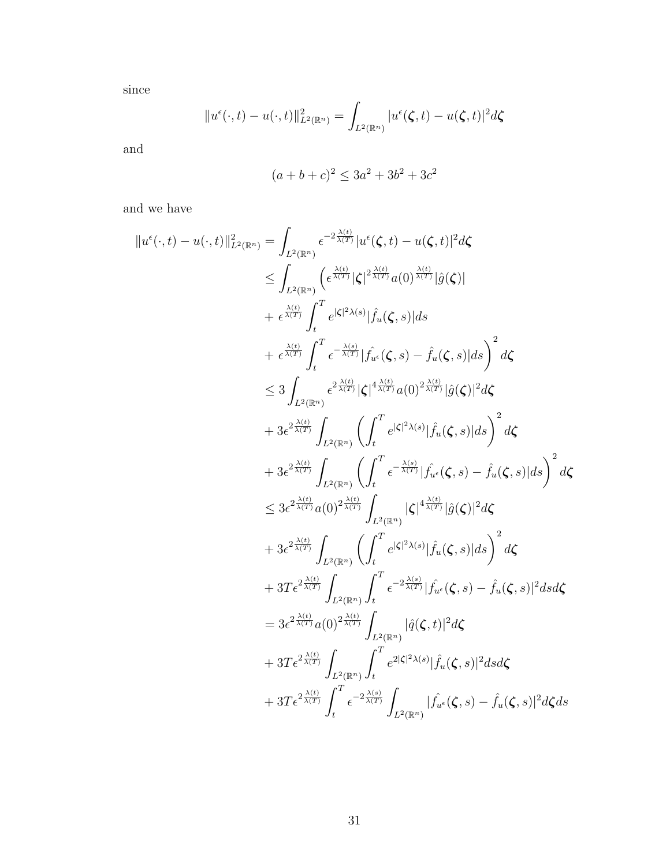since

$$
||u^{\epsilon}(\cdot,t)-u(\cdot,t)||_{L^{2}(\mathbb{R}^{n})}^{2}=\int_{L^{2}(\mathbb{R}^{n})}|u^{\epsilon}(\boldsymbol{\zeta},t)-u(\boldsymbol{\zeta},t)|^{2}d\boldsymbol{\zeta}
$$

and

$$
(a+b+c)^2 \le 3a^2 + 3b^2 + 3c^2
$$

and we have

$$
||u^{\epsilon}(\cdot,t) - u(\cdot,t)||_{L^{2}(\mathbb{R}^{n})}^{2} = \int_{L^{2}(\mathbb{R}^{n})} \epsilon^{-2\frac{\lambda(t)}{\lambda(T)}} |u^{\epsilon}(\zeta,t) - u(\zeta,t)|^{2} d\zeta
$$
  
\n
$$
\leq \int_{L^{2}(\mathbb{R}^{n})} \left(\epsilon^{\frac{\lambda(t)}{\lambda(T)}}|\zeta|^{2\frac{\lambda(t)}{\lambda(T)}}a(0)^{\frac{\lambda(t)}{\lambda(T)}}|\hat{g}(\zeta)|\right)
$$
  
\n
$$
+ \epsilon^{\frac{\lambda(t)}{\lambda(T)}}\int_{t}^{T} \epsilon^{-\frac{\lambda(s)}{\lambda(T)}}|f_{u^{\epsilon}}(\zeta,s) - \hat{f}_{u}(\zeta,s)|ds\right)^{2} d\zeta
$$
  
\n
$$
\leq 3 \int_{L^{2}(\mathbb{R}^{n})} \epsilon^{2\frac{\lambda(t)}{\lambda(T)}}\int_{L^{2}(\mathbb{R}^{n})} \left|\zeta\right|^{4\frac{\lambda(t)}{\lambda(T)}}a(0)^{2\frac{\lambda(t)}{\lambda(T)}}|\hat{g}(\zeta)|^{2} d\zeta
$$
  
\n
$$
+ 3\epsilon^{2\frac{\lambda(t)}{\lambda(T)}}\int_{L^{2}(\mathbb{R}^{n})} \left(\int_{t}^{T} \epsilon^{-\frac{\lambda(s)}{\lambda(T)}}|\hat{f}_{u}(\zeta,s)|ds\right)^{2} d\zeta
$$
  
\n
$$
+ 3\epsilon^{2\frac{\lambda(t)}{\lambda(T)}}\int_{L^{2}(\mathbb{R}^{n})} \left(\int_{t}^{T} \epsilon^{-\frac{\lambda(s)}{\lambda(T)}}|f_{u^{\epsilon}}(\zeta,s) - \hat{f}_{u}(\zeta,s)|ds\right)^{2} d\zeta
$$
  
\n
$$
\leq 3\epsilon^{2\frac{\lambda(t)}{\lambda(T)}}\int_{L^{2}(\mathbb{R}^{n})} \left(\int_{t}^{T} \epsilon^{-\frac{\lambda(s)}{\lambda(T)}}|f_{u^{\epsilon}}(\zeta,s) - \hat{f}_{u}(\zeta,s)|ds\right)^{2} d\zeta
$$
  
\n
$$
+ 3\epsilon^{2\frac{\lambda(t)}{\lambda(T)}}\int_{L^{2}(\mathbb{R}^{n})} \left(\int_{t}^{T} \epsilon^{|\zeta|^{2} \lambda(s)}|\hat{f}_{u
$$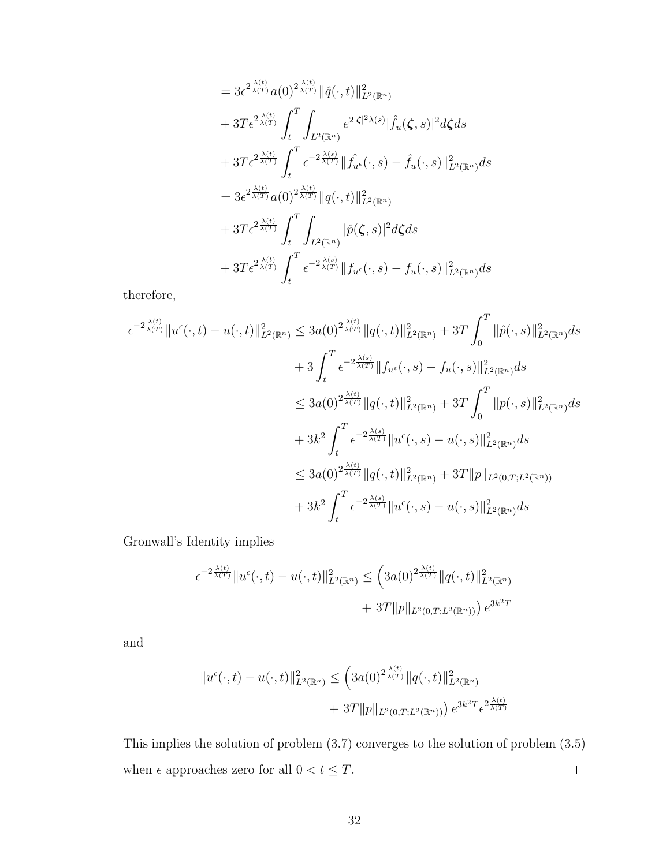$$
=3\epsilon^{2\frac{\lambda(t)}{\lambda(T)}}a(0)^{2\frac{\lambda(t)}{\lambda(T)}}\|\hat{q}(\cdot,t)\|_{L^{2}(\mathbb{R}^{n})}^{2}
$$
  
+3 $T\epsilon^{2\frac{\lambda(t)}{\lambda(T)}}\int_{t}^{T}\int_{L^{2}(\mathbb{R}^{n})}e^{2|\zeta|^{2}\lambda(s)}|\hat{f}_{u}(\zeta,s)|^{2}d\zeta ds$   
+3 $T\epsilon^{2\frac{\lambda(t)}{\lambda(T)}}\int_{t}^{T}\epsilon^{-2\frac{\lambda(s)}{\lambda(T)}}\|f_{u}(\cdot,s)-\hat{f}_{u}(\cdot,s)\|_{L^{2}(\mathbb{R}^{n})}^{2}ds$   
=3 $\epsilon^{2\frac{\lambda(t)}{\lambda(T)}}a(0)^{2\frac{\lambda(t)}{\lambda(T)}}\|q(\cdot,t)\|_{L^{2}(\mathbb{R}^{n})}^{2}$   
+3 $T\epsilon^{2\frac{\lambda(t)}{\lambda(T)}}\int_{t}^{T}\int_{L^{2}(\mathbb{R}^{n})}|\hat{p}(\zeta,s)|^{2}d\zeta ds$   
+3 $T\epsilon^{2\frac{\lambda(t)}{\lambda(T)}}\int_{t}^{T}\epsilon^{-2\frac{\lambda(s)}{\lambda(T)}}\|f_{u}(\cdot,s)-f_{u}(\cdot,s)\|_{L^{2}(\mathbb{R}^{n})}^{2}ds$ 

therefore,

$$
\epsilon^{-2\frac{\lambda(t)}{\lambda(T)}} \|u^{\epsilon}(\cdot,t) - u(\cdot,t)\|_{L^{2}(\mathbb{R}^{n})}^{2} \leq 3a(0)^{2\frac{\lambda(t)}{\lambda(T)}} \|q(\cdot,t)\|_{L^{2}(\mathbb{R}^{n})}^{2} + 3T \int_{0}^{T} \|\hat{p}(\cdot,s)\|_{L^{2}(\mathbb{R}^{n})}^{2} ds
$$
  
\n
$$
+ 3 \int_{t}^{T} \epsilon^{-2\frac{\lambda(s)}{\lambda(T)}} \|f_{u^{\epsilon}}(\cdot,s) - f_{u}(\cdot,s)\|_{L^{2}(\mathbb{R}^{n})}^{2} ds
$$
  
\n
$$
\leq 3a(0)^{2\frac{\lambda(t)}{\lambda(T)}} \|q(\cdot,t)\|_{L^{2}(\mathbb{R}^{n})}^{2} + 3T \int_{0}^{T} \|p(\cdot,s)\|_{L^{2}(\mathbb{R}^{n})}^{2} ds
$$
  
\n
$$
+ 3k^{2} \int_{t}^{T} \epsilon^{-2\frac{\lambda(s)}{\lambda(T)}} \|u^{\epsilon}(\cdot,s) - u(\cdot,s)\|_{L^{2}(\mathbb{R}^{n})}^{2} ds
$$
  
\n
$$
\leq 3a(0)^{2\frac{\lambda(t)}{\lambda(T)}} \|q(\cdot,t)\|_{L^{2}(\mathbb{R}^{n})}^{2} + 3T \|p\|_{L^{2}(0,T;L^{2}(\mathbb{R}^{n}))}
$$
  
\n
$$
+ 3k^{2} \int_{t}^{T} \epsilon^{-2\frac{\lambda(s)}{\lambda(T)}} \|u^{\epsilon}(\cdot,s) - u(\cdot,s)\|_{L^{2}(\mathbb{R}^{n})}^{2} ds
$$

Gronwall's Identity implies

$$
\epsilon^{-2\frac{\lambda(t)}{\lambda(T)}} \|u^{\epsilon}(\cdot,t) - u(\cdot,t)\|_{L^{2}(\mathbb{R}^{n})}^{2} \leq \left(3a(0)^{2\frac{\lambda(t)}{\lambda(T)}} \|q(\cdot,t)\|_{L^{2}(\mathbb{R}^{n})}^{2} + 3T \|p\|_{L^{2}(0,T;L^{2}(\mathbb{R}^{n}))}\right) e^{3k^{2}T}
$$

and

$$
||u^{\epsilon}(\cdot,t) - u(\cdot,t)||_{L^{2}(\mathbb{R}^{n})}^{2} \leq \left(3a(0)^{2\frac{\lambda(t)}{\lambda(T)}}||q(\cdot,t)||_{L^{2}(\mathbb{R}^{n})}^{2} + 3T||p||_{L^{2}(0,T;L^{2}(\mathbb{R}^{n}))}\right)e^{3k^{2}T}e^{2\frac{\lambda(t)}{\lambda(T)}}
$$

This implies the solution of problem (3.7) converges to the solution of problem (3.5) when  $\epsilon$  approaches zero for all  $0 < t \leq T.$  $\Box$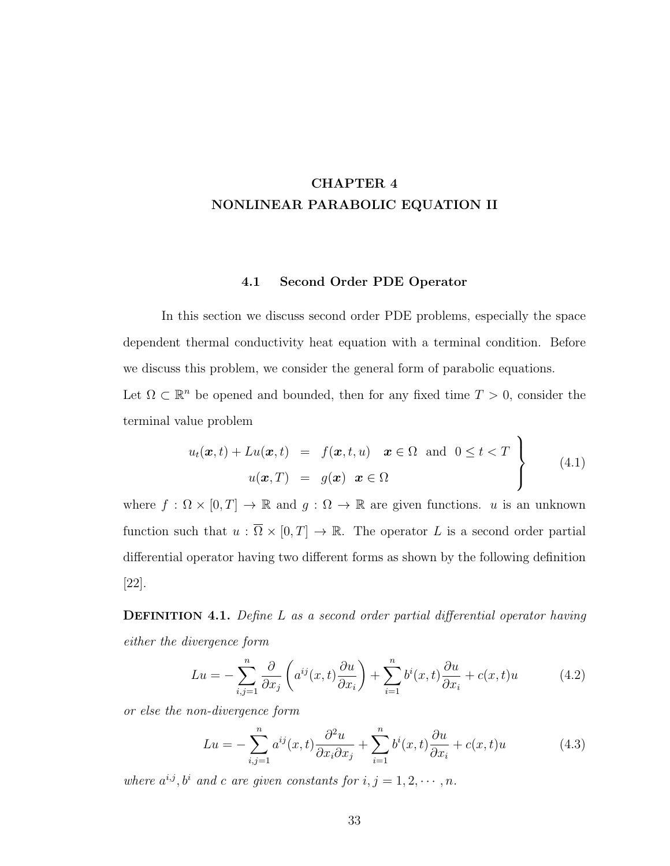# CHAPTER 4 NONLINEAR PARABOLIC EQUATION II

#### 4.1 Second Order PDE Operator

In this section we discuss second order PDE problems, especially the space dependent thermal conductivity heat equation with a terminal condition. Before we discuss this problem, we consider the general form of parabolic equations.

Let  $\Omega \subset \mathbb{R}^n$  be opened and bounded, then for any fixed time  $T > 0$ , consider the terminal value problem

$$
u_t(\boldsymbol{x},t) + Lu(\boldsymbol{x},t) = f(\boldsymbol{x},t,u) \boldsymbol{x} \in \Omega \text{ and } 0 \le t < T
$$
  

$$
u(\boldsymbol{x},T) = g(\boldsymbol{x}) \boldsymbol{x} \in \Omega
$$
 (4.1)

where  $f: \Omega \times [0, T] \to \mathbb{R}$  and  $g: \Omega \to \mathbb{R}$  are given functions. u is an unknown function such that  $u : \overline{\Omega} \times [0, T] \to \mathbb{R}$ . The operator L is a second order partial differential operator having two different forms as shown by the following definition [22].

DEFINITION 4.1. Define L as a second order partial differential operator having either the divergence form

$$
Lu = -\sum_{i,j=1}^{n} \frac{\partial}{\partial x_j} \left( a^{ij}(x,t) \frac{\partial u}{\partial x_i} \right) + \sum_{i=1}^{n} b^i(x,t) \frac{\partial u}{\partial x_i} + c(x,t)u \tag{4.2}
$$

or else the non-divergence form

$$
Lu = -\sum_{i,j=1}^{n} a^{ij}(x,t) \frac{\partial^2 u}{\partial x_i \partial x_j} + \sum_{i=1}^{n} b^i(x,t) \frac{\partial u}{\partial x_i} + c(x,t)u \tag{4.3}
$$

where  $a^{i,j}, b^i$  and c are given constants for  $i, j = 1, 2, \cdots, n$ .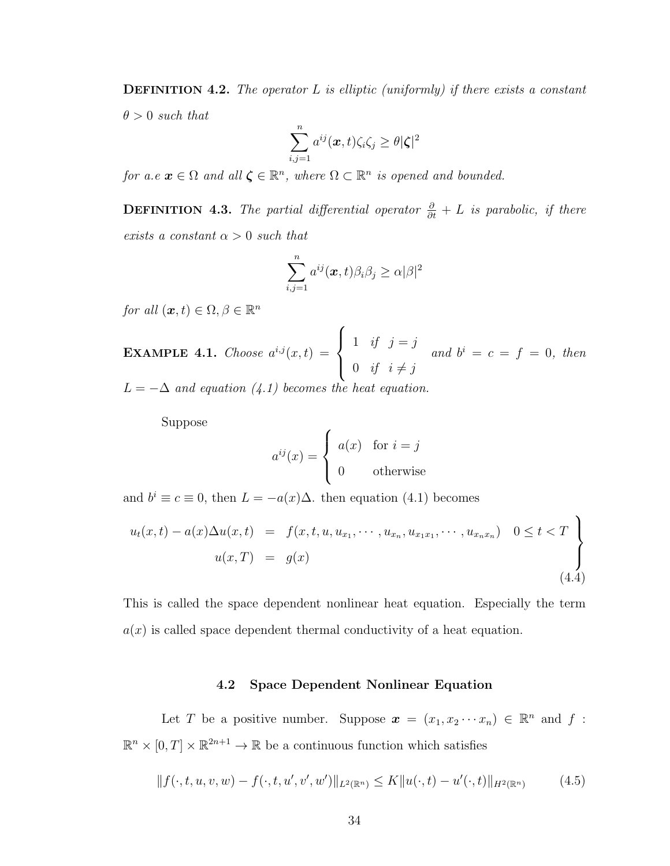**DEFINITION 4.2.** The operator  $L$  is elliptic (uniformly) if there exists a constant  $\theta > 0$  such that

$$
\sum_{i,j=1}^n a^{ij}(\boldsymbol{x},t)\zeta_i\zeta_j \geq \theta |\boldsymbol{\zeta}|^2
$$

for a.e  $x \in \Omega$  and all  $\zeta \in \mathbb{R}^n$ , where  $\Omega \subset \mathbb{R}^n$  is opened and bounded.

**DEFINITION** 4.3. The partial differential operator  $\frac{\partial}{\partial t} + L$  is parabolic, if there exists a constant  $\alpha > 0$  such that

$$
\sum_{i,j=1}^n a^{ij}(\boldsymbol{x},t)\beta_i\beta_j \ge \alpha |\beta|^2
$$

for all  $(\boldsymbol{x}, t) \in \Omega, \beta \in \mathbb{R}^n$ 

**EXAMPLE 4.1.** Choose 
$$
a^{i,j}(x,t) = \begin{cases} 1 & \text{if } j = j \\ 0 & \text{if } i \neq j \end{cases}
$$
 and  $b^{i} = c = f = 0$ , then

 $L = -\Delta$  and equation (4.1) becomes the heat equation.

Suppose

$$
a^{ij}(x) = \begin{cases} a(x) & \text{for } i = j \\ 0 & \text{otherwise} \end{cases}
$$

and  $b^i \equiv c \equiv 0$ , then  $L = -a(x)\Delta$ . then equation (4.1) becomes

$$
u_t(x,t) - a(x)\Delta u(x,t) = f(x,t, u, u_{x_1}, \cdots, u_{x_n}, u_{x_1x_1}, \cdots, u_{x_nx_n}) \quad 0 \le t < T
$$
  

$$
u(x,T) = g(x)
$$
 (4.4)

This is called the space dependent nonlinear heat equation. Especially the term  $a(x)$  is called space dependent thermal conductivity of a heat equation.

### 4.2 Space Dependent Nonlinear Equation

Let T be a positive number. Suppose  $\boldsymbol{x} = (x_1, x_2 \cdots x_n) \in \mathbb{R}^n$  and  $f$ :  $\mathbb{R}^n \times [0,T] \times \mathbb{R}^{2n+1} \to \mathbb{R}$  be a continuous function which satisfies

$$
||f(\cdot,t,u,v,w) - f(\cdot,t,u',v',w')||_{L^{2}(\mathbb{R}^{n})} \leq K||u(\cdot,t) - u'(\cdot,t)||_{H^{2}(\mathbb{R}^{n})}
$$
(4.5)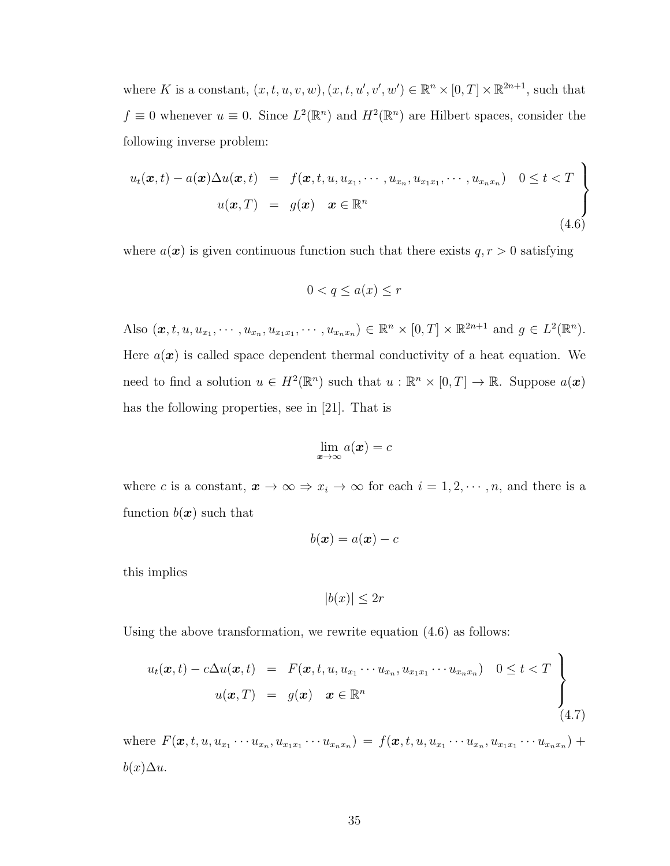where K is a constant,  $(x, t, u, v, w), (x, t, u', v', w') \in \mathbb{R}^n \times [0, T] \times \mathbb{R}^{2n+1}$ , such that  $f \equiv 0$  whenever  $u \equiv 0$ . Since  $L^2(\mathbb{R}^n)$  and  $H^2(\mathbb{R}^n)$  are Hilbert spaces, consider the following inverse problem:

$$
u_t(\boldsymbol{x},t) - a(\boldsymbol{x})\Delta u(\boldsymbol{x},t) = f(\boldsymbol{x},t,u,u_{x_1},\cdots,u_{x_n},u_{x_1x_1},\cdots,u_{x_nx_n}) \quad 0 \leq t < T
$$
  

$$
u(\boldsymbol{x},T) = g(\boldsymbol{x}) \quad \boldsymbol{x} \in \mathbb{R}^n
$$
(4.6)

where  $a(x)$  is given continuous function such that there exists  $q, r > 0$  satisfying

$$
0 < q \le a(x) \le r
$$

Also  $(\bm{x}, t, u, u_{x_1}, \cdots, u_{x_n}, u_{x_1x_1}, \cdots, u_{x_nx_n}) \in \mathbb{R}^n \times [0, T] \times \mathbb{R}^{2n+1}$  and  $g \in L^2(\mathbb{R}^n)$ . Here  $a(x)$  is called space dependent thermal conductivity of a heat equation. We need to find a solution  $u \in H^2(\mathbb{R}^n)$  such that  $u : \mathbb{R}^n \times [0,T] \to \mathbb{R}$ . Suppose  $a(\boldsymbol{x})$ has the following properties, see in [21]. That is

$$
\lim_{\boldsymbol{x}\to\infty}a(\boldsymbol{x})=c
$$

where c is a constant,  $x \to \infty \Rightarrow x_i \to \infty$  for each  $i = 1, 2, \dots, n$ , and there is a function  $b(x)$  such that

$$
b(\bm{x}) = a(\bm{x}) - c
$$

this implies

$$
|b(x)| \le 2r
$$

Using the above transformation, we rewrite equation (4.6) as follows:

$$
u_t(\boldsymbol{x},t) - c\Delta u(\boldsymbol{x},t) = F(\boldsymbol{x},t,u,u_{x_1}\cdots u_{x_n},u_{x_1x_1}\cdots u_{x_nx_n}) \quad 0\leq t < T
$$
  

$$
u(\boldsymbol{x},T) = g(\boldsymbol{x}) \quad \boldsymbol{x} \in \mathbb{R}^n
$$
 (4.7)

where  $F(\mathbf{x}, t, u, u_{x_1} \cdots u_{x_n}, u_{x_1x_1} \cdots u_{x_nx_n}) = f(\mathbf{x}, t, u, u_{x_1} \cdots u_{x_n}, u_{x_1x_1} \cdots u_{x_nx_n}) +$  $b(x)\Delta u$ .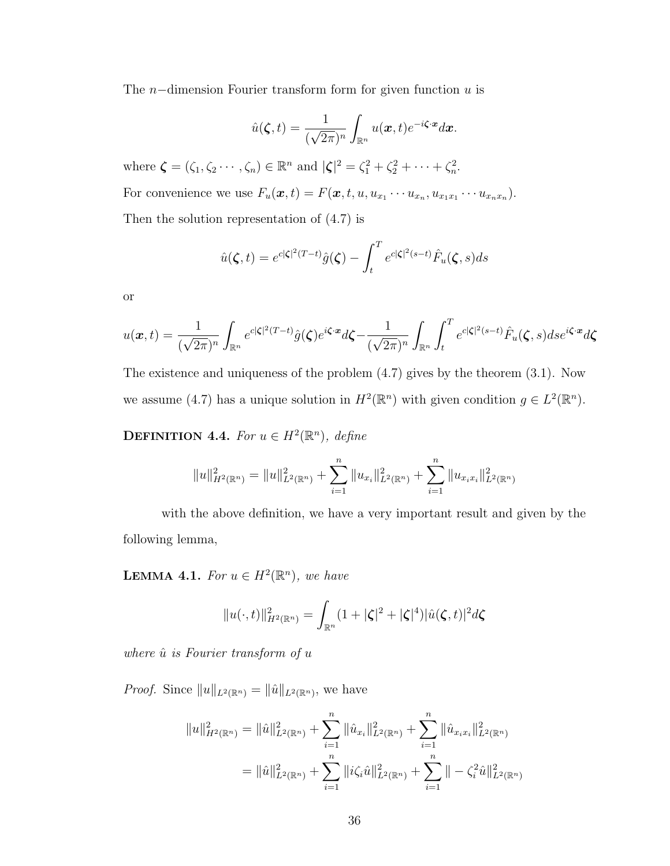The  $n$ −dimension Fourier transform form for given function  $u$  is

$$
\hat{u}(\boldsymbol{\zeta},t) = \frac{1}{(\sqrt{2\pi})^n} \int_{\mathbb{R}^n} u(\boldsymbol{x},t) e^{-i\boldsymbol{\zeta} \cdot \boldsymbol{x}} d\boldsymbol{x}.
$$

where  $\boldsymbol{\zeta} = (\zeta_1, \zeta_2 \cdots, \zeta_n) \in \mathbb{R}^n$  and  $|\boldsymbol{\zeta}|^2 = \zeta_1^2 + \zeta_2^2 + \cdots + \zeta_n^2$ . For convenience we use  $F_u(\boldsymbol{x},t) = F(\boldsymbol{x},t, u, u_{x_1} \cdots u_{x_n}, u_{x_1x_1} \cdots u_{x_nx_n}).$ Then the solution representation of (4.7) is

$$
\hat{u}(\boldsymbol{\zeta},t) = e^{c|\boldsymbol{\zeta}|^{2}(T-t)}\hat{g}(\boldsymbol{\zeta}) - \int_{t}^{T} e^{c|\boldsymbol{\zeta}|^{2}(s-t)}\hat{F}_{u}(\boldsymbol{\zeta},s)ds
$$

or

$$
u(\boldsymbol{x},t) = \frac{1}{(\sqrt{2\pi})^n} \int_{\mathbb{R}^n} e^{c|\zeta|^2 (T-t)} \hat{g}(\zeta) e^{i\zeta \cdot \boldsymbol{x}} d\zeta - \frac{1}{(\sqrt{2\pi})^n} \int_{\mathbb{R}^n} \int_t^T e^{c|\zeta|^2 (s-t)} \hat{F}_u(\zeta, s) ds e^{i\zeta \cdot \boldsymbol{x}} d\zeta
$$

The existence and uniqueness of the problem (4.7) gives by the theorem (3.1). Now we assume (4.7) has a unique solution in  $H^2(\mathbb{R}^n)$  with given condition  $g \in L^2(\mathbb{R}^n)$ .

**DEFINITION 4.4.** For  $u \in H^2(\mathbb{R}^n)$ , define

$$
||u||_{H^2(\mathbb{R}^n)}^2 = ||u||_{L^2(\mathbb{R}^n)}^2 + \sum_{i=1}^n ||u_{x_i}||_{L^2(\mathbb{R}^n)}^2 + \sum_{i=1}^n ||u_{x_ix_i}||_{L^2(\mathbb{R}^n)}^2
$$

with the above definition, we have a very important result and given by the following lemma,

**LEMMA 4.1.** For  $u \in H^2(\mathbb{R}^n)$ , we have

$$
||u(\cdot,t)||_{H^2(\mathbb{R}^n)}^2 = \int_{\mathbb{R}^n} (1+|\zeta|^2 + |\zeta|^4) |\hat{u}(\zeta,t)|^2 d\zeta
$$

where  $\hat{u}$  is Fourier transform of  $u$ 

*Proof.* Since  $||u||_{L^2(\mathbb{R}^n)} = ||\hat{u}||_{L^2(\mathbb{R}^n)}$ , we have

$$
||u||_{H^{2}(\mathbb{R}^{n})}^{2} = ||\hat{u}||_{L^{2}(\mathbb{R}^{n})}^{2} + \sum_{i=1}^{n} ||\hat{u}_{x_{i}}||_{L^{2}(\mathbb{R}^{n})}^{2} + \sum_{i=1}^{n} ||\hat{u}_{x_{i}x_{i}}||_{L^{2}(\mathbb{R}^{n})}^{2}
$$

$$
= ||\hat{u}||_{L^{2}(\mathbb{R}^{n})}^{2} + \sum_{i=1}^{n} ||i\zeta_{i}\hat{u}||_{L^{2}(\mathbb{R}^{n})}^{2} + \sum_{i=1}^{n} ||-\zeta_{i}^{2}\hat{u}||_{L^{2}(\mathbb{R}^{n})}^{2}
$$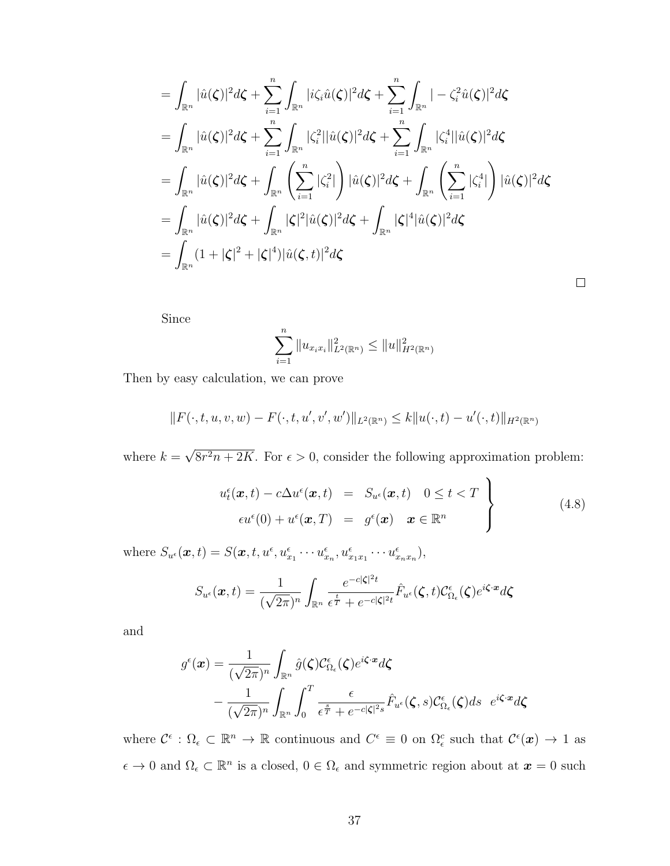$$
= \int_{\mathbb{R}^n} |\hat{u}(\zeta)|^2 d\zeta + \sum_{i=1}^n \int_{\mathbb{R}^n} |i\zeta_i \hat{u}(\zeta)|^2 d\zeta + \sum_{i=1}^n \int_{\mathbb{R}^n} |-\zeta_i^2 \hat{u}(\zeta)|^2 d\zeta
$$
  
\n
$$
= \int_{\mathbb{R}^n} |\hat{u}(\zeta)|^2 d\zeta + \sum_{i=1}^n \int_{\mathbb{R}^n} |\zeta_i^2| |\hat{u}(\zeta)|^2 d\zeta + \sum_{i=1}^n \int_{\mathbb{R}^n} |\zeta_i^4| |\hat{u}(\zeta)|^2 d\zeta
$$
  
\n
$$
= \int_{\mathbb{R}^n} |\hat{u}(\zeta)|^2 d\zeta + \int_{\mathbb{R}^n} \left(\sum_{i=1}^n |\zeta_i^2| \right) |\hat{u}(\zeta)|^2 d\zeta + \int_{\mathbb{R}^n} \left(\sum_{i=1}^n |\zeta_i^4| \right) |\hat{u}(\zeta)|^2 d\zeta
$$
  
\n
$$
= \int_{\mathbb{R}^n} |\hat{u}(\zeta)|^2 d\zeta + \int_{\mathbb{R}^n} |\zeta|^2 |\hat{u}(\zeta)|^2 d\zeta + \int_{\mathbb{R}^n} |\zeta|^4 |\hat{u}(\zeta)|^2 d\zeta
$$
  
\n
$$
= \int_{\mathbb{R}^n} (1 + |\zeta|^2 + |\zeta|^4) |\hat{u}(\zeta, t)|^2 d\zeta
$$

Since

$$
\sum_{i=1}^{n} \|u_{x_ix_i}\|_{L^2(\mathbb{R}^n)}^2 \le \|u\|_{H^2(\mathbb{R}^n)}^2
$$

Then by easy calculation, we can prove

$$
||F(\cdot,t,u,v,w) - F(\cdot,t,u',v',w')||_{L^2(\mathbb{R}^n)} \le k||u(\cdot,t) - u'(\cdot,t)||_{H^2(\mathbb{R}^n)}
$$

where  $k =$ √  $8r<sup>2</sup>n + 2K$ . For  $\epsilon > 0$ , consider the following approximation problem:

$$
u_t^{\epsilon}(\boldsymbol{x},t) - c\Delta u^{\epsilon}(\boldsymbol{x},t) = S_{u^{\epsilon}}(\boldsymbol{x},t) \quad 0 \le t < T
$$
  
\n
$$
\epsilon u^{\epsilon}(0) + u^{\epsilon}(\boldsymbol{x},T) = g^{\epsilon}(\boldsymbol{x}) \quad \boldsymbol{x} \in \mathbb{R}^n
$$
\n(4.8)

 $\Box$ 

where  $S_{u^{\epsilon}}(\boldsymbol{x},t) = S(\boldsymbol{x},t,u^{\epsilon},u^{\epsilon}_{x_1}\cdots u^{\epsilon}_{x_n},u^{\epsilon}_{x_1x_1}\cdots u^{\epsilon}_{x_nx_n}),$ 

$$
S_{u^{\epsilon}}(\boldsymbol{x},t) = \frac{1}{(\sqrt{2\pi})^n} \int_{\mathbb{R}^n} \frac{e^{-c|\boldsymbol{\zeta}|^2 t}}{\epsilon^{\frac{t}{T}} + e^{-c|\boldsymbol{\zeta}|^2 t}} \hat{F}_{u^{\epsilon}}(\boldsymbol{\zeta},t) \mathcal{C}_{\Omega_{\epsilon}}^{\epsilon}(\boldsymbol{\zeta}) e^{i\boldsymbol{\zeta} \cdot \boldsymbol{x}} d\boldsymbol{\zeta}
$$

and

$$
g^{\epsilon}(\boldsymbol{x}) = \frac{1}{(\sqrt{2\pi})^n} \int_{\mathbb{R}^n} \hat{g}(\boldsymbol{\zeta}) \mathcal{C}^{\epsilon}_{\Omega_{\epsilon}}(\boldsymbol{\zeta}) e^{i\boldsymbol{\zeta} \cdot \boldsymbol{x}} d\boldsymbol{\zeta}
$$

$$
- \frac{1}{(\sqrt{2\pi})^n} \int_{\mathbb{R}^n} \int_0^T \frac{\epsilon}{\epsilon^{\frac{s}{T}} + e^{-c|\boldsymbol{\zeta}|^2 s}} \hat{F}_{u^{\epsilon}}(\boldsymbol{\zeta}, s) \mathcal{C}^{\epsilon}_{\Omega_{\epsilon}}(\boldsymbol{\zeta}) ds \quad e^{i\boldsymbol{\zeta} \cdot \boldsymbol{x}} d\boldsymbol{\zeta}
$$

where  $\mathcal{C}^{\epsilon}: \Omega_{\epsilon} \subset \mathbb{R}^{n} \to \mathbb{R}$  continuous and  $C^{\epsilon} \equiv 0$  on  $\Omega_{\epsilon}^{c}$  such that  $\mathcal{C}^{\epsilon}(\boldsymbol{x}) \to 1$  as  $\epsilon \to 0$  and  $\Omega_{\epsilon} \subset \mathbb{R}^n$  is a closed,  $0 \in \Omega_{\epsilon}$  and symmetric region about at  $\mathbf{x} = 0$  such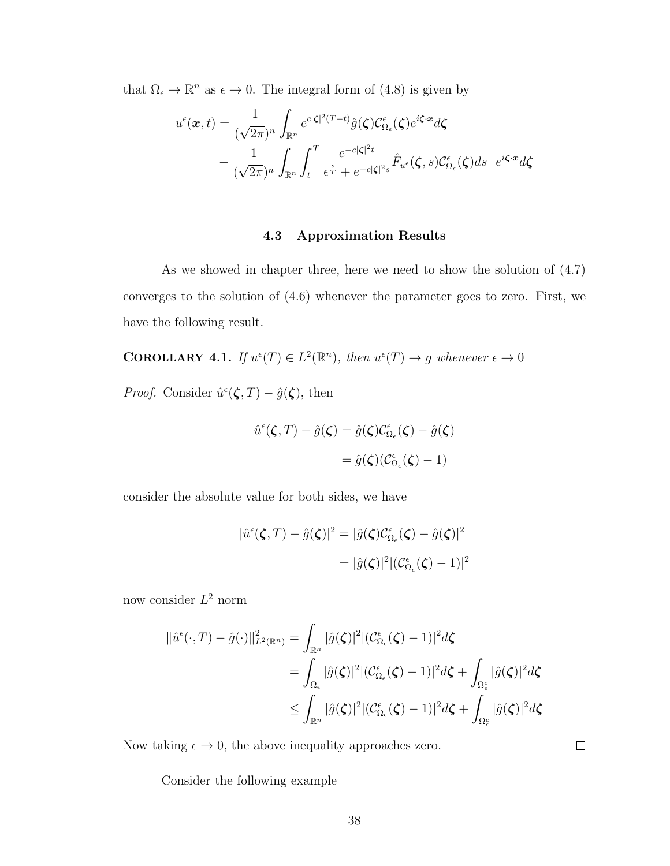that  $\Omega_{\epsilon} \to \mathbb{R}^{n}$  as  $\epsilon \to 0$ . The integral form of (4.8) is given by

$$
u^{\epsilon}(\boldsymbol{x},t) = \frac{1}{(\sqrt{2\pi})^n} \int_{\mathbb{R}^n} e^{c|\boldsymbol{\zeta}|^2 (T-t)} \hat{g}(\boldsymbol{\zeta}) \mathcal{C}_{\Omega_{\epsilon}}^{\epsilon}(\boldsymbol{\zeta}) e^{i\boldsymbol{\zeta} \cdot \boldsymbol{x}} d\boldsymbol{\zeta}
$$

$$
- \frac{1}{(\sqrt{2\pi})^n} \int_{\mathbb{R}^n} \int_t^T \frac{e^{-c|\boldsymbol{\zeta}|^2 t}}{\epsilon^{\frac{s}{T}} + e^{-c|\boldsymbol{\zeta}|^2 s}} \hat{F}_{u^{\epsilon}}(\boldsymbol{\zeta},s) \mathcal{C}_{\Omega_{\epsilon}}^{\epsilon}(\boldsymbol{\zeta}) ds \quad e^{i\boldsymbol{\zeta} \cdot \boldsymbol{x}} d\boldsymbol{\zeta}
$$

#### 4.3 Approximation Results

As we showed in chapter three, here we need to show the solution of (4.7) converges to the solution of (4.6) whenever the parameter goes to zero. First, we have the following result.

**COROLLARY 4.1.** If  $u^{\epsilon}(T) \in L^2(\mathbb{R}^n)$ , then  $u^{\epsilon}(T) \to g$  whenever  $\epsilon \to 0$ *Proof.* Consider  $\hat{u}^{\epsilon}(\boldsymbol{\zeta},T) - \hat{g}(\boldsymbol{\zeta})$ , then

$$
\hat{u}^{\epsilon}(\boldsymbol{\zeta},T) - \hat{g}(\boldsymbol{\zeta}) = \hat{g}(\boldsymbol{\zeta}) \mathcal{C}_{\Omega_{\epsilon}}^{\epsilon}(\boldsymbol{\zeta}) - \hat{g}(\boldsymbol{\zeta})
$$

$$
= \hat{g}(\boldsymbol{\zeta}) (\mathcal{C}_{\Omega_{\epsilon}}^{\epsilon}(\boldsymbol{\zeta}) - 1)
$$

consider the absolute value for both sides, we have

$$
|\hat{u}^{\epsilon}(\boldsymbol{\zeta},T) - \hat{g}(\boldsymbol{\zeta})|^{2} = |\hat{g}(\boldsymbol{\zeta})\mathcal{C}_{\Omega_{\epsilon}}^{\epsilon}(\boldsymbol{\zeta}) - \hat{g}(\boldsymbol{\zeta})|^{2}
$$

$$
= |\hat{g}(\boldsymbol{\zeta})|^{2} |(\mathcal{C}_{\Omega_{\epsilon}}^{\epsilon}(\boldsymbol{\zeta}) - 1)|^{2}
$$

now consider  $L^2$  norm

$$
\begin{split} \|\hat{u}^{\epsilon}(\cdot,T)-\hat{g}(\cdot)\|_{L^{2}(\mathbb{R}^{n})}^{2}&=\int_{\mathbb{R}^{n}}|\hat{g}(\boldsymbol{\zeta})|^{2}|(\mathcal{C}^{\epsilon}_{\Omega_{\epsilon}}(\boldsymbol{\zeta})-1)|^{2}d\boldsymbol{\zeta} \\ &=\int_{\Omega_{\epsilon}}|\hat{g}(\boldsymbol{\zeta})|^{2}|(\mathcal{C}^{\epsilon}_{\Omega_{\epsilon}}(\boldsymbol{\zeta})-1)|^{2}d\boldsymbol{\zeta}+\int_{\Omega_{\epsilon}^{c}}|\hat{g}(\boldsymbol{\zeta})|^{2}d\boldsymbol{\zeta} \\ &\leq \int_{\mathbb{R}^{n}}|\hat{g}(\boldsymbol{\zeta})|^{2}|(\mathcal{C}^{\epsilon}_{\Omega_{\epsilon}}(\boldsymbol{\zeta})-1)|^{2}d\boldsymbol{\zeta}+\int_{\Omega_{\epsilon}^{c}}|\hat{g}(\boldsymbol{\zeta})|^{2}d\boldsymbol{\zeta} \end{split}
$$

Now taking  $\epsilon \to 0$ , the above inequality approaches zero.

Consider the following example

 $\Box$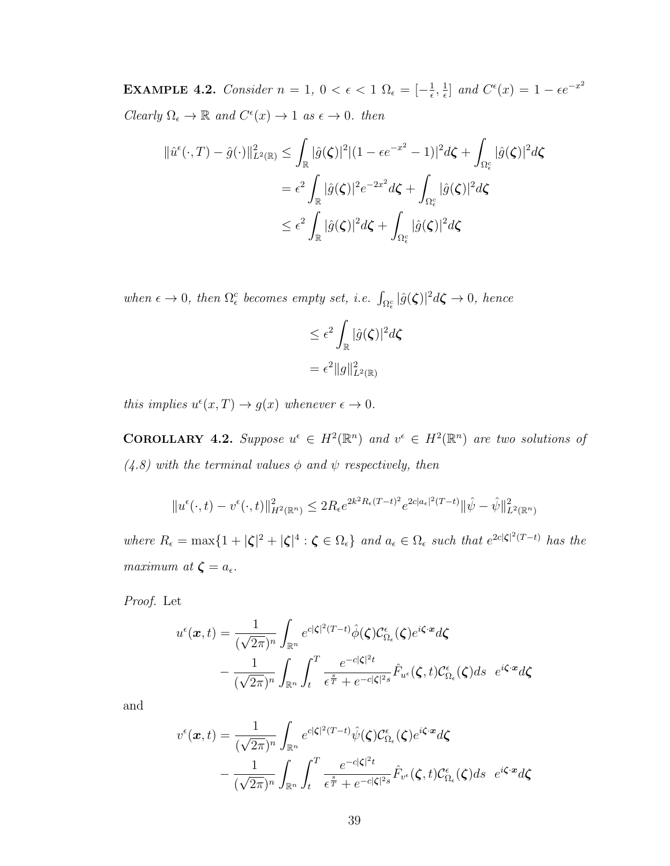**EXAMPLE 4.2.** Consider  $n = 1, 0 < \epsilon < 1$   $\Omega_{\epsilon} = \begin{bmatrix} -\frac{1}{\epsilon} \end{bmatrix}$  $\frac{1}{\epsilon}, \frac{1}{\epsilon}$  $\frac{1}{\epsilon}$  and  $C^{\epsilon}(x) = 1 - \epsilon e^{-x^2}$ Clearly  $\Omega_{\epsilon} \to \mathbb{R}$  and  $C^{\epsilon}(x) \to 1$  as  $\epsilon \to 0$ . then

$$
\begin{aligned} \|\hat{u}^{\epsilon}(\cdot,T)-\hat{g}(\cdot)\|_{L^{2}(\mathbb{R})}^{2} &\leq \int_{\mathbb{R}}|\hat{g}(\zeta)|^{2}|(1-\epsilon e^{-x^{2}}-1)|^{2}d\zeta+\int_{\Omega_{\epsilon}^{c}}|\hat{g}(\zeta)|^{2}d\zeta\\ &=\epsilon^{2}\int_{\mathbb{R}}|\hat{g}(\zeta)|^{2}e^{-2x^{2}}d\zeta+\int_{\Omega_{\epsilon}^{c}}|\hat{g}(\zeta)|^{2}d\zeta\\ &\leq \epsilon^{2}\int_{\mathbb{R}}|\hat{g}(\zeta)|^{2}d\zeta+\int_{\Omega_{\epsilon}^{c}}|\hat{g}(\zeta)|^{2}d\zeta \end{aligned}
$$

when  $\epsilon \to 0$ , then  $\Omega_{\epsilon}^{c}$  becomes empty set, i.e.  $\int_{\Omega_{\epsilon}^{c}} |\hat{g}(\zeta)|^{2} d\zeta \to 0$ , hence

$$
\leq \epsilon^2 \int_{\mathbb{R}} |\hat{g}(\boldsymbol{\zeta})|^2 d\boldsymbol{\zeta}
$$

$$
= \epsilon^2 \|g\|_{L^2(\mathbb{R})}^2
$$

this implies  $u^{\epsilon}(x,T) \to g(x)$  whenever  $\epsilon \to 0$ .

**COROLLARY 4.2.** Suppose  $u^{\epsilon} \in H^2(\mathbb{R}^n)$  and  $v^{\epsilon} \in H^2(\mathbb{R}^n)$  are two solutions of  $(4.8)$  with the terminal values  $\phi$  and  $\psi$  respectively, then

$$
||u^{\epsilon}(\cdot,t) - v^{\epsilon}(\cdot,t)||_{H^{2}(\mathbb{R}^{n})}^{2} \leq 2R_{\epsilon}e^{2k^{2}R_{\epsilon}(T-t)^{2}}e^{2c|a_{\epsilon}|^{2}(T-t)}||\hat{\psi} - \hat{\psi}||_{L^{2}(\mathbb{R}^{n})}^{2}
$$

where  $R_{\epsilon} = \max\{1 + |\zeta|^2 + |\zeta|^4 : \zeta \in \Omega_{\epsilon}\}\$  and  $a_{\epsilon} \in \Omega_{\epsilon}$  such that  $e^{2c|\zeta|^2(T-t)}$  has the maximum at  $\zeta = a_{\epsilon}$ .

Proof. Let

$$
u^{\epsilon}(\boldsymbol{x},t) = \frac{1}{(\sqrt{2\pi})^n} \int_{\mathbb{R}^n} e^{c|\zeta|^2(T-t)} \hat{\phi}(\zeta) \mathcal{C}^{\epsilon}_{\Omega_{\epsilon}}(\zeta) e^{i\zeta \cdot \boldsymbol{x}} d\zeta
$$

$$
- \frac{1}{(\sqrt{2\pi})^n} \int_{\mathbb{R}^n} \int_t^T \frac{e^{-c|\zeta|^2 t}}{\epsilon^{\frac{s}{T}} + e^{-c|\zeta|^2 s}} \hat{F}_{u^{\epsilon}}(\zeta, t) \mathcal{C}^{\epsilon}_{\Omega_{\epsilon}}(\zeta) ds \quad e^{i\zeta \cdot \boldsymbol{x}} d\zeta
$$

and

$$
v^{\epsilon}(\boldsymbol{x},t) = \frac{1}{(\sqrt{2\pi})^n} \int_{\mathbb{R}^n} e^{c|\boldsymbol{\zeta}|^2 (T-t)} \hat{\psi}(\boldsymbol{\zeta}) \mathcal{C}_{\Omega_{\epsilon}}^{\epsilon}(\boldsymbol{\zeta}) e^{i\boldsymbol{\zeta} \cdot \boldsymbol{x}} d\boldsymbol{\zeta}
$$

$$
- \frac{1}{(\sqrt{2\pi})^n} \int_{\mathbb{R}^n} \int_t^T \frac{e^{-c|\boldsymbol{\zeta}|^2 t}}{\epsilon^{\frac{s}{T}} + e^{-c|\boldsymbol{\zeta}|^2 s}} \hat{F}_{v^{\epsilon}}(\boldsymbol{\zeta},t) \mathcal{C}_{\Omega_{\epsilon}}^{\epsilon}(\boldsymbol{\zeta}) ds \quad e^{i\boldsymbol{\zeta} \cdot \boldsymbol{x}} d\boldsymbol{\zeta}
$$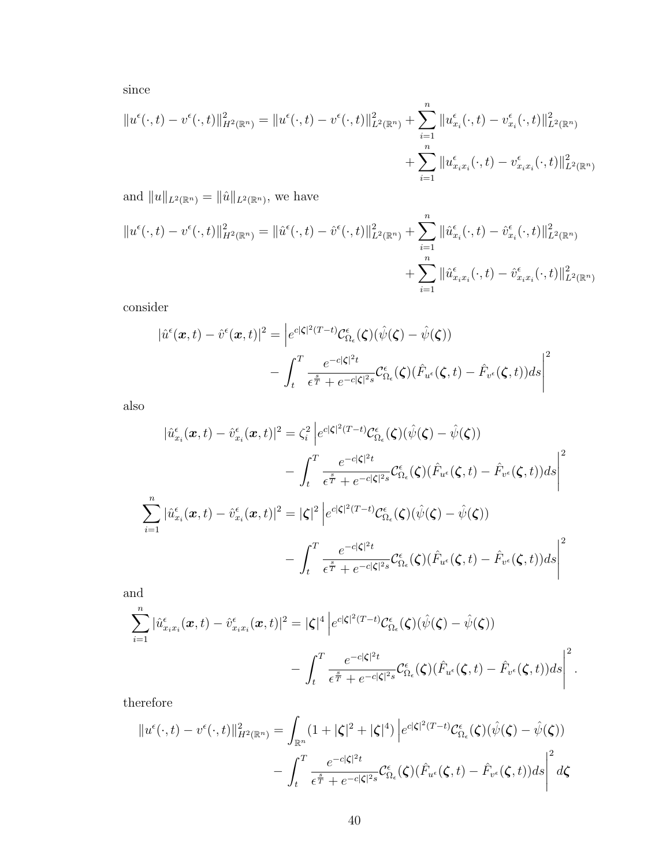since

$$
||u^{\epsilon}(\cdot,t) - v^{\epsilon}(\cdot,t)||_{H^{2}(\mathbb{R}^{n})}^{2} = ||u^{\epsilon}(\cdot,t) - v^{\epsilon}(\cdot,t)||_{L^{2}(\mathbb{R}^{n})}^{2} + \sum_{i=1}^{n} ||u^{\epsilon}_{x_{i}}(\cdot,t) - v^{\epsilon}_{x_{i}}(\cdot,t)||_{L^{2}(\mathbb{R}^{n})}^{2} + \sum_{i=1}^{n} ||u^{\epsilon}_{x_{i}x_{i}}(\cdot,t) - v^{\epsilon}_{x_{i}x_{i}}(\cdot,t)||_{L^{2}(\mathbb{R}^{n})}^{2}
$$

and  $||u||_{L^2(\mathbb{R}^n)} = ||\hat{u}||_{L^2(\mathbb{R}^n)}$ , we have

$$
||u^{\epsilon}(\cdot,t) - v^{\epsilon}(\cdot,t)||_{H^{2}(\mathbb{R}^{n})}^{2} = ||\hat{u}^{\epsilon}(\cdot,t) - \hat{v}^{\epsilon}(\cdot,t)||_{L^{2}(\mathbb{R}^{n})}^{2} + \sum_{i=1}^{n} ||\hat{u}^{\epsilon}_{x_{i}}(\cdot,t) - \hat{v}^{\epsilon}_{x_{i}}(\cdot,t)||_{L^{2}(\mathbb{R}^{n})}^{2} + \sum_{i=1}^{n} ||\hat{u}^{\epsilon}_{x_{i}x_{i}}(\cdot,t) - \hat{v}^{\epsilon}_{x_{i}x_{i}}(\cdot,t)||_{L^{2}(\mathbb{R}^{n})}^{2}
$$

consider

$$
|\hat{u}^{\epsilon}(\boldsymbol{x},t)-\hat{v}^{\epsilon}(\boldsymbol{x},t)|^{2} = \left|e^{c|\boldsymbol{\zeta}|^{2}(T-t)}\mathcal{C}_{\Omega_{\epsilon}}^{\epsilon}(\boldsymbol{\zeta})(\hat{\psi}(\boldsymbol{\zeta})-\hat{\psi}(\boldsymbol{\zeta}))\right|
$$

$$
-\int_{t}^{T}\frac{e^{-c|\boldsymbol{\zeta}|^{2}t}}{\epsilon^{\frac{s}{T}}+e^{-c|\boldsymbol{\zeta}|^{2}s}}\mathcal{C}_{\Omega_{\epsilon}}^{\epsilon}(\boldsymbol{\zeta})(\hat{F}_{u^{\epsilon}}(\boldsymbol{\zeta},t)-\hat{F}_{v^{\epsilon}}(\boldsymbol{\zeta},t))ds\right|^{2}
$$

also

$$
|\hat{u}_{x_i}^{\epsilon}(\boldsymbol{x},t)-\hat{v}_{x_i}^{\epsilon}(\boldsymbol{x},t)|^{2}=\zeta_{i}^{2}\left|e^{c|\zeta|^{2}(T-t)}\mathcal{C}_{\Omega_{\epsilon}}^{\epsilon}(\boldsymbol{\zeta})(\hat{\psi}(\boldsymbol{\zeta})-\hat{\psi}(\boldsymbol{\zeta}))\right|
$$

$$
-\int_{t}^{T}\frac{e^{-c|\zeta|^{2}t}}{\epsilon^{\frac{s}{T}}+e^{-c|\zeta|^{2}s}}\mathcal{C}_{\Omega_{\epsilon}}^{\epsilon}(\boldsymbol{\zeta})(\hat{F}_{u^{\epsilon}}(\boldsymbol{\zeta},t)-\hat{F}_{v^{\epsilon}}(\boldsymbol{\zeta},t))ds\right|^{2}
$$

$$
\sum_{i=1}^{n}|\hat{u}_{x_i}^{\epsilon}(\boldsymbol{x},t)-\hat{v}_{x_i}^{\epsilon}(\boldsymbol{x},t)|^{2}=|\boldsymbol{\zeta}|^{2}\left|e^{c|\boldsymbol{\zeta}|^{2}(T-t)}\mathcal{C}_{\Omega_{\epsilon}}^{\epsilon}(\boldsymbol{\zeta})(\hat{\psi}(\boldsymbol{\zeta})-\hat{\psi}(\boldsymbol{\zeta}))\right|
$$

$$
-\int_{t}^{T}\frac{e^{-c|\boldsymbol{\zeta}|^{2}t}}{\epsilon^{\frac{s}{T}}+e^{-c|\boldsymbol{\zeta}|^{2}s}}\mathcal{C}_{\Omega_{\epsilon}}^{\epsilon}(\boldsymbol{\zeta})(\hat{F}_{u^{\epsilon}}(\boldsymbol{\zeta},t)-\hat{F}_{v^{\epsilon}}(\boldsymbol{\zeta},t))ds\right|^{2}
$$

and

$$
\sum_{i=1}^{n} |\hat{u}_{x_ix_i}^{\epsilon}(\boldsymbol{x},t) - \hat{v}_{x_ix_i}^{\epsilon}(\boldsymbol{x},t)|^2 = |\boldsymbol{\zeta}|^4 \left| e^{c|\boldsymbol{\zeta}|^2(T-t)} \mathcal{C}_{\Omega_{\epsilon}}^{\epsilon}(\boldsymbol{\zeta}) (\hat{\psi}(\boldsymbol{\zeta}) - \hat{\psi}(\boldsymbol{\zeta})) \right|
$$

$$
- \int_{t}^{T} \frac{e^{-c|\boldsymbol{\zeta}|^2 t}}{\epsilon^{\frac{s}{T}} + e^{-c|\boldsymbol{\zeta}|^2 s}} \mathcal{C}_{\Omega_{\epsilon}}^{\epsilon}(\boldsymbol{\zeta}) (\hat{F}_{u^{\epsilon}}(\boldsymbol{\zeta},t) - \hat{F}_{v^{\epsilon}}(\boldsymbol{\zeta},t)) ds \right|^2.
$$

therefore

$$
||u^{\epsilon}(\cdot,t) - v^{\epsilon}(\cdot,t)||_{H^{2}(\mathbb{R}^{n})}^{2} = \int_{\mathbb{R}^{n}} (1 + |\zeta|^{2} + |\zeta|^{4}) \left| e^{c|\zeta|^{2}(T-t)} \mathcal{C}_{\Omega_{\epsilon}}(\zeta)(\hat{\psi}(\zeta) - \hat{\psi}(\zeta)) \right|^{2}
$$

$$
- \int_{t}^{T} \frac{e^{-c|\zeta|^{2}t}}{\epsilon^{\frac{s}{T}} + e^{-c|\zeta|^{2}s}} \mathcal{C}_{\Omega_{\epsilon}}(\zeta)(\hat{F}_{u^{\epsilon}}(\zeta,t) - \hat{F}_{v^{\epsilon}}(\zeta,t))ds \right|^{2} d\zeta
$$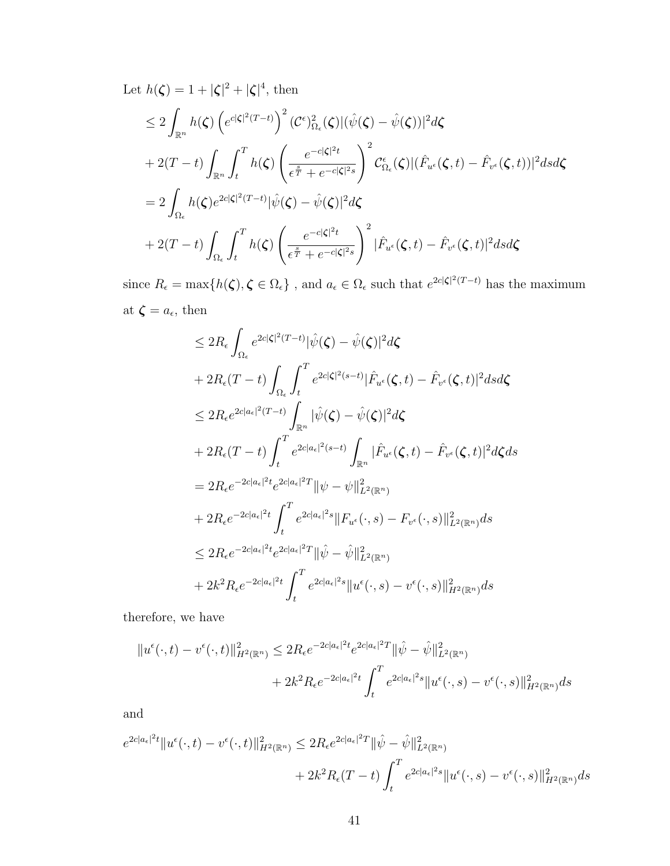Let  $h(\zeta) = 1 + |\zeta|^2 + |\zeta|^4$ , then

$$
\leq 2 \int_{\mathbb{R}^n} h(\zeta) \left( e^{c|\zeta|^2 (T-t)} \right)^2 (\mathcal{C}^{\epsilon})^2_{\Omega_{\epsilon}}(\zeta) |(\hat{\psi}(\zeta) - \hat{\psi}(\zeta))|^2 d\zeta \n+ 2(T-t) \int_{\mathbb{R}^n} \int_t^T h(\zeta) \left( \frac{e^{-c|\zeta|^2 t}}{\epsilon^{\frac{s}{T}} + e^{-c|\zeta|^2 s}} \right)^2 \mathcal{C}^{\epsilon}_{\Omega_{\epsilon}}(\zeta) |(\hat{F}_{u^{\epsilon}}(\zeta, t) - \hat{F}_{v^{\epsilon}}(\zeta, t))|^2 ds d\zeta \n= 2 \int_{\Omega_{\epsilon}} h(\zeta) e^{2c|\zeta|^2 (T-t)} |\hat{\psi}(\zeta) - \hat{\psi}(\zeta)|^2 d\zeta \n+ 2(T-t) \int_{\Omega_{\epsilon}} \int_t^T h(\zeta) \left( \frac{e^{-c|\zeta|^2 t}}{\epsilon^{\frac{s}{T}} + e^{-c|\zeta|^2 s}} \right)^2 |\hat{F}_{u^{\epsilon}}(\zeta, t) - \hat{F}_{v^{\epsilon}}(\zeta, t)|^2 ds d\zeta
$$

since  $R_{\epsilon} = \max\{h(\zeta), \zeta \in \Omega_{\epsilon}\}\$ , and  $a_{\epsilon} \in \Omega_{\epsilon}$  such that  $e^{2c|\zeta|^2(T-t)}$  has the maximum at  $\zeta = a_{\epsilon}$ , then

$$
\leq 2R_{\epsilon} \int_{\Omega_{\epsilon}} e^{2c|\zeta|^{2}(T-t)} |\hat{\psi}(\zeta) - \hat{\psi}(\zeta)|^{2} d\zeta
$$
  
+ 
$$
2R_{\epsilon}(T-t) \int_{\Omega_{\epsilon}} \int_{t}^{T} e^{2c|\zeta|^{2}(s-t)} |\hat{F}_{u^{\epsilon}}(\zeta, t) - \hat{F}_{v^{\epsilon}}(\zeta, t)|^{2} ds d\zeta
$$
  

$$
\leq 2R_{\epsilon} e^{2c|a_{\epsilon}|^{2}(T-t)} \int_{\mathbb{R}^{n}} |\hat{\psi}(\zeta) - \hat{\psi}(\zeta)|^{2} d\zeta
$$
  
+ 
$$
2R_{\epsilon}(T-t) \int_{t}^{T} e^{2c|a_{\epsilon}|^{2}(s-t)} \int_{\mathbb{R}^{n}} |\hat{F}_{u^{\epsilon}}(\zeta, t) - \hat{F}_{v^{\epsilon}}(\zeta, t)|^{2} d\zeta ds
$$
  
= 
$$
2R_{\epsilon} e^{-2c|a_{\epsilon}|^{2}t} e^{2c|a_{\epsilon}|^{2}T} ||\psi - \psi||^{2}_{L^{2}(\mathbb{R}^{n})}
$$
  
+ 
$$
2R_{\epsilon} e^{-2c|a_{\epsilon}|^{2}t} \int_{t}^{T} e^{2c|a_{\epsilon}|^{2}s} ||F_{u^{\epsilon}}(\cdot, s) - F_{v^{\epsilon}}(\cdot, s)||^{2}_{L^{2}(\mathbb{R}^{n})} ds
$$
  

$$
\leq 2R_{\epsilon} e^{-2c|a_{\epsilon}|^{2}t} e^{2c|a_{\epsilon}|^{2}T} ||\hat{\psi} - \hat{\psi}||^{2}_{L^{2}(\mathbb{R}^{n})}
$$
  
+ 
$$
2k^{2}R_{\epsilon} e^{-2c|a_{\epsilon}|^{2}t} \int_{t}^{T} e^{2c|a_{\epsilon}|^{2}s} ||u^{\epsilon}(\cdot, s) - v^{\epsilon}(\cdot, s)||^{2}_{H^{2}(\mathbb{R}^{n})} ds
$$

therefore, we have

$$
||u^{\epsilon}(\cdot,t) - v^{\epsilon}(\cdot,t)||_{H^{2}(\mathbb{R}^{n})}^{2} \leq 2R_{\epsilon}e^{-2c|a_{\epsilon}|^{2}t}e^{2c|a_{\epsilon}|^{2}T}||\hat{\psi} - \hat{\psi}||_{L^{2}(\mathbb{R}^{n})}^{2} + 2k^{2}R_{\epsilon}e^{-2c|a_{\epsilon}|^{2}t}\int_{t}^{T}e^{2c|a_{\epsilon}|^{2}s}||u^{\epsilon}(\cdot,s) - v^{\epsilon}(\cdot,s)||_{H^{2}(\mathbb{R}^{n})}^{2}ds
$$

and

$$
e^{2c|a_{\epsilon}|^{2}t}||u^{\epsilon}(\cdot,t) - v^{\epsilon}(\cdot,t)||_{H^{2}(\mathbb{R}^{n})}^{2} \leq 2R_{\epsilon}e^{2c|a_{\epsilon}|^{2}T}||\hat{\psi} - \hat{\psi}||_{L^{2}(\mathbb{R}^{n})}^{2} + 2k^{2}R_{\epsilon}(T-t)\int_{t}^{T}e^{2c|a_{\epsilon}|^{2}s}||u^{\epsilon}(\cdot,s) - v^{\epsilon}(\cdot,s)||_{H^{2}(\mathbb{R}^{n})}^{2}ds
$$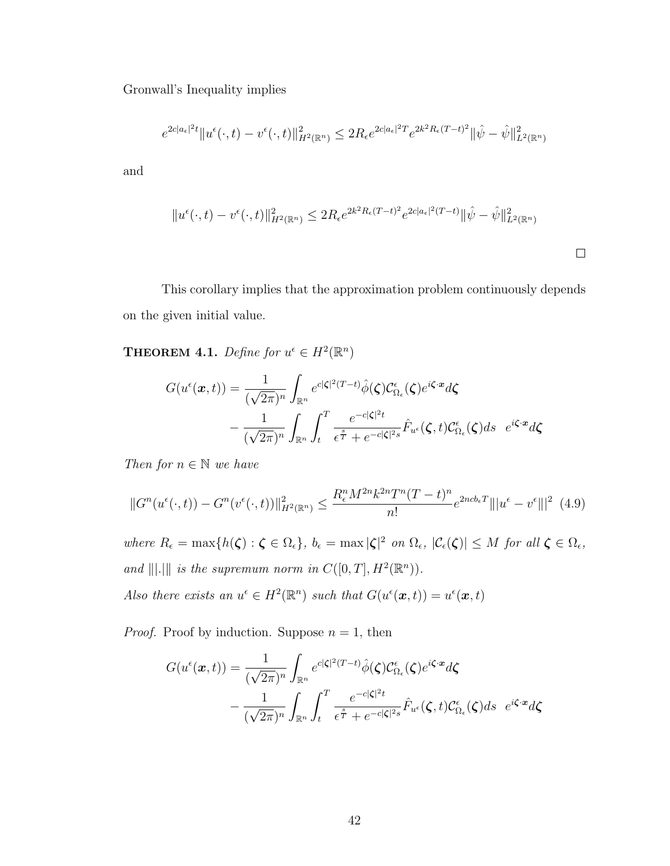Gronwall's Inequality implies

$$
e^{2c|a_{\epsilon}|^{2}t}\|u^{\epsilon}(\cdot,t)-v^{\epsilon}(\cdot,t)\|_{H^{2}(\mathbb{R}^{n})}^{2}\leq 2R_{\epsilon}e^{2c|a_{\epsilon}|^{2}T}e^{2k^{2}R_{\epsilon}(T-t)^{2}}\|\hat{\psi}-\hat{\psi}\|_{L^{2}(\mathbb{R}^{n})}^{2}
$$

and

$$
||u^{\epsilon}(\cdot,t) - v^{\epsilon}(\cdot,t)||_{H^{2}(\mathbb{R}^{n})}^{2} \leq 2R_{\epsilon}e^{2k^{2}R_{\epsilon}(T-t)^{2}}e^{2c|a_{\epsilon}|^{2}(T-t)}||\hat{\psi} - \hat{\psi}||_{L^{2}(\mathbb{R}^{n})}^{2}
$$

This corollary implies that the approximation problem continuously depends on the given initial value.

**THEOREM 4.1.** Define for  $u^{\epsilon} \in H^2(\mathbb{R}^n)$ 

$$
G(u^{\epsilon}(\boldsymbol{x},t)) = \frac{1}{(\sqrt{2\pi})^n} \int_{\mathbb{R}^n} e^{c|\zeta|^2(T-t)} \hat{\phi}(\zeta) \mathcal{C}_{\Omega_{\epsilon}}^{\epsilon}(\zeta) e^{i\zeta \cdot \boldsymbol{x}} d\zeta
$$

$$
- \frac{1}{(\sqrt{2\pi})^n} \int_{\mathbb{R}^n} \int_t^T \frac{e^{-c|\zeta|^2 t}}{\epsilon^{\frac{s}{T}} + e^{-c|\zeta|^2 s}} \hat{F}_{u^{\epsilon}}(\zeta, t) \mathcal{C}_{\Omega_{\epsilon}}^{\epsilon}(\zeta) ds \quad e^{i\zeta \cdot \boldsymbol{x}} d\zeta
$$

Then for  $n \in \mathbb{N}$  we have

$$
||G^n(u^{\epsilon}(\cdot,t)) - G^n(v^{\epsilon}(\cdot,t))||_{H^2(\mathbb{R}^n)}^2 \le \frac{R_{\epsilon}^n M^{2n} k^{2n} T^n (T-t)^n}{n!} e^{2ncb_{\epsilon}T} |||u^{\epsilon} - v^{\epsilon}|||^2 \tag{4.9}
$$

where  $R_{\epsilon} = \max\{h(\boldsymbol{\zeta}) : \boldsymbol{\zeta} \in \Omega_{\epsilon}\}, \ b_{\epsilon} = \max|\boldsymbol{\zeta}|^2 \text{ on } \Omega_{\epsilon}, \ |\mathcal{C}_{\epsilon}(\boldsymbol{\zeta})| \leq M \text{ for all } \boldsymbol{\zeta} \in \Omega_{\epsilon},$ and  $\| |.\|$  is the supremum norm in  $C([0,T], H^2(\mathbb{R}^n))$ . Also there exists an  $u^{\epsilon} \in H^2(\mathbb{R}^n)$  such that  $G(u^{\epsilon}(\boldsymbol{x}, t)) = u^{\epsilon}(\boldsymbol{x}, t)$ 

*Proof.* Proof by induction. Suppose  $n = 1$ , then

$$
G(u^{\epsilon}(\boldsymbol{x},t)) = \frac{1}{(\sqrt{2\pi})^n} \int_{\mathbb{R}^n} e^{c|\zeta|^2(T-t)} \hat{\phi}(\zeta) \mathcal{C}_{\Omega_{\epsilon}}^{\epsilon}(\zeta) e^{i\zeta \cdot \boldsymbol{x}} d\zeta
$$

$$
- \frac{1}{(\sqrt{2\pi})^n} \int_{\mathbb{R}^n} \int_t^T \frac{e^{-c|\zeta|^2 t}}{\epsilon^{\frac{s}{T}} + e^{-c|\zeta|^2 s}} \hat{F}_{u^{\epsilon}}(\zeta, t) \mathcal{C}_{\Omega_{\epsilon}}^{\epsilon}(\zeta) ds \quad e^{i\zeta \cdot \boldsymbol{x}} d\zeta
$$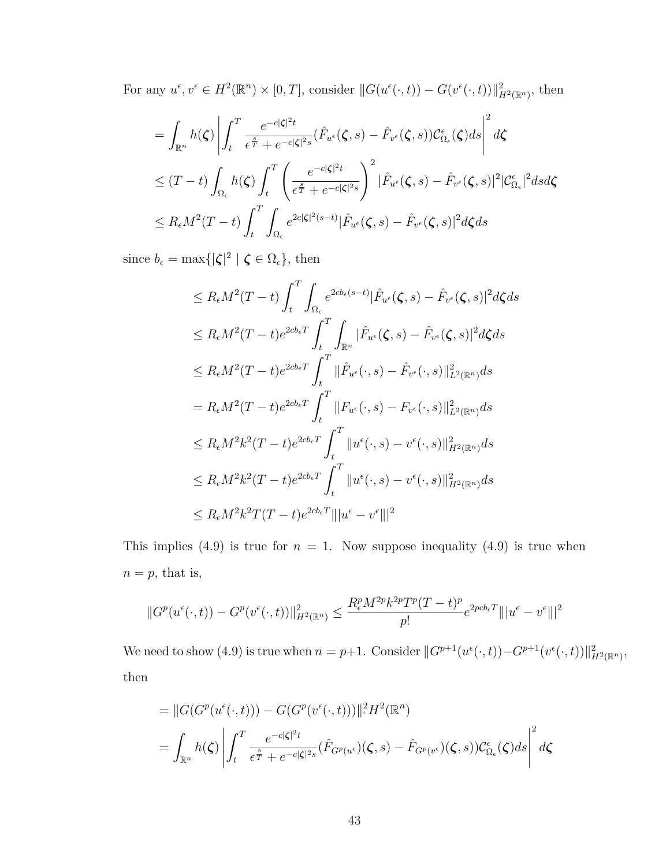For any  $u^{\epsilon}, v^{\epsilon} \in H^2(\mathbb{R}^n) \times [0, T]$ , consider  $||G(u^{\epsilon}(\cdot, t)) - G(v^{\epsilon}(\cdot, t))||_{H^2(\mathbb{R}^n)}^2$ , then

$$
= \int_{\mathbb{R}^n} h(\zeta) \left| \int_t^T \frac{e^{-c|\zeta|^2 t}}{\epsilon^{\frac{s}{T}} + e^{-c|\zeta|^2 s}} (\hat{F}_{u^{\epsilon}}(\zeta, s) - \hat{F}_{v^{\epsilon}}(\zeta, s)) \mathcal{C}_{\Omega_{\epsilon}}^{\epsilon}(\zeta) ds \right|^2 d\zeta
$$
  

$$
\leq (T - t) \int_{\Omega_{\epsilon}} h(\zeta) \int_t^T \left( \frac{e^{-c|\zeta|^2 t}}{\epsilon^{\frac{s}{T}} + e^{-c|\zeta|^2 s}} \right)^2 |\hat{F}_{u^{\epsilon}}(\zeta, s) - \hat{F}_{v^{\epsilon}}(\zeta, s)|^2 |\mathcal{C}_{\Omega_{\epsilon}}^{\epsilon}|^2 ds d\zeta
$$
  

$$
\leq R_{\epsilon} M^2 (T - t) \int_t^T \int_{\Omega_{\epsilon}} e^{2c|\zeta|^2 (s - t)} |\hat{F}_{u^{\epsilon}}(\zeta, s) - \hat{F}_{v^{\epsilon}}(\zeta, s)|^2 d\zeta ds
$$

since  $b_{\epsilon} = \max\{|\zeta|^2 \mid \zeta \in \Omega_{\epsilon}\}\,$ , then

$$
\leq R_{\epsilon}M^{2}(T-t)\int_{t}^{T}\int_{\Omega_{\epsilon}}e^{2cb_{\epsilon}(s-t)}|\hat{F}_{u^{\epsilon}}(\zeta,s)-\hat{F}_{v^{\epsilon}}(\zeta,s)|^{2}d\zeta ds
$$
\n
$$
\leq R_{\epsilon}M^{2}(T-t)e^{2cb_{\epsilon}T}\int_{t}^{T}\int_{\mathbb{R}^{n}}|\hat{F}_{u^{\epsilon}}(\zeta,s)-\hat{F}_{v^{\epsilon}}(\zeta,s)|^{2}d\zeta ds
$$
\n
$$
\leq R_{\epsilon}M^{2}(T-t)e^{2cb_{\epsilon}T}\int_{t}^{T}\|\hat{F}_{u^{\epsilon}}(\cdot,s)-\hat{F}_{v^{\epsilon}}(\cdot,s)\|_{L^{2}(\mathbb{R}^{n})}^{2}ds
$$
\n
$$
= R_{\epsilon}M^{2}(T-t)e^{2cb_{\epsilon}T}\int_{t}^{T}\|F_{u^{\epsilon}}(\cdot,s)-F_{v^{\epsilon}}(\cdot,s)\|_{L^{2}(\mathbb{R}^{n})}^{2}ds
$$
\n
$$
\leq R_{\epsilon}M^{2}k^{2}(T-t)e^{2cb_{\epsilon}T}\int_{t}^{T}\|u^{\epsilon}(\cdot,s)-v^{\epsilon}(\cdot,s)\|_{H^{2}(\mathbb{R}^{n})}^{2}ds
$$
\n
$$
\leq R_{\epsilon}M^{2}k^{2}(T-t)e^{2cb_{\epsilon}T}\int_{t}^{T}\|u^{\epsilon}(\cdot,s)-v^{\epsilon}(\cdot,s)\|_{H^{2}(\mathbb{R}^{n})}^{2}ds
$$
\n
$$
\leq R_{\epsilon}M^{2}k^{2}T(T-t)e^{2cb_{\epsilon}T}\|u^{\epsilon}-v^{\epsilon}\|^{2}
$$

This implies (4.9) is true for  $n = 1$ . Now suppose inequality (4.9) is true when  $n = p$ , that is,

$$
||G^p(u^{\epsilon}(\cdot,t)) - G^p(v^{\epsilon}(\cdot,t))||_{H^2(\mathbb{R}^n)}^2 \le \frac{R_{\epsilon}^p M^{2p} k^{2p} T^p (T-t)^p}{p!} e^{2p c b_{\epsilon} T} |||u^{\epsilon} - v^{\epsilon}|||^2
$$

We need to show (4.9) is true when  $n = p+1$ . Consider  $||G^{p+1}(u^{\epsilon}(\cdot,t)) - G^{p+1}(v^{\epsilon}(\cdot,t))||_{H^2(\mathbb{R}^n)}^2$ , then

$$
= ||G(G^{p}(u^{\epsilon}(\cdot,t))) - G(G^{p}(v^{\epsilon}(\cdot,t)))||^{2} H^{2}(\mathbb{R}^{n})
$$
  

$$
= \int_{\mathbb{R}^{n}} h(\zeta) \left| \int_{t}^{T} \frac{e^{-c|\zeta|^{2}t}}{\epsilon^{\frac{s}{T}} + e^{-c|\zeta|^{2}s}} (\hat{F}_{G^{p}(u^{\epsilon}})(\zeta,s) - \hat{F}_{G^{p}(v^{\epsilon}})(\zeta,s)) \mathcal{C}_{\Omega_{\epsilon}}^{\epsilon}(\zeta) ds \right|^{2} d\zeta
$$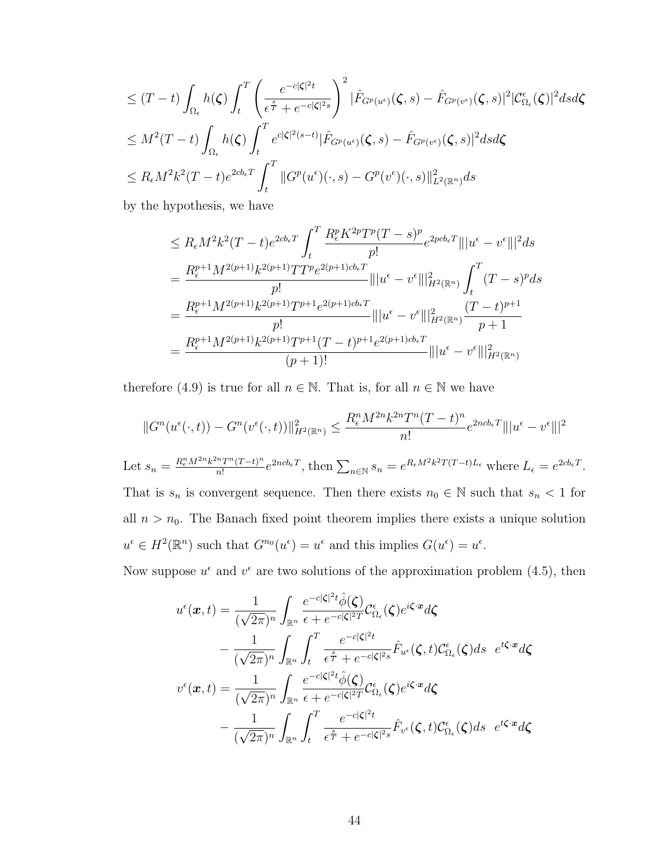$$
\leq (T-t) \int_{\Omega_{\epsilon}} h(\zeta) \int_{t}^{T} \left( \frac{e^{-c|\zeta|^{2}t}}{\epsilon^{\frac{s}{T}} + e^{-c|\zeta|^{2}s}} \right)^{2} |\hat{F}_{G^{p}(u^{\epsilon})}(\zeta,s) - \hat{F}_{G^{p}(v^{\epsilon})}(\zeta,s)|^{2} |\mathcal{C}_{\Omega_{\epsilon}}^{\epsilon}(\zeta)|^{2} ds d\zeta
$$
  
\n
$$
\leq M^{2}(T-t) \int_{\Omega_{\epsilon}} h(\zeta) \int_{t}^{T} e^{c|\zeta|^{2}(s-t)} |\hat{F}_{G^{p}(u^{\epsilon})}(\zeta,s) - \hat{F}_{G^{p}(v^{\epsilon})}(\zeta,s)|^{2} ds d\zeta
$$
  
\n
$$
\leq R_{\epsilon} M^{2} k^{2}(T-t) e^{2cb_{\epsilon}T} \int_{t}^{T} ||G^{p}(u^{\epsilon})(\cdot,s) - G^{p}(v^{\epsilon})(\cdot,s)||_{L^{2}(\mathbb{R}^{n})}^{2} ds
$$

by the hypothesis, we have

$$
\leq R_{\epsilon}M^{2}k^{2}(T-t)e^{2cb_{\epsilon}T}\int_{t}^{T}\frac{R_{\epsilon}^{p}K^{2p}T^{p}(T-s)^{p}}{p!}e^{2pcb_{\epsilon}T}\| |u^{\epsilon}-v^{\epsilon}\| |^{2}ds
$$
\n
$$
=\frac{R_{\epsilon}^{p+1}M^{2(p+1)}k^{2(p+1)}TT^{p}e^{2(p+1)cb_{\epsilon}T}}{p!}\| |u^{\epsilon}-v^{\epsilon}\| |^{2}_{H^{2}(\mathbb{R}^{n})}\int_{t}^{T}(T-s)^{p}ds
$$
\n
$$
=\frac{R_{\epsilon}^{p+1}M^{2(p+1)}k^{2(p+1)}T^{p+1}e^{2(p+1)cb_{\epsilon}T}}{p!}\| |u^{\epsilon}-v^{\epsilon}\| |^{2}_{H^{2}(\mathbb{R}^{n})}\frac{(T-t)^{p+1}}{p+1}
$$
\n
$$
=\frac{R_{\epsilon}^{p+1}M^{2(p+1)}k^{2(p+1)}T^{p+1}(T-t)^{p+1}e^{2(p+1)cb_{\epsilon}T}}{(p+1)!}\| |u^{\epsilon}-v^{\epsilon}\| |^{2}_{H^{2}(\mathbb{R}^{n})}
$$

therefore (4.9) is true for all  $n \in \mathbb{N}$ . That is, for all  $n \in \mathbb{N}$  we have

$$
||G^n(u^{\epsilon}(\cdot,t)) - G^n(v^{\epsilon}(\cdot,t))||_{H^2(\mathbb{R}^n)}^2 \le \frac{R_{\epsilon}^n M^{2n} k^{2n} T^n (T-t)^n}{n!} e^{2n\epsilon b_{\epsilon}T} |||u^{\epsilon} - v^{\epsilon}|||^2
$$
  
Let  $s_n = \frac{R_{\epsilon}^n M^{2n} k^{2n} T^n (T-t)^n}{n!} e^{2n\epsilon b_{\epsilon}T}$ , then  $\sum_{n \in \mathbb{N}} s_n = e^{R_{\epsilon}M^2 k^2 T (T-t)L_{\epsilon}}$  where  $L_{\epsilon} = e^{2\epsilon b_{\epsilon}T}$ .  
That is  $s_n$  is convergent sequence. Then there exists  $n_0 \in \mathbb{N}$  such that  $s_n < 1$  for all  $n > n_0$ . The Banach fixed point theorem implies there exists a unique solution  $u^{\epsilon} \in H^2(\mathbb{R}^n)$  such that  $G^{n_0}(u^{\epsilon}) = u^{\epsilon}$  and this implies  $G(u^{\epsilon}) = u^{\epsilon}$ .

Now suppose  $u^{\epsilon}$  and  $v^{\epsilon}$  are two solutions of the approximation problem (4.5), then

$$
u^{\epsilon}(\boldsymbol{x},t) = \frac{1}{(\sqrt{2\pi})^{n}} \int_{\mathbb{R}^{n}} \frac{e^{-c|\boldsymbol{\zeta}|^{2}t} \hat{\phi}(\boldsymbol{\zeta})}{\epsilon + e^{-c|\boldsymbol{\zeta}|^{2}T}} \mathcal{C}_{\Omega_{\epsilon}}(\boldsymbol{\zeta}) e^{i\boldsymbol{\zeta}\cdot\boldsymbol{x}} d\boldsymbol{\zeta}
$$

$$
- \frac{1}{(\sqrt{2\pi})^{n}} \int_{\mathbb{R}^{n}} \int_{t}^{T} \frac{e^{-c|\boldsymbol{\zeta}|^{2}t}}{\epsilon^{\frac{s}{T}} + e^{-c|\boldsymbol{\zeta}|^{2}s}} \hat{F}_{u^{\epsilon}}(\boldsymbol{\zeta},t) \mathcal{C}_{\Omega_{\epsilon}}(\boldsymbol{\zeta}) ds \quad e^{i\boldsymbol{\zeta}\cdot\boldsymbol{x}} d\boldsymbol{\zeta}
$$

$$
v^{\epsilon}(\boldsymbol{x},t) = \frac{1}{(\sqrt{2\pi})^{n}} \int_{\mathbb{R}^{n}} \frac{e^{-c|\boldsymbol{\zeta}|^{2}t} \hat{\phi}(\boldsymbol{\zeta})}{\epsilon + e^{-c|\boldsymbol{\zeta}|^{2}T}} \mathcal{C}_{\Omega_{\epsilon}}(\boldsymbol{\zeta}) e^{i\boldsymbol{\zeta}\cdot\boldsymbol{x}} d\boldsymbol{\zeta}
$$

$$
- \frac{1}{(\sqrt{2\pi})^{n}} \int_{\mathbb{R}^{n}} \int_{t}^{T} \frac{e^{-c|\boldsymbol{\zeta}|^{2}t}}{\epsilon^{\frac{s}{T}} + e^{-c|\boldsymbol{\zeta}|^{2}s}} \hat{F}_{v^{\epsilon}}(\boldsymbol{\zeta},t) \mathcal{C}_{\Omega_{\epsilon}}(\boldsymbol{\zeta}) ds \quad e^{i\boldsymbol{\zeta}\cdot\boldsymbol{x}} d\boldsymbol{\zeta}
$$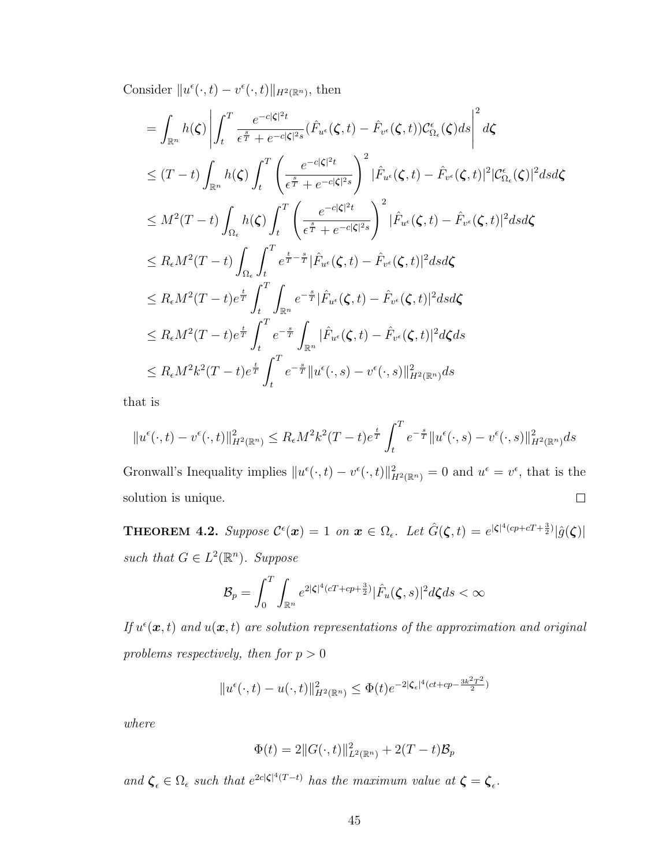Consider  $||u^{\epsilon}(\cdot, t) - v^{\epsilon}(\cdot, t)||_{H^2(\mathbb{R}^n)}$ , then

$$
= \int_{\mathbb{R}^n} h(\zeta) \left| \int_t^T \frac{e^{-c|\zeta|^2 t}}{\epsilon^{\frac{s}{T}} + e^{-c|\zeta|^2 s}} (\hat{F}_{u^{\epsilon}}(\zeta, t) - \hat{F}_{v^{\epsilon}}(\zeta, t)) \mathcal{C}_{\Omega_{\epsilon}}^{\epsilon}(\zeta) ds \right|^2 d\zeta
$$
  
\n
$$
\leq (T - t) \int_{\mathbb{R}^n} h(\zeta) \int_t^T \left( \frac{e^{-c|\zeta|^2 t}}{\epsilon^{\frac{s}{T}} + e^{-c|\zeta|^2 s}} \right)^2 |\hat{F}_{u^{\epsilon}}(\zeta, t) - \hat{F}_{v^{\epsilon}}(\zeta, t)|^2 |\mathcal{C}_{\Omega_{\epsilon}}^{\epsilon}(\zeta)|^2 ds d\zeta
$$
  
\n
$$
\leq M^2 (T - t) \int_{\Omega_{\epsilon}} h(\zeta) \int_t^T \left( \frac{e^{-c|\zeta|^2 t}}{\epsilon^{\frac{s}{T}} + e^{-c|\zeta|^2 s}} \right)^2 |\hat{F}_{u^{\epsilon}}(\zeta, t) - \hat{F}_{v^{\epsilon}}(\zeta, t)|^2 ds d\zeta
$$
  
\n
$$
\leq R_{\epsilon} M^2 (T - t) \int_{\Omega_{\epsilon}} \int_t^T e^{\frac{t}{T} - \frac{s}{T}} |\hat{F}_{u^{\epsilon}}(\zeta, t) - \hat{F}_{v^{\epsilon}}(\zeta, t)|^2 ds d\zeta
$$
  
\n
$$
\leq R_{\epsilon} M^2 (T - t) e^{\frac{t}{T}} \int_t^T \int_{\mathbb{R}^n} e^{-\frac{s}{T}} |\hat{F}_{u^{\epsilon}}(\zeta, t) - \hat{F}_{v^{\epsilon}}(\zeta, t)|^2 ds d\zeta
$$
  
\n
$$
\leq R_{\epsilon} M^2 (T - t) e^{\frac{t}{T}} \int_t^T e^{-\frac{s}{T}} \int_{\mathbb{R}^n} |\hat{F}_{u^{\epsilon}}(\zeta, t) - \hat{F}_{v^{\epsilon}}(\zeta, t)|^2 d\zeta ds
$$
  
\n
$$
\leq R_{\epsilon} M^2 k^2 (T - t) e^{\frac{t}{T}} \int_t^T e^{-\frac{s}{T}} ||u^{\epsilon}(\cdot, s) - v^{\epsilon}(\cdot, s)||_{
$$

that is

$$
||u^{\epsilon}(\cdot,t) - v^{\epsilon}(\cdot,t)||_{H^{2}(\mathbb{R}^{n})}^{2} \leq R_{\epsilon}M^{2}k^{2}(T-t)e^{\frac{t}{T}}\int_{t}^{T}e^{-\frac{s}{T}}||u^{\epsilon}(\cdot,s) - v^{\epsilon}(\cdot,s)||_{H^{2}(\mathbb{R}^{n})}^{2}ds
$$

Gronwall's Inequality implies  $||u^{\epsilon}(\cdot, t) - v^{\epsilon}(\cdot, t)||_{H^2(\mathbb{R}^n)}^2 = 0$  and  $u^{\epsilon} = v^{\epsilon}$ , that is the solution is unique.  $\Box$ 

**THEOREM 4.2.** Suppose  $C^{\epsilon}(\boldsymbol{x}) = 1$  on  $\boldsymbol{x} \in \Omega_{\epsilon}$ . Let  $\hat{G}(\boldsymbol{\zeta}, t) = e^{|\boldsymbol{\zeta}|^4 (cp + cT + \frac{3}{2})} |\hat{g}(\boldsymbol{\zeta})|$ such that  $G \in L^2(\mathbb{R}^n)$ . Suppose

$$
\mathcal{B}_p = \int_0^T \int_{\mathbb{R}^n} e^{2|\zeta|^4 (cT + cp + \frac{3}{2})} |\hat{F}_u(\zeta, s)|^2 d\zeta ds < \infty
$$

If  $u^{\epsilon}(\boldsymbol{x},t)$  and  $u(\boldsymbol{x},t)$  are solution representations of the approximation and original problems respectively, then for  $p > 0$ 

$$
||u^{\epsilon}(\cdot,t) - u(\cdot,t)||_{H^{2}(\mathbb{R}^{n})}^{2} \leq \Phi(t)e^{-2|\zeta_{\epsilon}|^{4}(ct+cp-\frac{3k^{2}T^{2}}{2})}
$$

where

$$
\Phi(t) = 2||G(\cdot, t)||_{L^2(\mathbb{R}^n)}^2 + 2(T - t)\mathcal{B}_p
$$

and  $\zeta_{\epsilon} \in \Omega_{\epsilon}$  such that  $e^{2c|\zeta|^4(T-t)}$  has the maximum value at  $\zeta = \zeta_{\epsilon}$ .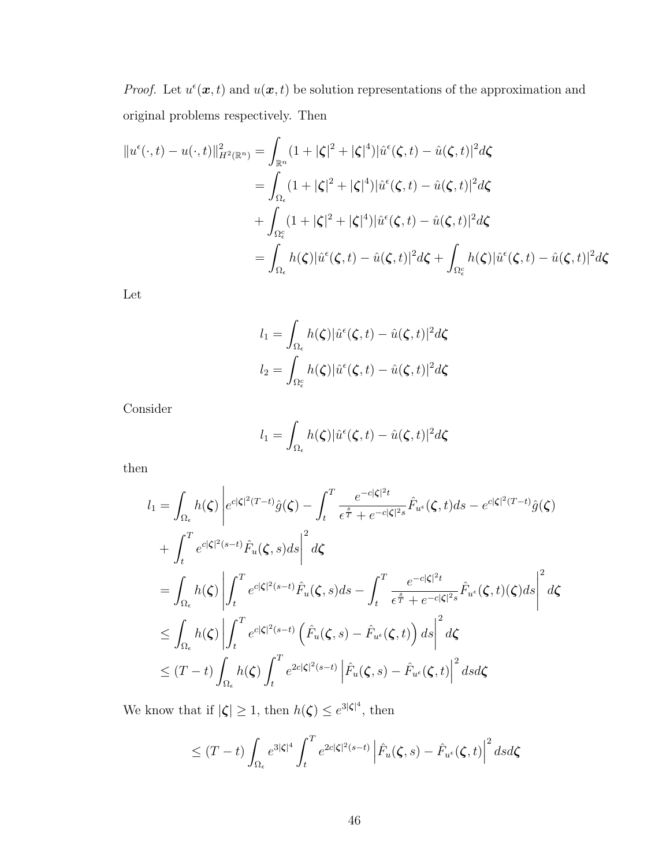*Proof.* Let  $u^{\epsilon}(\boldsymbol{x},t)$  and  $u(\boldsymbol{x},t)$  be solution representations of the approximation and original problems respectively. Then

$$
||u^{\epsilon}(\cdot,t) - u(\cdot,t)||_{H^{2}(\mathbb{R}^{n})}^{2} = \int_{\mathbb{R}^{n}} (1 + |\zeta|^{2} + |\zeta|^{4}) |\hat{u}^{\epsilon}(\zeta,t) - \hat{u}(\zeta,t)|^{2} d\zeta
$$
  
\n
$$
= \int_{\Omega_{\epsilon}} (1 + |\zeta|^{2} + |\zeta|^{4}) |\hat{u}^{\epsilon}(\zeta,t) - \hat{u}(\zeta,t)|^{2} d\zeta
$$
  
\n
$$
+ \int_{\Omega_{\epsilon}^{c}} (1 + |\zeta|^{2} + |\zeta|^{4}) |\hat{u}^{\epsilon}(\zeta,t) - \hat{u}(\zeta,t)|^{2} d\zeta
$$
  
\n
$$
= \int_{\Omega_{\epsilon}} h(\zeta) |\hat{u}^{\epsilon}(\zeta,t) - \hat{u}(\zeta,t)|^{2} d\zeta + \int_{\Omega_{\epsilon}^{c}} h(\zeta) |\hat{u}^{\epsilon}(\zeta,t) - \hat{u}(\zeta,t)|^{2} d\zeta
$$

Let

$$
l_1 = \int_{\Omega_{\epsilon}} h(\zeta) |\hat{u}^{\epsilon}(\zeta, t) - \hat{u}(\zeta, t)|^2 d\zeta
$$

$$
l_2 = \int_{\Omega_{\epsilon}^c} h(\zeta) |\hat{u}^{\epsilon}(\zeta, t) - \hat{u}(\zeta, t)|^2 d\zeta
$$

Consider

$$
l_1 = \int_{\Omega_{\epsilon}} h(\boldsymbol{\zeta}) |\hat{u}^{\epsilon}(\boldsymbol{\zeta},t) - \hat{u}(\boldsymbol{\zeta},t)|^2 d\boldsymbol{\zeta}
$$

then

$$
l_{1} = \int_{\Omega_{\epsilon}} h(\zeta) \left| e^{c|\zeta|^{2}(T-t)} \hat{g}(\zeta) - \int_{t}^{T} \frac{e^{-c|\zeta|^{2}t}}{\epsilon^{\frac{s}{T}} + e^{-c|\zeta|^{2}s}} \hat{F}_{u^{\epsilon}}(\zeta, t) ds - e^{c|\zeta|^{2}(T-t)} \hat{g}(\zeta) \right|
$$
  
+ 
$$
\int_{t}^{T} e^{c|\zeta|^{2}(s-t)} \hat{F}_{u}(\zeta, s) ds \right|^{2} d\zeta
$$
  
= 
$$
\int_{\Omega_{\epsilon}} h(\zeta) \left| \int_{t}^{T} e^{c|\zeta|^{2}(s-t)} \hat{F}_{u}(\zeta, s) ds - \int_{t}^{T} \frac{e^{-c|\zeta|^{2}t}}{\epsilon^{\frac{s}{T}} + e^{-c|\zeta|^{2}s}} \hat{F}_{u^{\epsilon}}(\zeta, t)(\zeta) ds \right|^{2} d\zeta
$$
  

$$
\leq \int_{\Omega_{\epsilon}} h(\zeta) \left| \int_{t}^{T} e^{c|\zeta|^{2}(s-t)} \left( \hat{F}_{u}(\zeta, s) - \hat{F}_{u^{\epsilon}}(\zeta, t) \right) ds \right|^{2} d\zeta
$$
  

$$
\leq (T-t) \int_{\Omega_{\epsilon}} h(\zeta) \int_{t}^{T} e^{2c|\zeta|^{2}(s-t)} \left| \hat{F}_{u}(\zeta, s) - \hat{F}_{u^{\epsilon}}(\zeta, t) \right|^{2} ds d\zeta
$$

We know that if  $|\zeta| \geq 1$ , then  $h(\zeta) \leq e^{3|\zeta|^4}$ , then

$$
\leq (T-t) \int_{\Omega_{\epsilon}} e^{3|\zeta|^4} \int_t^T e^{2c|\zeta|^2(s-t)} \left| \hat{F}_u(\zeta, s) - \hat{F}_{u^{\epsilon}}(\zeta, t) \right|^2 ds d\zeta
$$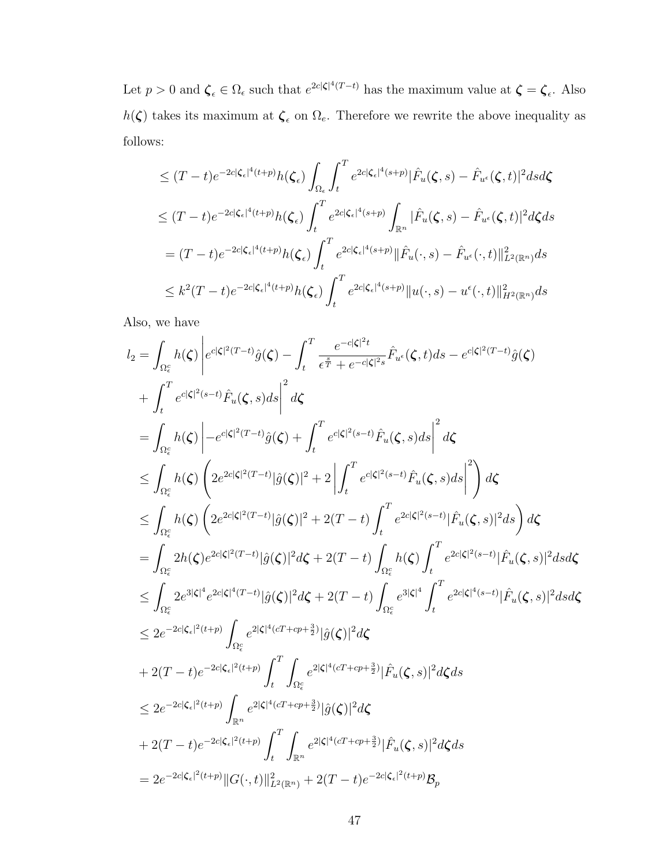Let  $p > 0$  and  $\zeta_{\epsilon} \in \Omega_{\epsilon}$  such that  $e^{2c|\zeta|^4(T-t)}$  has the maximum value at  $\zeta = \zeta_{\epsilon}$ . Also  $h(\zeta)$  takes its maximum at  $\zeta_\epsilon$  on  $\Omega_e.$  Therefore we rewrite the above inequality as follows:

$$
\leq (T-t)e^{-2c|\zeta_{\epsilon}|^{4}(t+p)}h(\zeta_{\epsilon})\int_{\Omega_{\epsilon}}\int_{t}^{T}e^{2c|\zeta_{\epsilon}|^{4}(s+p)}|\hat{F}_{u}(\zeta,s)-\hat{F}_{u^{\epsilon}}(\zeta,t)|^{2}dsd\zeta
$$
  

$$
\leq (T-t)e^{-2c|\zeta_{\epsilon}|^{4}(t+p)}h(\zeta_{\epsilon})\int_{t}^{T}e^{2c|\zeta_{\epsilon}|^{4}(s+p)}\int_{\mathbb{R}^{n}}|\hat{F}_{u}(\zeta,s)-\hat{F}_{u^{\epsilon}}(\zeta,t)|^{2}d\zeta ds
$$
  

$$
=(T-t)e^{-2c|\zeta_{\epsilon}|^{4}(t+p)}h(\zeta_{\epsilon})\int_{t}^{T}e^{2c|\zeta_{\epsilon}|^{4}(s+p)}\|\hat{F}_{u}(\cdot,s)-\hat{F}_{u^{\epsilon}}(\cdot,t)\|_{L^{2}(\mathbb{R}^{n})}^{2}ds
$$
  

$$
\leq k^{2}(T-t)e^{-2c|\zeta_{\epsilon}|^{4}(t+p)}h(\zeta_{\epsilon})\int_{t}^{T}e^{2c|\zeta_{\epsilon}|^{4}(s+p)}\|u(\cdot,s)-u^{\epsilon}(\cdot,t)\|_{H^{2}(\mathbb{R}^{n})}^{2}ds
$$

Also, we have

$$
l_2 = \int_{\Omega_{\xi}^{c}} h(\zeta) \left| e^{c|\zeta|^{2}(T-t)} \hat{g}(\zeta) - \int_{t}^{T} \frac{e^{-c|\zeta|^{2}t}}{\epsilon^{\frac{2}{T}} + e^{-c|\zeta|^{2}s}} \hat{F}_{u}(\zeta, t) ds - e^{c|\zeta|^{2}(T-t)} \hat{g}(\zeta) \right.
$$
  
+ 
$$
\int_{t}^{T} e^{c|\zeta|^{2}(s-t)} \hat{F}_{u}(\zeta, s) ds \right|^{2} d\zeta
$$
  
= 
$$
\int_{\Omega_{\xi}^{c}} h(\zeta) \left| -e^{c|\zeta|^{2}(T-t)} \hat{g}(\zeta) + \int_{t}^{T} e^{c|\zeta|^{2}(s-t)} \hat{F}_{u}(\zeta, s) ds \right|^{2} d\zeta
$$
  

$$
\leq \int_{\Omega_{\xi}^{c}} h(\zeta) \left( 2e^{2c|\zeta|^{2}(T-t)} |\hat{g}(\zeta)|^{2} + 2 \left| \int_{t}^{T} e^{c|\zeta|^{2}(s-t)} \hat{F}_{u}(\zeta, s) ds \right|^{2} \right) d\zeta
$$
  
= 
$$
\int_{\Omega_{\xi}^{c}} h(\zeta) \left( 2e^{2c|\zeta|^{2}(T-t)} |\hat{g}(\zeta)|^{2} + 2(T-t) \int_{t}^{T} e^{2c|\zeta|^{2}(s-t)} |\hat{F}_{u}(\zeta, s)|^{2} ds \right) d\zeta
$$
  
= 
$$
\int_{\Omega_{\xi}^{c}} 2h(\zeta) e^{2c|\zeta|^{2}(T-t)} |\hat{g}(\zeta)|^{2} d\zeta + 2(T-t) \int_{\Omega_{\xi}^{c}} h(\zeta) \int_{t}^{T} e^{2c|\zeta|^{2}(s-t)} |\hat{F}_{u}(\zeta, s)|^{2} ds d\zeta
$$
  

$$
\leq \int_{\Omega_{\xi}^{c}} 2e^{3|\zeta|^{4}} e^{2c|\zeta|^{4}(T-t)} |\hat{g}(\zeta)|^{2} d\zeta + 2(T-t) \int_{\Omega_{\xi}^{c}} e^{3|\zeta|^{4}} \int_{t}^{T} e^{2c|\zeta|^{4}(s-t)} |\hat{F}_{u}(\z
$$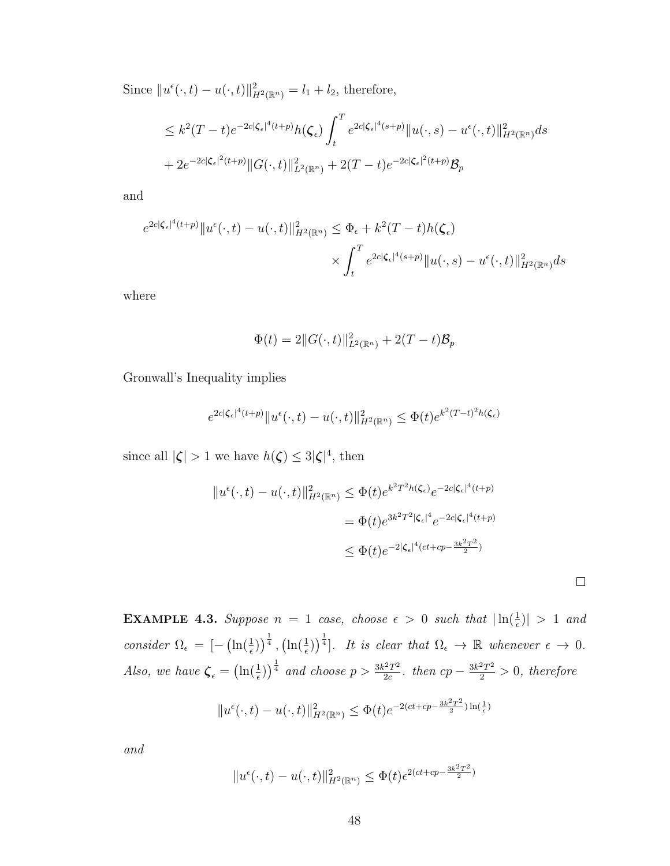Since  $||u^{\epsilon}(\cdot, t) - u(\cdot, t)||_{H^2(\mathbb{R}^n)}^2 = l_1 + l_2$ , therefore,

$$
\leq k^2(T-t)e^{-2c|\zeta_{\epsilon}|^4(t+p)}h(\zeta_{\epsilon})\int_t^T e^{2c|\zeta_{\epsilon}|^4(s+p)}\|u(\cdot,s)-u^{\epsilon}(\cdot,t)\|_{H^2(\mathbb{R}^n)}^2ds
$$
  
+2e^{-2c|\zeta\_{\epsilon}|^2(t+p)}\|G(\cdot,t)\|\_{L^2(\mathbb{R}^n)}^2+2(T-t)e^{-2c|\zeta\_{\epsilon}|^2(t+p)}\mathcal{B}\_p

and

$$
e^{2c|\boldsymbol{\zeta}_{\epsilon}|^{4}(t+p)}\|u^{\epsilon}(\cdot,t)-u(\cdot,t)\|_{H^{2}(\mathbb{R}^{n})}^{2} \leq \Phi_{\epsilon}+k^{2}(T-t)h(\boldsymbol{\zeta}_{\epsilon})
$$

$$
\times \int_{t}^{T} e^{2c|\boldsymbol{\zeta}_{\epsilon}|^{4}(s+p)}\|u(\cdot,s)-u^{\epsilon}(\cdot,t)\|_{H^{2}(\mathbb{R}^{n})}^{2}ds
$$

where

$$
\Phi(t) = 2||G(\cdot, t)||_{L^2(\mathbb{R}^n)}^2 + 2(T - t)\mathcal{B}_p
$$

Gronwall's Inequality implies

$$
e^{2c|\boldsymbol{\zeta}_{\epsilon}|^4(t+p)}\|u^{\epsilon}(\cdot,t)-u(\cdot,t)\|_{H^2(\mathbb{R}^n)}^2\leq \Phi(t)e^{k^2(T-t)^2h(\boldsymbol{\zeta}_{\epsilon})}
$$

since all  $|\zeta| > 1$  we have  $h(\zeta) \leq 3|\zeta|^4$ , then

$$
||u^{\epsilon}(\cdot,t) - u(\cdot,t)||_{H^2(\mathbb{R}^n)}^2 \leq \Phi(t)e^{k^2T^2h(\zeta_{\epsilon})}e^{-2c|\zeta_{\epsilon}|^4(t+p)}
$$
  

$$
= \Phi(t)e^{3k^2T^2|\zeta_{\epsilon}|^4}e^{-2c|\zeta_{\epsilon}|^4(t+p)}
$$
  

$$
\leq \Phi(t)e^{-2|\zeta_{\epsilon}|^4(ct+cp-\frac{3k^2T^2}{2})}
$$

**EXAMPLE 4.3.** Suppose  $n = 1$  case, choose  $\epsilon > 0$  such that  $|\ln(\frac{1}{\epsilon})| > 1$  and consider  $\Omega_{\epsilon} = \left[-\left(\ln\left(\frac{1}{\epsilon}\right)\right)^{\frac{1}{4}}, \left(\ln\left(\frac{1}{\epsilon}\right)\right)^{\frac{1}{4}}\right]$ . It is clear that  $\Omega_{\epsilon} \to \mathbb{R}$  whenever  $\epsilon \to 0$ . Also, we have  $\zeta_{\epsilon} = (\ln(\frac{1}{\epsilon}))^{\frac{1}{4}}$  and choose  $p > \frac{3k^2T^2}{2c}$  $rac{2T^2}{2c}$ . then  $cp - \frac{3k^2T^2}{2} > 0$ , therefore  $||u^{\epsilon}(\cdot,t) - u(\cdot,t)||^{2}_{H^{2}(\mathbb{R}^{n})} \leq \Phi(t)e^{-2(ct+cp-\frac{3k^{2}T^{2}}{2})}$  $\frac{2T^2}{2})\ln(\frac{1}{\epsilon})$ 

and

$$
||u^{\epsilon}(\cdot,t) - u(\cdot,t)||_{H^{2}(\mathbb{R}^{n})}^{2} \leq \Phi(t)\epsilon^{2(ct+cp-\frac{3k^{2}T^{2}}{2})}
$$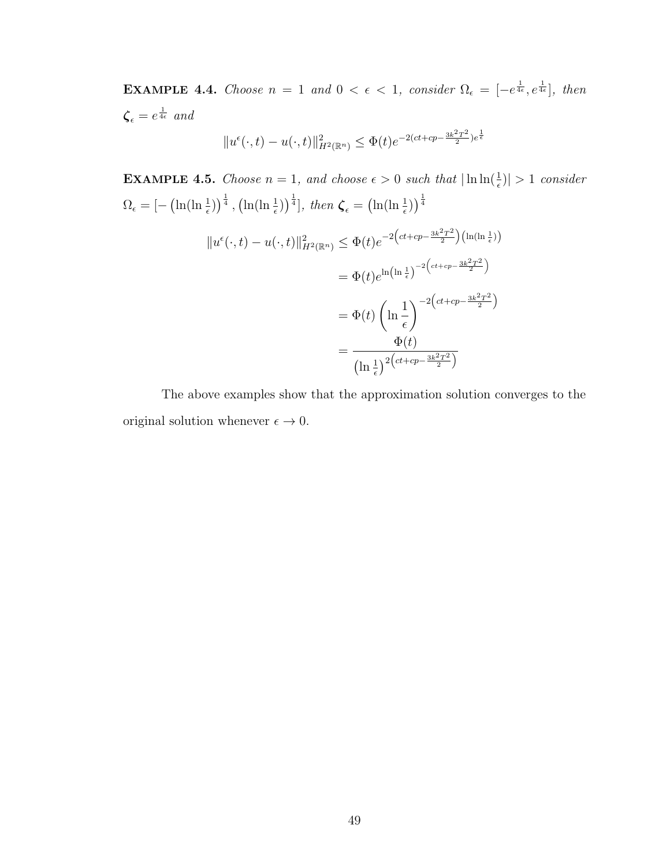**EXAMPLE 4.4.** Choose  $n = 1$  and  $0 < \epsilon < 1$ , consider  $\Omega_{\epsilon} = [-e^{\frac{1}{4\epsilon}}, e^{\frac{1}{4\epsilon}}]$ , then  $\boldsymbol{\zeta}_{\epsilon} = e^{\frac{1}{4\epsilon}}$  and

$$
||u^{\epsilon}(\cdot,t) - u(\cdot,t)||_{H^2(\mathbb{R}^n)}^2 \leq \Phi(t)e^{-2(ct+cp-\frac{3k^2T^2}{2})e^{\frac{1}{\epsilon}}}
$$

**EXAMPLE 4.5.** Choose  $n = 1$ , and choose  $\epsilon > 0$  such that  $|\ln \ln(\frac{1}{\epsilon})| > 1$  consider  $\Omega_\epsilon = \left[-\left(\ln(\ln{\frac{1}{\epsilon}})\right)^{\frac{1}{4}}, \left(\ln(\ln{\frac{1}{\epsilon}})\right)^{\frac{1}{4}}\right],~ then~ \bm{\zeta}_\epsilon = \left(\ln(\ln{\frac{1}{\epsilon}})\right)^{\frac{1}{4}}$ 

$$
||u^{\epsilon}(\cdot,t) - u(\cdot,t)||_{H^{2}(\mathbb{R}^{n})}^{2} \leq \Phi(t)e^{-2\left(ct+cp - \frac{3k^{2}T^{2}}{2}\right)\left(\ln(\ln\frac{1}{\epsilon})\right)}
$$
  

$$
= \Phi(t)e^{\ln\left(\ln\frac{1}{\epsilon}\right)^{-2\left(ct+cp - \frac{3k^{2}T^{2}}{2}\right)}
$$
  

$$
= \Phi(t)\left(\ln\frac{1}{\epsilon}\right)^{-2\left(ct+cp - \frac{3k^{2}T^{2}}{2}\right)}
$$
  

$$
= \frac{\Phi(t)}{\left(\ln\frac{1}{\epsilon}\right)^{2\left(ct+cp - \frac{3k^{2}T^{2}}{2}\right)}
$$

The above examples show that the approximation solution converges to the original solution whenever  $\epsilon \to 0$ .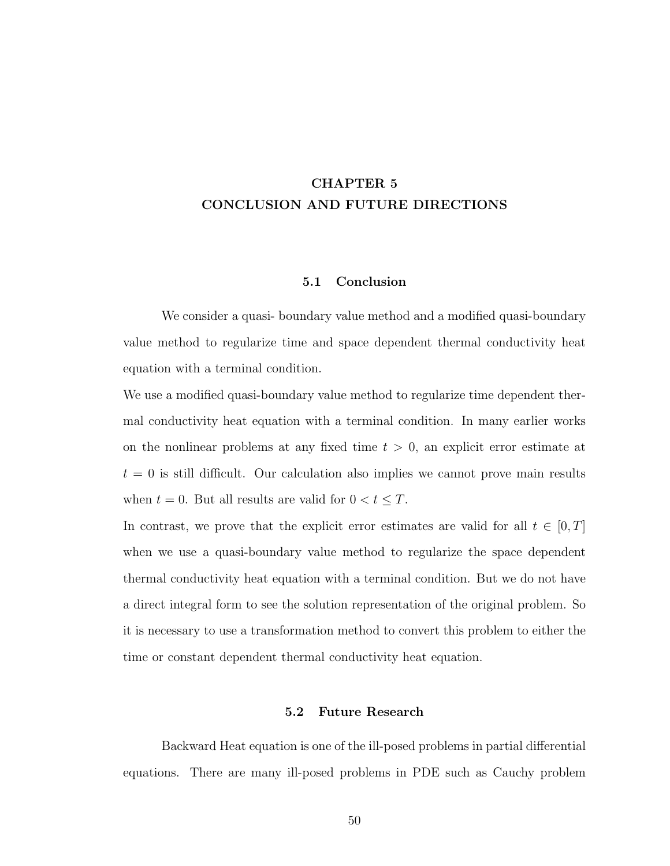# CHAPTER 5 CONCLUSION AND FUTURE DIRECTIONS

#### 5.1 Conclusion

We consider a quasi- boundary value method and a modified quasi-boundary value method to regularize time and space dependent thermal conductivity heat equation with a terminal condition.

We use a modified quasi-boundary value method to regularize time dependent thermal conductivity heat equation with a terminal condition. In many earlier works on the nonlinear problems at any fixed time  $t > 0$ , an explicit error estimate at  $t = 0$  is still difficult. Our calculation also implies we cannot prove main results when  $t = 0$ . But all results are valid for  $0 < t \leq T$ .

In contrast, we prove that the explicit error estimates are valid for all  $t \in [0, T]$ when we use a quasi-boundary value method to regularize the space dependent thermal conductivity heat equation with a terminal condition. But we do not have a direct integral form to see the solution representation of the original problem. So it is necessary to use a transformation method to convert this problem to either the time or constant dependent thermal conductivity heat equation.

#### 5.2 Future Research

Backward Heat equation is one of the ill-posed problems in partial differential equations. There are many ill-posed problems in PDE such as Cauchy problem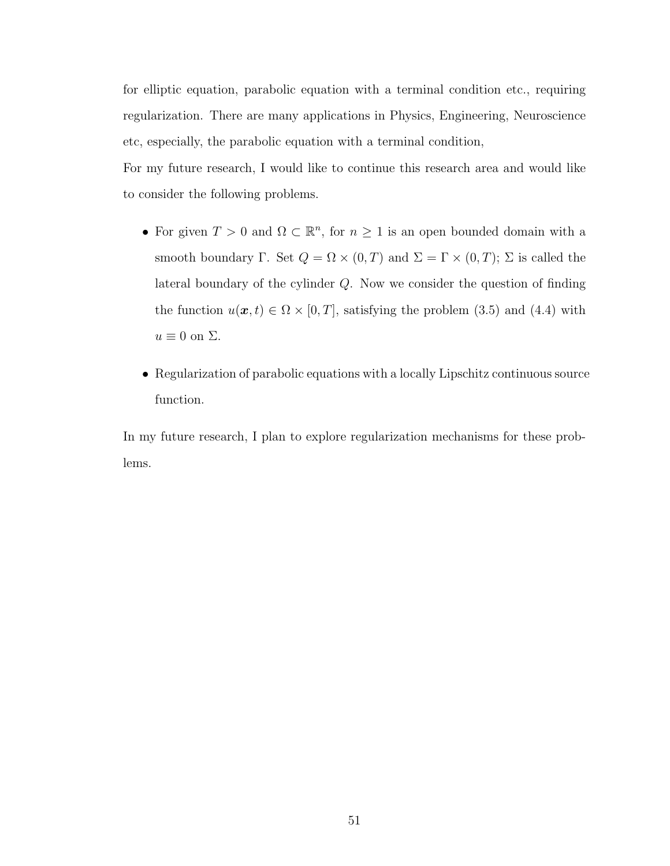for elliptic equation, parabolic equation with a terminal condition etc., requiring regularization. There are many applications in Physics, Engineering, Neuroscience etc, especially, the parabolic equation with a terminal condition,

For my future research, I would like to continue this research area and would like to consider the following problems.

- For given  $T > 0$  and  $\Omega \subset \mathbb{R}^n$ , for  $n \geq 1$  is an open bounded domain with a smooth boundary Γ. Set  $Q = \Omega \times (0, T)$  and  $\Sigma = \Gamma \times (0, T)$ ;  $\Sigma$  is called the lateral boundary of the cylinder Q. Now we consider the question of finding the function  $u(x, t) \in \Omega \times [0, T]$ , satisfying the problem (3.5) and (4.4) with  $u \equiv 0$  on  $\Sigma$ .
- Regularization of parabolic equations with a locally Lipschitz continuous source function.

In my future research, I plan to explore regularization mechanisms for these problems.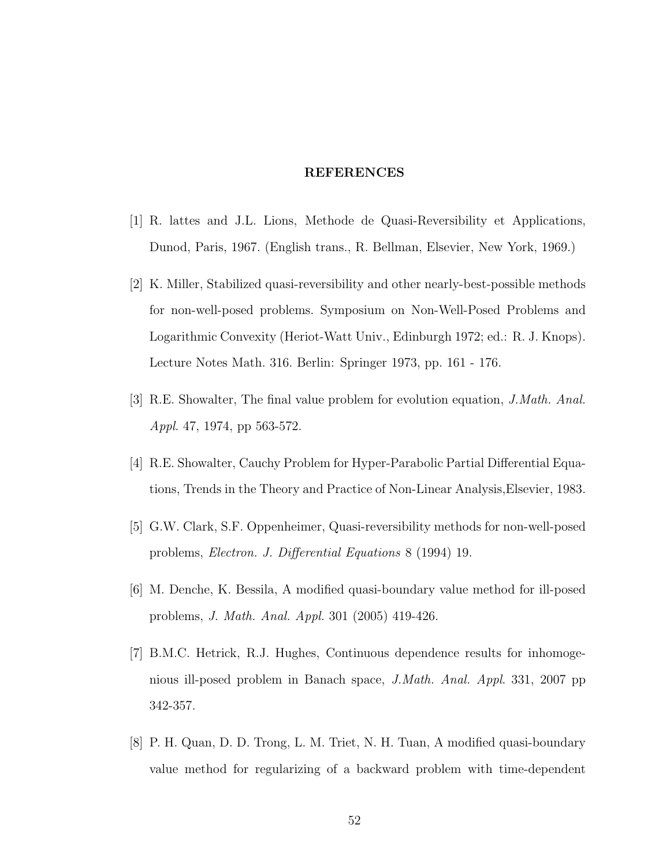#### REFERENCES

- [1] R. lattes and J.L. Lions, Methode de Quasi-Reversibility et Applications, Dunod, Paris, 1967. (English trans., R. Bellman, Elsevier, New York, 1969.)
- [2] K. Miller, Stabilized quasi-reversibility and other nearly-best-possible methods for non-well-posed problems. Symposium on Non-Well-Posed Problems and Logarithmic Convexity (Heriot-Watt Univ., Edinburgh 1972; ed.: R. J. Knops). Lecture Notes Math. 316. Berlin: Springer 1973, pp. 161 - 176.
- [3] R.E. Showalter, The final value problem for evolution equation,  $J. Math.$  Anal. Appl. 47, 1974, pp 563-572.
- [4] R.E. Showalter, Cauchy Problem for Hyper-Parabolic Partial Differential Equations, Trends in the Theory and Practice of Non-Linear Analysis,Elsevier, 1983.
- [5] G.W. Clark, S.F. Oppenheimer, Quasi-reversibility methods for non-well-posed problems, Electron. J. Differential Equations 8 (1994) 19.
- [6] M. Denche, K. Bessila, A modified quasi-boundary value method for ill-posed problems, J. Math. Anal. Appl. 301 (2005) 419-426.
- [7] B.M.C. Hetrick, R.J. Hughes, Continuous dependence results for inhomogenious ill-posed problem in Banach space, J.Math. Anal. Appl. 331, 2007 pp 342-357.
- [8] P. H. Quan, D. D. Trong, L. M. Triet, N. H. Tuan, A modified quasi-boundary value method for regularizing of a backward problem with time-dependent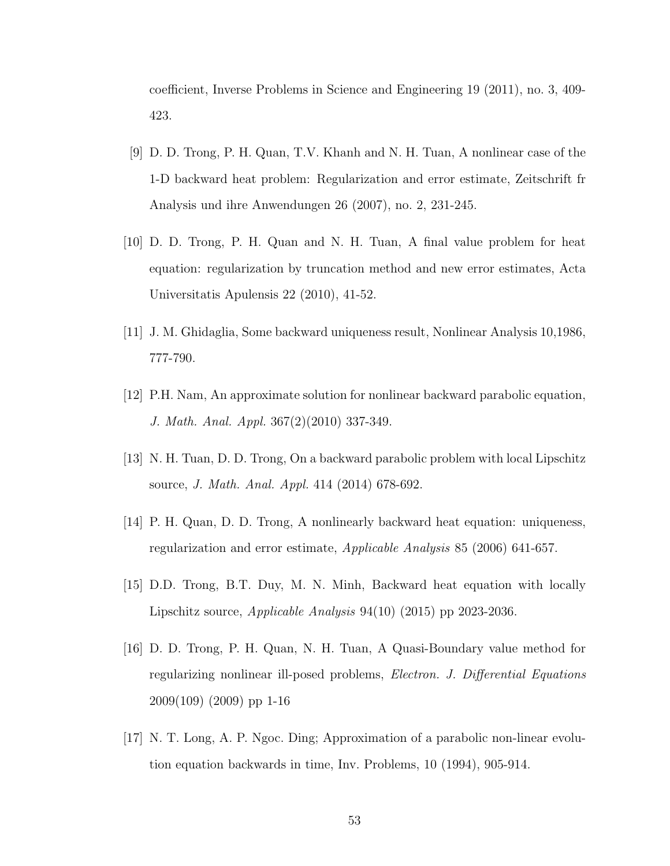coefficient, Inverse Problems in Science and Engineering 19 (2011), no. 3, 409- 423.

- [9] D. D. Trong, P. H. Quan, T.V. Khanh and N. H. Tuan, A nonlinear case of the 1-D backward heat problem: Regularization and error estimate, Zeitschrift fr Analysis und ihre Anwendungen 26 (2007), no. 2, 231-245.
- [10] D. D. Trong, P. H. Quan and N. H. Tuan, A final value problem for heat equation: regularization by truncation method and new error estimates, Acta Universitatis Apulensis 22 (2010), 41-52.
- [11] J. M. Ghidaglia, Some backward uniqueness result, Nonlinear Analysis 10,1986, 777-790.
- [12] P.H. Nam, An approximate solution for nonlinear backward parabolic equation, J. Math. Anal. Appl. 367(2)(2010) 337-349.
- [13] N. H. Tuan, D. D. Trong, On a backward parabolic problem with local Lipschitz source, J. Math. Anal. Appl. 414 (2014) 678-692.
- [14] P. H. Quan, D. D. Trong, A nonlinearly backward heat equation: uniqueness, regularization and error estimate, Applicable Analysis 85 (2006) 641-657.
- [15] D.D. Trong, B.T. Duy, M. N. Minh, Backward heat equation with locally Lipschitz source, Applicable Analysis 94(10) (2015) pp 2023-2036.
- [16] D. D. Trong, P. H. Quan, N. H. Tuan, A Quasi-Boundary value method for regularizing nonlinear ill-posed problems, Electron. J. Differential Equations 2009(109) (2009) pp 1-16
- [17] N. T. Long, A. P. Ngoc. Ding; Approximation of a parabolic non-linear evolution equation backwards in time, Inv. Problems, 10 (1994), 905-914.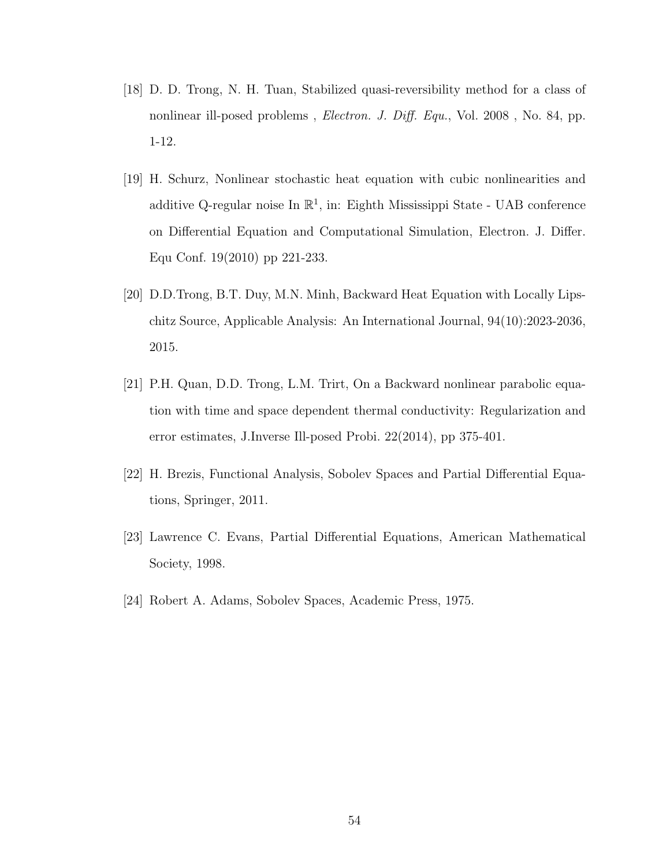- [18] D. D. Trong, N. H. Tuan, Stabilized quasi-reversibility method for a class of nonlinear ill-posed problems, *Electron. J. Diff. Equ.*, Vol. 2008, No. 84, pp. 1-12.
- [19] H. Schurz, Nonlinear stochastic heat equation with cubic nonlinearities and additive Q-regular noise In  $\mathbb{R}^1$ , in: Eighth Mississippi State - UAB conference on Differential Equation and Computational Simulation, Electron. J. Differ. Equ Conf. 19(2010) pp 221-233.
- [20] D.D.Trong, B.T. Duy, M.N. Minh, Backward Heat Equation with Locally Lipschitz Source, Applicable Analysis: An International Journal, 94(10):2023-2036, 2015.
- [21] P.H. Quan, D.D. Trong, L.M. Trirt, On a Backward nonlinear parabolic equation with time and space dependent thermal conductivity: Regularization and error estimates, J.Inverse Ill-posed Probi. 22(2014), pp 375-401.
- [22] H. Brezis, Functional Analysis, Sobolev Spaces and Partial Differential Equations, Springer, 2011.
- [23] Lawrence C. Evans, Partial Differential Equations, American Mathematical Society, 1998.
- [24] Robert A. Adams, Sobolev Spaces, Academic Press, 1975.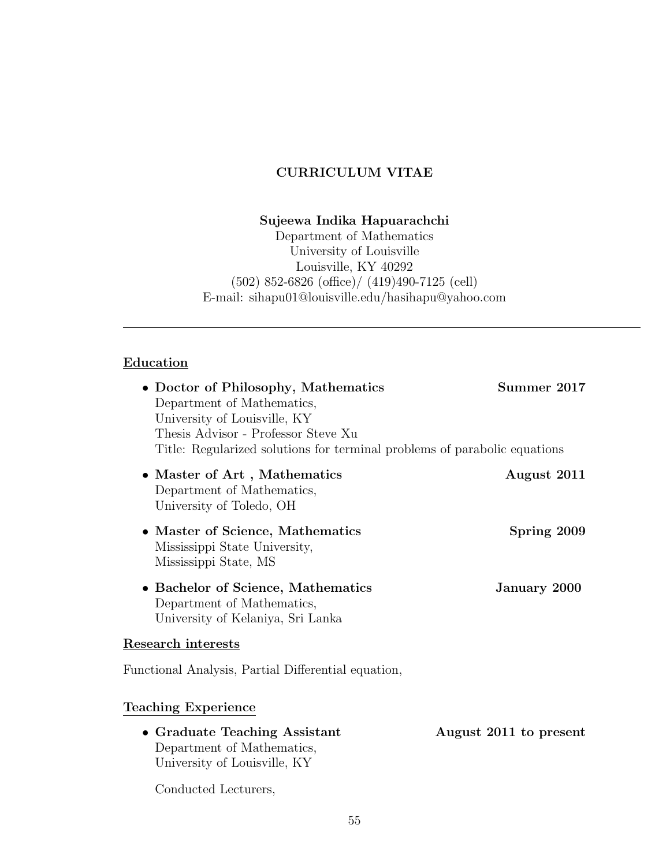# CURRICULUM VITAE

## Sujeewa Indika Hapuarachchi

Department of Mathematics University of Louisville Louisville, KY 40292 (502) 852-6826 (office)/ (419)490-7125 (cell) E-mail: sihapu01@louisville.edu/hasihapu@yahoo.com

# **Education**

| • Doctor of Philosophy, Mathematics<br>Department of Mathematics,                                                                                | Summer 2017            |
|--------------------------------------------------------------------------------------------------------------------------------------------------|------------------------|
| University of Louisville, KY<br>Thesis Advisor - Professor Steve Xu<br>Title: Regularized solutions for terminal problems of parabolic equations |                        |
| • Master of Art, Mathematics<br>Department of Mathematics,<br>University of Toledo, OH                                                           | August 2011            |
| • Master of Science, Mathematics<br>Mississippi State University,<br>Mississippi State, MS                                                       | Spring 2009            |
| • Bachelor of Science, Mathematics<br>Department of Mathematics,<br>University of Kelaniya, Sri Lanka                                            | January 2000           |
| Research interests                                                                                                                               |                        |
| Functional Analysis, Partial Differential equation,                                                                                              |                        |
| <b>Teaching Experience</b>                                                                                                                       |                        |
| • Graduate Teaching Assistant<br>Department of Mathematics,<br>University of Louisville, KY                                                      | August 2011 to present |
| Conducted Lecturers,                                                                                                                             |                        |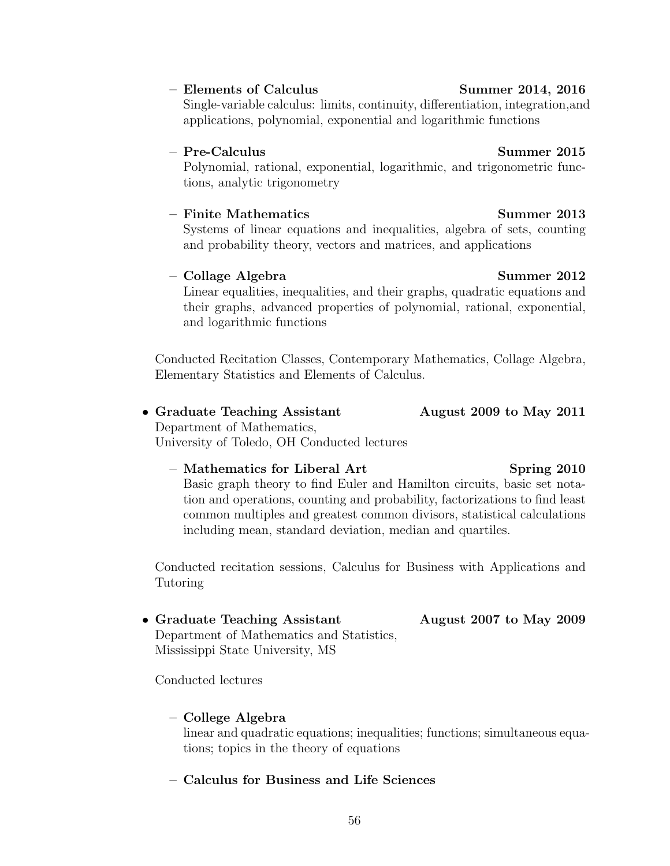# – Elements of Calculus Summer 2014, 2016

Single-variable calculus: limits, continuity, differentiation, integration,and applications, polynomial, exponential and logarithmic functions

# – Pre-Calculus Summer 2015

Polynomial, rational, exponential, logarithmic, and trigonometric functions, analytic trigonometry

# $-$  Finite Mathematics  $\sim$  Summer 2013

Systems of linear equations and inequalities, algebra of sets, counting and probability theory, vectors and matrices, and applications

# – Collage Algebra Summer 2012

Linear equalities, inequalities, and their graphs, quadratic equations and their graphs, advanced properties of polynomial, rational, exponential, and logarithmic functions

Conducted Recitation Classes, Contemporary Mathematics, Collage Algebra, Elementary Statistics and Elements of Calculus.

## • Graduate Teaching Assistant August 2009 to May 2011 Department of Mathematics, University of Toledo, OH Conducted lectures

– Mathematics for Liberal Art Spring 2010 Basic graph theory to find Euler and Hamilton circuits, basic set notation and operations, counting and probability, factorizations to find least common multiples and greatest common divisors, statistical calculations

including mean, standard deviation, median and quartiles.

Conducted recitation sessions, Calculus for Business with Applications and Tutoring

• Graduate Teaching Assistant August 2007 to May 2009 Department of Mathematics and Statistics, Mississippi State University, MS

Conducted lectures

– College Algebra

linear and quadratic equations; inequalities; functions; simultaneous equations; topics in the theory of equations

– Calculus for Business and Life Sciences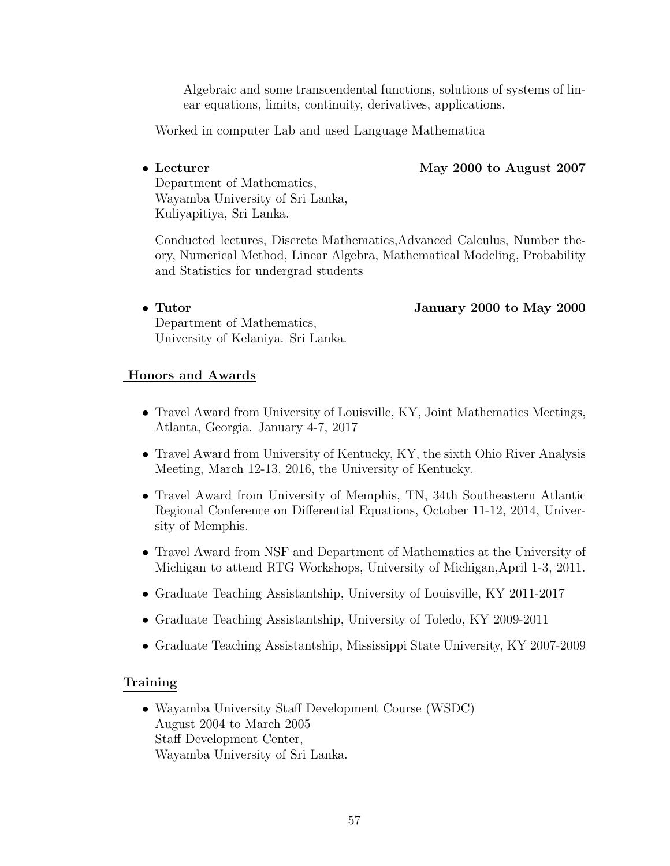Algebraic and some transcendental functions, solutions of systems of linear equations, limits, continuity, derivatives, applications.

Worked in computer Lab and used Language Mathematica

## • Lecturer May 2000 to August 2007

Department of Mathematics, Wayamba University of Sri Lanka, Kuliyapitiya, Sri Lanka.

Conducted lectures, Discrete Mathematics,Advanced Calculus, Number theory, Numerical Method, Linear Algebra, Mathematical Modeling, Probability and Statistics for undergrad students

• Tutor January 2000 to May 2000

Department of Mathematics, University of Kelaniya. Sri Lanka.

## Honors and Awards

- Travel Award from University of Louisville, KY, Joint Mathematics Meetings, Atlanta, Georgia. January 4-7, 2017
- Travel Award from University of Kentucky, KY, the sixth Ohio River Analysis Meeting, March 12-13, 2016, the University of Kentucky.
- Travel Award from University of Memphis, TN, 34th Southeastern Atlantic Regional Conference on Differential Equations, October 11-12, 2014, University of Memphis.
- Travel Award from NSF and Department of Mathematics at the University of Michigan to attend RTG Workshops, University of Michigan,April 1-3, 2011.
- Graduate Teaching Assistantship, University of Louisville, KY 2011-2017
- Graduate Teaching Assistantship, University of Toledo, KY 2009-2011
- Graduate Teaching Assistantship, Mississippi State University, KY 2007-2009

## Training

• Wayamba University Staff Development Course (WSDC) August 2004 to March 2005 Staff Development Center, Wayamba University of Sri Lanka.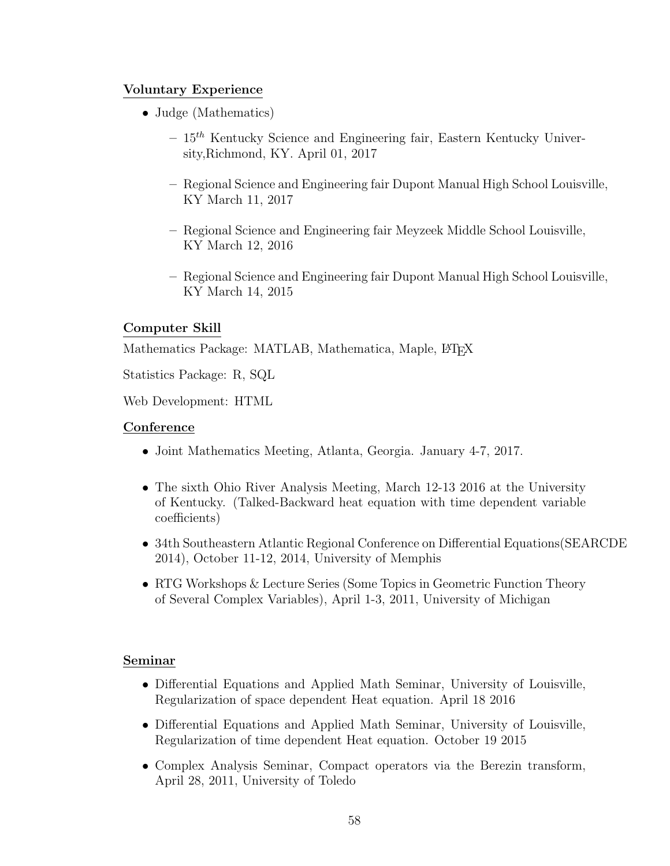# Voluntary Experience

- Judge (Mathematics)
	- $-15$ <sup>th</sup> Kentucky Science and Engineering fair, Eastern Kentucky University,Richmond, KY. April 01, 2017
	- Regional Science and Engineering fair Dupont Manual High School Louisville, KY March 11, 2017
	- Regional Science and Engineering fair Meyzeek Middle School Louisville, KY March 12, 2016
	- Regional Science and Engineering fair Dupont Manual High School Louisville, KY March 14, 2015

# Computer Skill

Mathematics Package: MATLAB, Mathematica, Maple, L<sup>AT</sup>EX

Statistics Package: R, SQL

Web Development: HTML

# **Conference**

- Joint Mathematics Meeting, Atlanta, Georgia. January 4-7, 2017.
- The sixth Ohio River Analysis Meeting, March 12-13 2016 at the University of Kentucky. (Talked-Backward heat equation with time dependent variable coefficients)
- 34th Southeastern Atlantic Regional Conference on Differential Equations(SEARCDE 2014), October 11-12, 2014, University of Memphis
- RTG Workshops & Lecture Series (Some Topics in Geometric Function Theory of Several Complex Variables), April 1-3, 2011, University of Michigan

# Seminar

- Differential Equations and Applied Math Seminar, University of Louisville, Regularization of space dependent Heat equation. April 18 2016
- Differential Equations and Applied Math Seminar, University of Louisville, Regularization of time dependent Heat equation. October 19 2015
- Complex Analysis Seminar, Compact operators via the Berezin transform, April 28, 2011, University of Toledo